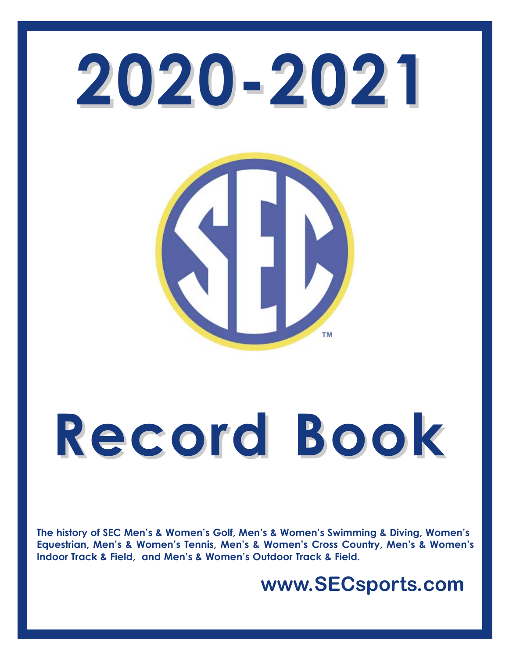

# **Record Book Record Book**

**The history of SEC Men's & Women's Golf, Men's & Women's Swimming & Diving, Women's Equestrian, Men's & Women's Tennis, Men's & Women's Cross Country, Men's & Women's Indoor Track & Field, and Men's & Women's Outdoor Track & Field.**

**www.SECsports.com www.secsports.com**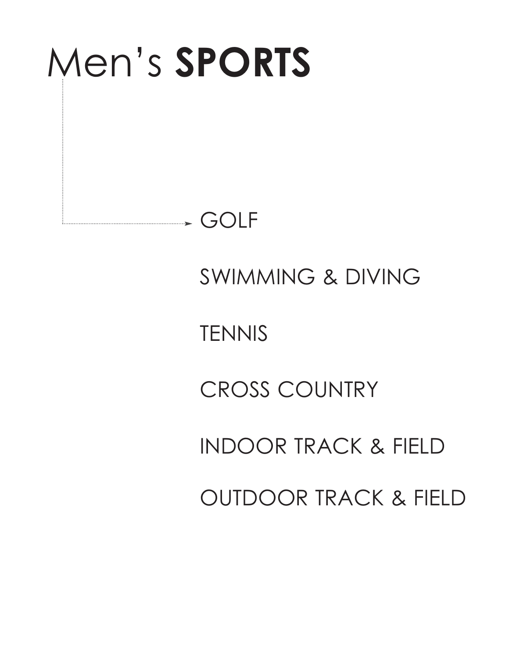# Men's **SPORTS**

# SOLF

SWIMMING & DIVING

**TENNIS** 

CROSS COUNTRY

INDOOR TRACK & FIELD

OUTDOOR TRACK & FIELD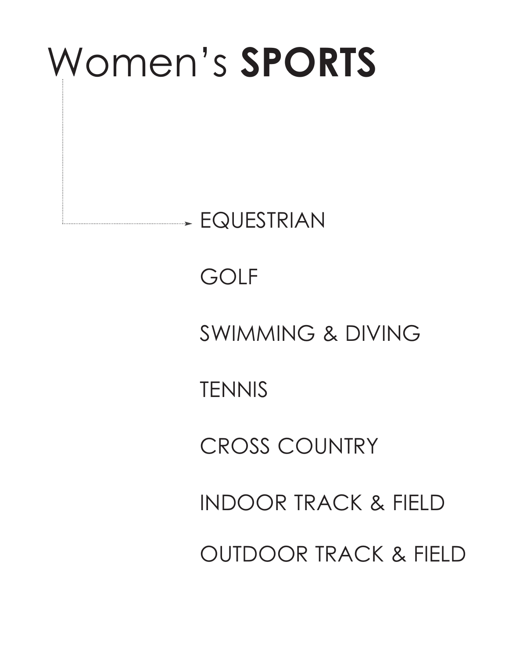# Women's **SPORTS EQUESTRIAN**

# GOLF

SWIMMING & DIVING

**TENNIS** 

CROSS COUNTRY

INDOOR TRACK & FIELD

OUTDOOR TRACK & FIELD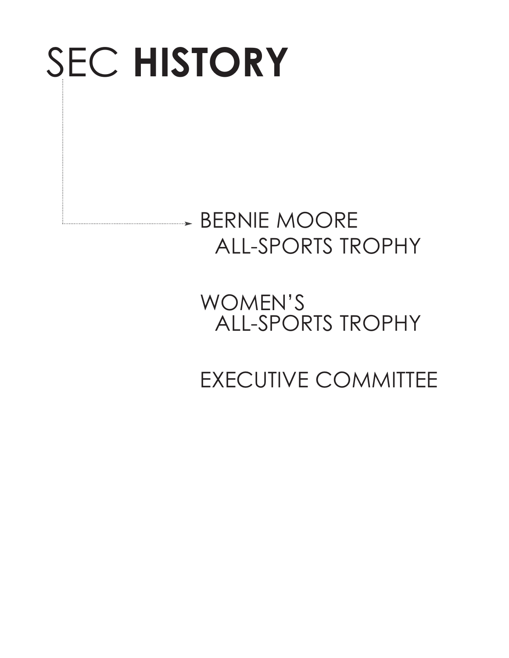# SEC **HISTORY**

# **BERNIE MOORE** ALL-SPORTS TROPHY

WOMEN'S ALL-SPORTS TROPHY

EXECUTIVE COMMITTEE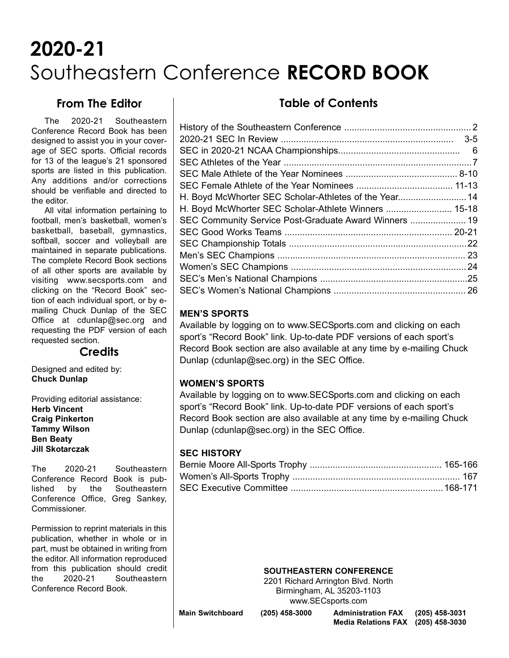# **2020-21** Southeastern Conference **RECORD BOOK**

#### **From The Editor**

The 2020-21 Southeastern Conference Record Book has been designed to assist you in your coverage of SEC sports. Official records for 13 of the league's 21 sponsored sports are listed in this publication. Any additions and/or corrections should be verifiable and directed to the editor.

All vital information pertaining to football, men's basketball, women's basketball, baseball, gymnastics, softball, soccer and volleyball are maintained in separate publications. The complete Record Book sections of all other sports are available by visiting www.secsports.com and clicking on the "Record Book" section of each individual sport, or by emailing Chuck Dunlap of the SEC Office at cdunlap@sec.org and requesting the PDF version of each requested section.

#### **Credits**

Designed and edited by: **Chuck Dunlap**

Providing editorial assistance: **Herb Vincent Craig Pinkerton Tammy Wilson Ben Beaty Jill Skotarczak**

The 2020-21 Southeastern Conference Record Book is published by the Southeastern Conference Office, Greg Sankey, Commissioner.

Permission to reprint materials in this publication, whether in whole or in part, must be obtained in writing from the editor. All information reproduced from this publication should credit the 2020-21 Southeastern Conference Record Book.

## **Table of Contents**

| H. Boyd McWhorter SEC Scholar-Athletes of the Year 14 |     |
|-------------------------------------------------------|-----|
| H. Boyd McWhorter SEC Scholar-Athlete Winners  15-18  |     |
| SEC Community Service Post-Graduate Award Winners  19 |     |
|                                                       |     |
|                                                       |     |
|                                                       |     |
|                                                       | .24 |
|                                                       |     |
|                                                       |     |

#### **MEN'S SPORTS**

Available by logging on to www.SECSports.com and clicking on each sport's "Record Book" link. Up-to-date PDF versions of each sport's Record Book section are also available at any time by e-mailing Chuck Dunlap (cdunlap@sec.org) in the SEC Office.

#### **WOMEN'S SPORTS**

Available by logging on to www.SECSports.com and clicking on each sport's "Record Book" link. Up-to-date PDF versions of each sport's Record Book section are also available at any time by e-mailing Chuck Dunlap (cdunlap@sec.org) in the SEC Office.

#### **SEC HISTORY**

#### **SOUTHEASTERN CONFERENCE**

2201 Richard Arrington Blvd. North Birmingham, AL 35203-1103 www.SECsports.com

**Main Switchboard (205) 458-3000 Administration FAX (205) 458-3031** 

**Media Relations FAX (205) 458-3030**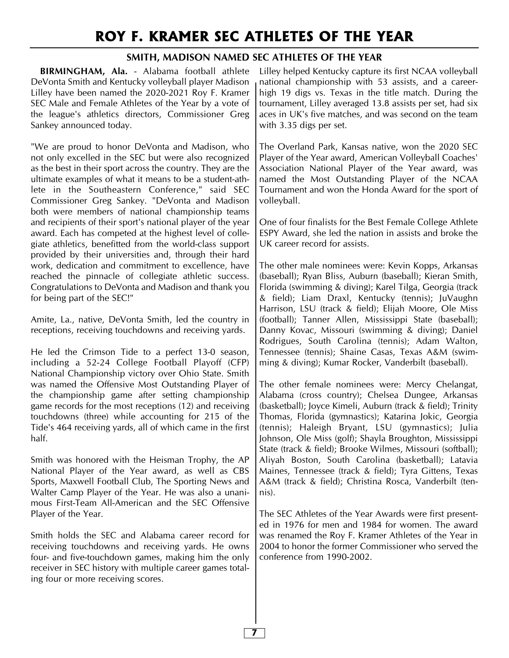# **ROY F. KRAMER SEC ATHLETES OF THE YEAR**

#### **SMITH, MADISON NAMED SEC ATHLETES OF THE YEAR**

**BIRMINGHAM, Ala.** - Alabama football athlete DeVonta Smith and Kentucky volleyball player Madison Lilley have been named the 2020-2021 Roy F. Kramer SEC Male and Female Athletes of the Year by a vote of the league's athletics directors, Commissioner Greg Sankey announced today.

"We are proud to honor DeVonta and Madison, who not only excelled in the SEC but were also recognized as the best in their sport across the country. They are the ultimate examples of what it means to be a student-athlete in the Southeastern Conference," said SEC Commissioner Greg Sankey. "DeVonta and Madison both were members of national championship teams and recipients of their sport's national player of the year award. Each has competed at the highest level of collegiate athletics, benefitted from the world-class support provided by their universities and, through their hard work, dedication and commitment to excellence, have reached the pinnacle of collegiate athletic success. Congratulations to DeVonta and Madison and thank you for being part of the SEC!"

Amite, La., native, DeVonta Smith, led the country in receptions, receiving touchdowns and receiving yards.

He led the Crimson Tide to a perfect 13-0 season, including a 52-24 College Football Playoff (CFP) National Championship victory over Ohio State. Smith was named the Offensive Most Outstanding Player of the championship game after setting championship game records for the most receptions (12) and receiving touchdowns (three) while accounting for 215 of the Tide's 464 receiving yards, all of which came in the first half.

Smith was honored with the Heisman Trophy, the AP National Player of the Year award, as well as CBS Sports, Maxwell Football Club, The Sporting News and Walter Camp Player of the Year. He was also a unanimous First-Team All-American and the SEC Offensive Player of the Year.

Smith holds the SEC and Alabama career record for receiving touchdowns and receiving yards. He owns four- and five-touchdown games, making him the only receiver in SEC history with multiple career games totaling four or more receiving scores.

Lilley helped Kentucky capture its first NCAA volleyball national championship with 53 assists, and a careerhigh 19 digs vs. Texas in the title match. During the tournament, Lilley averaged 13.8 assists per set, had six aces in UK's five matches, and was second on the team with 3.35 digs per set.

The Overland Park, Kansas native, won the 2020 SEC Player of the Year award, American Volleyball Coaches' Association National Player of the Year award, was named the Most Outstanding Player of the NCAA Tournament and won the Honda Award for the sport of volleyball.

One of four finalists for the Best Female College Athlete ESPY Award, she led the nation in assists and broke the UK career record for assists.

The other male nominees were: Kevin Kopps, Arkansas (baseball); Ryan Bliss, Auburn (baseball); Kieran Smith, Florida (swimming & diving); Karel Tilga, Georgia (track & field); Liam Draxl, Kentucky (tennis); JuVaughn Harrison, LSU (track & field); Elijah Moore, Ole Miss (football); Tanner Allen, Mississippi State (baseball); Danny Kovac, Missouri (swimming & diving); Daniel Rodrigues, South Carolina (tennis); Adam Walton, Tennessee (tennis); Shaine Casas, Texas A&M (swimming & diving); Kumar Rocker, Vanderbilt (baseball).

The other female nominees were: Mercy Chelangat, Alabama (cross country); Chelsea Dungee, Arkansas (basketball); Joyce Kimeli, Auburn (track & field); Trinity Thomas, Florida (gymnastics); Katarina Jokic, Georgia (tennis); Haleigh Bryant, LSU (gymnastics); Julia Johnson, Ole Miss (golf); Shayla Broughton, Mississippi State (track & field); Brooke Wilmes, Missouri (softball); Aliyah Boston, South Carolina (basketball); Latavia Maines, Tennessee (track & field); Tyra Gittens, Texas A&M (track & field); Christina Rosca, Vanderbilt (tennis).

The SEC Athletes of the Year Awards were first presented in 1976 for men and 1984 for women. The award was renamed the Roy F. Kramer Athletes of the Year in 2004 to honor the former Commissioner who served the conference from 1990-2002.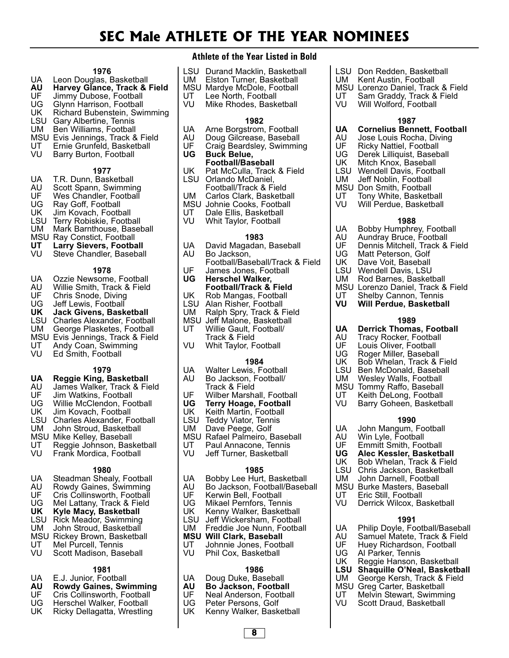**Athlete of the Year Listed in Bold**

- LSU Durand Macklin, Basketball<br>UM Elston Turner, Basketball
- Elston Turner, Basketball
- MSU Mardye McDole, Football<br>UT Lee North, Football
- UT Lee North, Football<br>VU Mike Rhodes, Bask

**1976**

Richard Bubenstein, Swimming

**1977**

Mark Barnthouse, Baseball

**1979**

**1980** UA Steadman Shealy, Football<br>AU Rowdy Gaines, Swimming AU Rowdy Gaines, Swimming<br>UF Cris Collinsworth. Football UF Cris Collinsworth, Football<br>UG Mel Lattany, Track & Field UG Mel Lattany, Track & Field<br>UK Kyle Macy, Basketball **UK Kyle Macy, Basketball** LSU Rick Meador, Swimming John Stroud, Basketball MSU Rickey Brown, Basketball<br>UT Mel Purcell. Tennis UT Mel Purcell, Tennis<br>VU Scott Madison, Bas

Scott Madison, Baseball

**1981**

**AU Rowdy Gaines, Swimming** UF Cris Collinsworth, Football<br>UG Herschel Walker, Football UG Herschel Walker, Football<br>UK Ricky Dellagatta, Wrestling Ricky Dellagatta, Wrestling

UA E.J. Junior, Football<br>**AU Rowdy Gaines, Sw** 

**UA Reggie King, Basketball** AU James Walker, Track & Field<br>UF Jim Watkins. Football UF Jim Watkins, Football<br>UG Willie McClendon, Foo UG Willie McClendon, Football<br>UK Jim Kovach, Football Jim Kovach, Football LSU Charles Alexander, Football<br>UM John Stroud, Basketball John Stroud, Basketball

MSU Mike Kelley, Baseball UT Reggie Johnson, Basketball<br>VU Frank Mordica, Football Frank Mordica, Football

UA Leon Douglas, Basketball<br>**AU Harvey Glance, Track & AU Harvey Glance, Track & Field** UF Jimmy Dubose, Football<br>UG Glynn Harrison, Football UG Glynn Harrison, Football<br>UK Richard Bubenstein, Swi

LSU Gary Albertine, Tennis Ben Williams, Football MSU Evis Jennings, Track & Field UT Ernie Grunfeld, Basketball VU Barry Burton, Football

UA T.R. Dunn, Basketball<br>AU Scott Spann, Swimmir AU Scott Spann, Swimming<br>UF Wes Chandler, Football UF Wes Chandler, Football<br>UG Rav Goff. Football UG Ray Goff, Football<br>UK Jim Kovach, Footb

MSU Ray Constict, Football<br>**UT** Larry Sievers, Footba **UT** Larry Sievers, Football<br>VU Steve Chandler, Basebal Steve Chandler, Baseball **1978**

UA Ozzie Newsome, Football<br>AU Willie Smith, Track & Field AU Willie Smith, Track & Field<br>UF Chris Snode, Diving UF Chris Snode, Diving<br>UG Jeff Lewis, Football UG Jeff Lewis, Football<br>**UK Jack Givens, Bask UK Jack Givens, Basketball** LSU Charles Alexander, Football George Plasketes, Football MSU Evis Jennings, Track & Field UT Andy Coan, Swimming VU Ed Smith, Football

Jim Kovach, Football LSU Terry Robiskie, Football<br>UM Mark Barnthouse, Basel Mike Rhodes, Basketball

#### **1982**

- UA Arne Borgstrom, Football<br>AU Doug Gilcrease, Baseball
- AU Doug Gilcrease, Baseball<br>UF Craig Beardslev. Swimmir
- UF Craig Beardsley, Swimming<br>UG Buck Belue
	- **Buck Belue,** 
		- **Football/Baseball**
- UK Pat McCulla, Track & Field LSU Orlando McDaniel,
	- Football/Track & Field
- UM Carlos Clark, Basketball
- MSU Johnie Cooks, Football<br>UT Dale Ellis, Basketball
- UT Dale Ellis, Basketball<br>VU Whit Tavlor. Football
- Whit Taylor, Football

#### **1983**

- UA David Magadan, Baseball<br>AU Bo Jackson. Bo Jackson, Football/Baseball/Track & Field UF James Jones, Football<br>UG Herschel Walker. **Herschel Walker.**
- **Football/Track & Field**
- UK Rob Mangas, Football
- LSU Alan Risher, Football<br>UM Ralph Spry, Track & F
- Ralph Spry, Track & Field
- MSU Jeff Malone, Basketball UT Willie Gault, Football/ Track & Field
- VU Whit Taylor, Football

#### **1984**

- 
- UA Walter Lewis, Football<br>AU Bo Jackson, Football/ Bo Jackson, Football/
- Track & Field
- UF Wilber Marshall, Football<br>UG Terry Hoage, Football
- **Terry Hoage, Football**
- UK Keith Martin, Football
- LSU Teddy Viator, Tennis
- UM Dave Peege, Golf
- MSU Rafael Palmeiro, Baseball<br>UT Paul Annacone, Tennis
- UT Paul Annacone, Tennis<br>VU Jeff Turner, Basketball
- Jeff Turner, Basketball

#### **1985**

- UA Bobby Lee Hurt, Basketball<br>AU Bo Jackson, Football/Baseb
- AU Bo Jackson, Football/Baseball<br>UF Kerwin Bell. Football
- UF Kerwin Bell, Football<br>UG Mikael Pernfors, Teni
- UG Mikael Pernfors, Tennis<br>UK Kenny Walker, Basketba
- Kenny Walker, Basketball
- LSU Jeff Wickersham, Football<br>UM Freddie Joe Nunn, Footba
- Freddie Joe Nunn, Football
- **MSU Will Clark, Baseball**
- UT Johnnie Jones, Football<br>VU Phil Cox, Basketball
	- Phil Cox, Basketball

#### **1986**

**8**

- UA Doug Duke, Baseball<br>**AU Bo Jackson, Footba**
- **AU Bo Jackson, Football**
- UF Neal Anderson, Football<br>UG Peter Persons, Golf
- UG Peter Persons, Golf<br>UK Kenny Walker, Bask
- Kenny Walker, Basketball
- LSU Don Redden, Basketball<br>UM Kent Austin, Football
- Kent Austin, Football
- MSU Lorenzo Daniel, Track & Field<br>UT Sam Graddy, Track & Field
- UT Sam Graddy, Track & Field
- VU Will Wolford, Football

#### **1987**

- **UA Cornelius Bennett, Football**
- AU Jose Louis Rocha, Diving<br>UF Ricky Nattiel, Football
- UF Ricky Nattiel, Football<br>UG Derek Lilliquist, Baseb
- UG Derek Lilliquist, Baseball<br>UK Mitch Knox, Baseball
- Mitch Knox, Baseball
- LSU Wendell Davis, Football<br>UM Jeff Noblin, Football
- Jeff Noblin, Football
- MSU Don Smith, Football<br>UT Tony White, Basketb
- UT Tony White, Basketball<br>VU Will Perdue, Basketball Will Perdue, Basketball

#### **1988**

- 
- UA Bobby Humphrey, Football<br>AU Aundray Bruce, Football
- AU Aundray Bruce, Football<br>UF Dennis Mitchell, Track & UF Dennis Mitchell, Track & Field
- UG Matt Peterson, Golf
- UK Dave Voit, Baseball
- 
- LSU Wendell Davis, LSU<br>UM Rod Barnes, Basket Rod Barnes, Basketball
- 
- MSU Lorenzo Daniel, Track & Field<br>UT Shelby Cannon, Tennis
- UT Shelby Cannon, Tennis<br>VU Will Perdue, Basketba **Will Perdue, Basketball**

#### **1989**

- **UA Derrick Thomas, Football**
- AU Tracy Rocker, Football<br>UF Louis Oliver, Football
- UF Louis Oliver, Football<br>UG Roger Miller, Basebal
- UG Roger Miller, Baseball<br>UK Bob Whelan, Track & I
- Bob Whelan, Track & Field
- LSU Ben McDonald, Baseball<br>UM Wesley Walls, Football
- Wesley Walls, Football
- MSU Tommy Raffo, Baseball<br>UT Keith DeLong, Football
- UT Keith DeLong, Football<br>VU Barry Goheen, Basketb
- Barry Goheen, Basketball

#### **1990**

- UA John Mangum, Football<br>AU Win Lyle, Football
- AU Win Lyle, Football<br>UF Emmitt Smith, Foo
- UF Emmitt Smith, Football<br>UG Alec Kessler, Basketb
- 
- **UG** Alec Kessler, Basketball<br>UK Bob Whelan, Track & Field UK Bob Whelan, Track & Field<br>LSU Chris Jackson, Basketball
- LSU Chris Jackson, Basketball<br>UM John Darnell, Football John Darnell, Football

MSU Burke Masters, Baseball<br>UT Eric Still, Football UT Eric Still, Football<br>VU Derrick Wilcox, Ba

UG Al Parker, Tennis<br>UK Reggie Hanson, I

MSU Greg Carter, Basketball<br>UT Melvin Stewart, Swimmi UT Melvin Stewart, Swimming<br>VU Scott Draud, Basketball Scott Draud, Basketball

Derrick Wilcox, Basketball **1991** UA Philip Doyle, Football/Baseball<br>AU Samuel Matete, Track & Field AU Samuel Matete, Track & Field<br>UF Huey Richardson, Football UF Huey Richardson, Football<br>UG Al Parker, Tennis

Reggie Hanson, Basketball **LSU Shaquille O'Neal, Basketball** George Kersh, Track & Field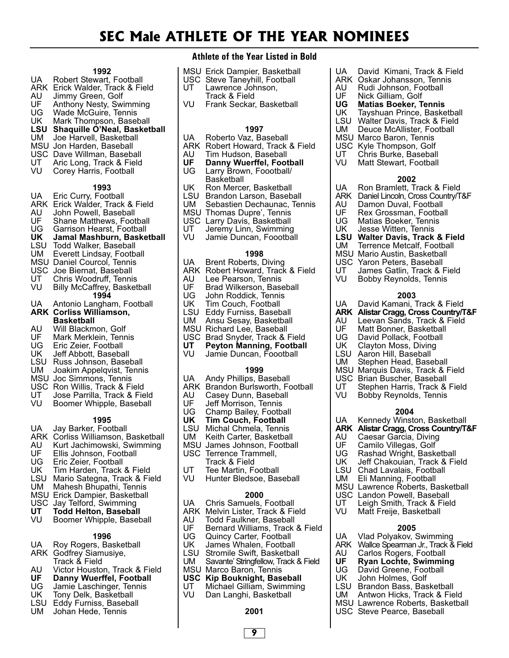#### **Athlete of the Year Listed in Bold**

|  | MSU Erick Dampier, Basketball |  |  |
|--|-------------------------------|--|--|
|  | ___                           |  |  |

- USC Steve Taneyhill, Football<br>UT Lawrence Johnson, Lawrence Johnson,
	- Track & Field

**1992**

Mark Thompson, Baseball **LSU Shaquille O'Neal, Basketball** Joe Harvell, Basketball MSU Jon Harden, Baseball USC Dave Willman, Baseball<br>UT Aric Long, Track & Field UT Aric Long, Track & Field<br>VU Corev Harris, Football Corey Harris, Football

**1993**

**Jamal Mashburn, Basketball** 

Billy McCaffrey, Basketball **1994** UA Antonio Langham, Football **ARK Corliss Williamson, Basketball** AU Will Blackmon, Golf<br>UF Mark Merklein, Tenn UF Mark Merklein, Tennis<br>UG Eric Zeier, Football UG Eric Zeier, Football<br>UK Jeff Abbott, Baseba Jeff Abbott. Baseball LSU Russ Johnson, Baseball UM Joakim Appelqvist, Tennis MSU Joc Simmons, Tennis USC Ron Willis, Track & Field UT Jose Parrilla, Track & Field<br>VU Boomer Whipple, Baseball Boomer Whipple, Baseball

**1995**

Tim Harden, Track & Field LSU Mario Sategna, Track & Field Mahesh Bhupathi, Tennis MSU Erick Dampier, Basketball USC Jay Telford, Swimming<br>UT Todd Helton, Basebal **UT** Todd Helton, Baseball<br>VU Boomer Whipple, Baseb

Boomer Whipple, Baseball

**1996**

AU Victor Houston, Track & Field<br>**UF** Danny Wuerffel, Football **UF Danny Wuerffel, Football** UG Jamie Laschinger, Tennis<br>UK Tony Delk, Basketball Tony Delk, Basketball LSU Eddy Furniss, Baseball<br>UM Johan Hede, Tennis Johan Hede, Tennis

UA Roy Rogers, Basketball ARK Godfrey Siamusiye, Track & Field

ARK Corliss Williamson, Basketball<br>AU Kurt Jachimowski, Swimming AU Kurt Jachimowski, Swimming<br>UF Ellis Johnson, Football UF Ellis Johnson, Football<br>UG Eric Zeier, Football UG Eric Zeier, Football<br>UK Tim Harden, Track

UA Jay Barker, Football

ARK Erick Walder, Track & Field<br>AU John Powell, Baseball AU John Powell, Baseball<br>UF Shane Matthews. Foot UF Shane Matthews, Football<br>UG Garrison Hearst, Football UG Garrison Hearst, Football<br>UK Jamal Mashburn, Baske

UA Robert Stewart, Football ARK Erick Walder, Track & Field<br>AU Jimmy Green, Golf

AU Jimmy Green, Golf<br>UF Anthony Nesty, Swi UF Anthony Nesty, Swimming<br>UG Wade McGuire, Tennis UG Wade McGuire, Tennis<br>UK Mark Thompson, Basel

UA Eric Curry, Football

**UR Jamar Mashburn, Bas<br>LSU Todd Walker, Baseball<br>UM Everett Lindsav. Footb.** Everett Lindsay, Football MSU Daniel Courcol, Tennis USC Joe Biernat, Baseball<br>UT Chris Woodruff, Tennis UT Chris Woodruff, Tennis<br>VU Billy McCaffrey, Basket

VU Frank Seckar, Basketball

#### **1997**

- UA Roberto Vaz, Baseball
- ARK Robert Howard, Track & Field<br>AU Tim Hudson, Baseball
- AU Tim Hudson, Baseball<br>**UF** Danny Wuerffel, Foot
- **UF Danny Wuerffel, Football** Larry Brown, Foootball/ **Basketball**
- UK Ron Mercer, Basketball
- 
- LSU Brandon Larson, Baseball<br>UM Sebastien Dechaunac. Ter Sebastien Dechaunac, Tennis
- MSU Thomas Dupre', Tennis
- 
- USC Larry Davis, Basketball<br>UT Jeremy Linn, Swimming
- UT Jeremy Linn, Swimming<br>VU Jamie Duncan, Foootbal Jamie Duncan, Foootball

#### **1998**

- UA Brent Roberts, Diving
- ARK Robert Howard, Track & Field<br>AU Lee Pearson, Tennis
- AU Lee Pearson, Tennis<br>UF Brad Wilkerson, Base
- UF Brad Wilkerson, Baseball<br>UG John Roddick, Tennis
- UG John Roddick, Tennis<br>UK Tim Couch, Football
- Tim Couch, Football
- LSU Eddy Furniss, Baseball<br>UM Ansu Sesav, Basketball
- Ansu Sesay, Basketball
- MSU Richard Lee, Baseball
- USC Brad Snyder, Track & Field<br>UT Peyton Manning, Footbal
- **UT Peyton Manning, Football**
- Jamie Duncan, Foootball

#### **1999**

- UA Andy Phillips, Baseball
- ARK Brandon Burlsworth, Football<br>AU Casey Dunn, Baseball
- AU Casey Dunn, Baseball<br>UF Jeff Morrison, Tennis
- UF Jeff Morrison, Tennis<br>UG Champ Bailey, Footb
- UG Champ Bailey, Football
- **UK Tim Couch, Football**
- LSU Michal Chmela, Tennis
- UM Keith Carter, Basketball
- MSU James Johnson, Football USC Terrence Trammell,
- Track & Field
- UT Tee Martin, Football<br>VU Hunter Bledsoe, Bas
- Hunter Bledsoe, Baseball

#### **2000**

- UA Chris Samuels, Football
- ARK Melvin Lister, Track & Field<br>AU Todd Faulkner, Baseball
- AU Todd Faulkner, Baseball<br>UF Bernard Williams, Track
- UF Bernard Williams, Track & Field<br>UG Quincy Carter, Football
- UG Quincy Carter, Football<br>UK James Whalen, Footbal
- James Whalen, Football
- LSU Stromile Swift, Basketball<br>UM Savante' Stringfellow, Track 8
- Savante' Stringfellow, Track & Field
- MSU Marco Baron, Tennis

# **USC Kip Bouknight, Baseball**

- UT Michael Gilliam, Swimming<br>VU Dan Langhi, Basketball
- Dan Langhi, Basketball

**2001**

**9**

- UA David Kimani, Track & Field
- ARK Oskar Johansson, Tennis<br>AU Rudi Johnson, Football
- AU Rudi Johnson, Football<br>UF Nick Gilliam, Golf
- UF Nick Gilliam, Golf<br>UG Matias Boeker, T
- **UG Matias Boeker, Tennis**
- Tayshuan Prince, Basketball
- LSU Walter Davis, Track & Field<br>UM Deuce McAllister, Football
- Deuce McAllister, Football
- MSU Marco Baron, Tennis
- USC Kyle Thompson, Golf<br>UT Chris Burke, Basebal
- UT Chris Burke, Baseball<br>VU Matt Stewart, Football
- Matt Stewart, Football

#### **2002**

- UA Ron Bramlett, Track & Field
- ARK Daniel Lincoln, Cross Country/T&F<br>AU Damon Duval, Football
- AU Damon Duval, Football<br>UF Rex Grossman, Footba
- UF Rex Grossman, Football<br>UG Matias Boeker, Tennis
- UG Matias Boeker, Tennis<br>UK Jesse Witten, Tennis Jesse Witten, Tennis
- 
- **LSU Walter Davis, Track & Field** Terrence Metcalf, Football
- MSU Mario Austin, Basketball
- 
- USC Yaron Peters, Baseball<br>UT James Gatlin, Track & I
- UT James Gatlin, Track & Field<br>VU Bobby Revnolds, Tennis Bobby Reynolds, Tennis
	-

#### **2003**

- UA David Kamani, Track & Field
- **ARK Alistar Cragg, Cross Country/T&F**
- AU Leevan Sands, Track & Field<br>UF Matt Bonner, Basketball
- UF Matt Bonner, Basketball<br>UG David Pollack, Football
- UG David Pollack, Football<br>UK Clayton Moss, Diving Clayton Moss, Diving
- 
- LSU Aaron Hill, Baseball
- Stephen Head, Baseball
- MSU Marquis Davis, Track & Field
- USC Brian Buscher, Baseball<br>UT Stephen Harris, Track &
- UT Stephen Harris, Track & Field<br>VU Bobby Revnolds, Tennis
	- Bobby Reynolds, Tennis

#### **2004**

- UA Kennedy Winston, Basketball
- **ARK Alistar Cragg, Cross Country/T&F**<br>AU Caesar Garcia, Diving

**2005** UA Vlad Polyakov, Swimming ARK Wallce Spearman Jr., Track & Field<br>AU Carlos Rogers, Football AU Carlos Rogers, Football<br>UF Ryan Lochte, Swimmin **UF Ryan Lochte, Swimming** UG David Greene, Football UK John Holmes, Golf LSU Brandon Bass, Basketball UM Antwon Hicks, Track & Field MSU Lawrence Roberts, Basketball USC Steve Pearce, Baseball

AU Caesar Garcia, Diving<br>UF Camilo Villegas, Golf UF Camilo Villegas, Golf<br>UG Rashad Wright, Bask

UG Rashad Wright, Basketball<br>UK Jeff Chakouian, Track & Fi UK Jeff Chakouian, Track & Field<br>LSU Chad Lavalais, Football LSU Chad Lavalais, Football<br>UM Eli Manning, Football Eli Manning, Football MSU Lawrence Roberts, Basketball USC Landon Powell, Baseball<br>UT Leigh Smith, Track & Fiel UT Leigh Smith, Track & Field<br>VU Matt Freije, Basketball Matt Freije, Basketball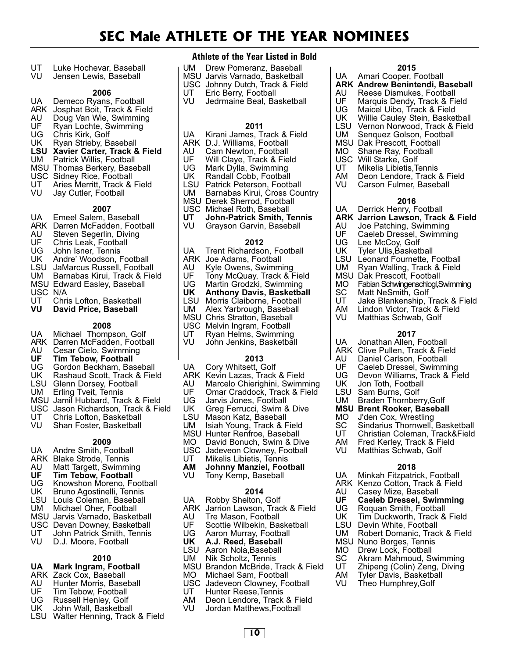| UT<br>VU                                                                        | Luke Hochevar, Baseball<br>Jensen Lewis, Baseball                                                                                                                                                                                                                                                                                       |
|---------------------------------------------------------------------------------|-----------------------------------------------------------------------------------------------------------------------------------------------------------------------------------------------------------------------------------------------------------------------------------------------------------------------------------------|
| UA<br>ARK<br>AU<br>UF<br>UG<br>UK<br>LSU<br>UM<br><b>MSU</b><br>USC<br>UT<br>VU | 2006<br>Demeco Ryans, Football<br>Josphat Boit, Track & Field<br>Doug Van Wie, Swimming<br>Ryan Lochte, Swimming<br>Chris Kirk, Golf<br>Ryan Strieby, Baseball<br>Xavier Carter, Track & Field<br>Patrick Willis, Football<br>Thomas Berkery, Baseball<br>Sidney Rice, Football<br>Aries Merritt, Track & Field<br>Jay Cutler, Football |
| UA<br>ARK<br>AU<br>UF<br>UG<br>UK<br>LSU<br>UM<br>MSU<br>USC<br>UT<br>VU        | 2007<br>Emeel Salem, Baseball<br>Darren McFadden, Football<br>Steven Segerlin, Diving<br>Chris Leak, Football<br>John Isner, Tennis<br>Andre' Woodson, Football<br>JaMarcus Russell, Football<br>Barnabas Kirui, Track & Field<br><b>Edward Easley, Baseball</b><br>N/A<br>Chris Lofton, Basketball<br><b>David Price, Baseball</b>     |
| UA                                                                              | 2008<br>Michael Thompson, Golf                                                                                                                                                                                                                                                                                                          |

- ARK Darren McFadden, Football<br>AU Cesar Cielo, Swimming
- AU Cesar Cielo, Swimming<br>**UF Tim Tebow, Football**
- **UF Tim Tebow, Football** UG Gordon Beckham, Baseball<br>UK Rashaud Scott, Track & Fiel
- Rashaud Scott, Track & Field
- LSU Glenn Dorsey, Football<br>UM Erling Tveit, Tennis
- Erling Tveit, Tennis
- MSU Jamil Hubbard, Track & Field
- USC Jason Richardson, Track & Field
- UT Chris Lofton, Basketball<br>VU Shan Foster, Basketball Shan Foster, Basketball

#### **2009**

UA Andre Smith, Football ARK Blake Strode, Tennis<br>AU Matt Targett, Swimmi AU Matt Targett, Swimming<br>**UF Tim Tebow, Football UF** Tim Tebow, Football<br>UG Knowshon Moreno, Fo UG Knowshon Moreno, Football<br>UK Bruno Agostinelli, Tennis Bruno Agostinelli, Tennis LSU Louis Coleman, Baseball<br>UM Michael Oher, Football Michael Oher, Football MSU Jarvis Varnado, Basketball USC Devan Downey, Basketball<br>UT John Patrick Smith, Tennis UT John Patrick Smith, Tennis<br>VU D.J. Moore. Football D.J. Moore, Football

#### 2010<br>Mark Ingram, Football **UA Mark Ingram, Football**

- ARK Zack Cox, Baseball
- AU Hunter Morris, Baseball<br>UF Tim Tebow. Football
- UF Tim Tebow, Football<br>UG Russell Henley, Golf
- UG Russell Henley, Golf<br>UK John Wall, Basketbal
- John Wall, Basketball LSU Walter Henning, Track & Field

#### **Athlete of the Year Listed in Bold**

|     | UM Drew Pomeranz, Baseball      |
|-----|---------------------------------|
|     | MSU Jarvis Varnado, Basketball  |
|     | USC Johnny Dutch, Track & Field |
| UT. | Eric Berry, Football            |

VU Jedrmaine Beal, Basketball

#### **2011**

- UA Kirani James, Track & Field
- ARK D.J. Williams, Football<br>AU Cam Newton, Football
- AU Cam Newton, Football<br>UF Will Claye, Track & Fie
- UF Will Claye, Track & Field
- UG Mark Dylla, Swimming<br>UK Randall Cobb, Footbal Randall Cobb, Football
- 
- LSU Patrick Peterson, Football
- Barnabas Kirui, Cross Country
- MSU Derek Sherrod, Football
- USC Michael Roth, Baseball<br>UT John-Patrick Smith. T
- **UT John-Patrick Smith, Tennis** Grayson Garvin, Baseball
- 

#### **2012**

- UA Trent Richardson, Football ARK Joe Adams, Football AU Kyle Owens, Swimming<br>UF Tony McQuay, Track & I
- 
- UF Tony McQuay, Track & Field<br>UG Martin Grodzki, Swimming UG Martin Grodzki, Swimming<br>**UK Anthony Davis, Basketba**
- **Anthony Davis, Basketball**
- LSU Morris Claiborne, Football<br>UM Alex Yarbrough, Baseball
- Alex Yarbrough, Baseball
- MSU Chris Stratton, Baseball
- USC Melvin Ingram, Football<br>UT Ryan Helms, Swimming
- UT Ryan Helms, Swimming<br>VU John Jenkins, Basketbal
- John Jenkins, Basketball

#### **2013**

- UA Cory Whitsett, Golf
- ARK Kevin Lazas, Track & Field
- AU Marcelo Chierighini, Swimming<br>UF Omar Craddock, Track & Field
- UF Omar Craddock, Track & Field<br>UG Jarvis Jones, Football
- UG Jarvis Jones, Football<br>UK Greg Ferrucci, Swim &
- UK Greg Ferrucci, Swim & Dive<br>LSU Mason Katz, Baseball
- LSU Mason Katz, Baseball<br>UM Isiah Young, Track & F
- Isiah Young, Track & Field MSU Hunter Renfroe, Baseball
- MO David Bonuch, Swim & Dive
- USC Jadeveon Clowney, Football<br>UT Mikelis Libietis. Tennis
- 
- UT Mikelis Libietis, Tennis<br>**AM Johnny Manziel, Foo**t
- **AM Johnny Manziel, Football** Tony Kemp, Baseball

#### **2014**

- UA Robby Shelton, Golf
- ARK Jarrion Lawson, Track & Field<br>AU Tre Mason, Football
- AU Tre Mason, Football<br>UF Scottie Wilbekin, Ba
- UF Scottie Wilbekin, Basketball<br>UG Aaron Murray, Football
- UG Aaron Murray, Football<br>UK A.J. Reed. Baseball **UK A.J. Reed, Baseball**
- 
- LSU Aaron Nola, Baseball<br>UM Nik Scholtz, Tennis Nik Scholtz, Tennis
- MSU Brandon McBride, Track & Field
- Michael Sam, Football

**10**

- USC Jadeveon Clowney, Football<br>UT Hunter Reese.Tennis
- 
- UT Hunter Reese, Tennis<br>AM Deon Lendore, Track AM Deon Lendore, Track & Field<br>VU Jordan Matthews, Football
- Jordan Matthews, Football

#### **2015**

- UA Amari Cooper, Football
- **ARK Andrew Benintendi, Baseball**
- AU Reese Dismukes, Football<br>UF Marquis Dendy, Track & Fig
- UF Marquis Dendy, Track & Field<br>UG Maicel Uibo, Track & Field
- UG Maicel Uibo, Track & Field<br>UK Willie Cauley Stein, Baske
- Willie Cauley Stein, Basketball
- LSU Vernon Norwood, Track & Field<br>UM Senguez Golson, Football
- Senquez Golson, Football
- MSU Dak Prescott, Football<br>MO Shane Ray, Football
- Shane Ray, Football
- USC Will Starke, Golf<br>UT Mikelis Libietis, T
- UT Mikelis Libietis, Tennis<br>AM Deon Lendore Track
- AM Deon Lendore, Track & Field<br>VU Carson Fulmer, Baseball Carson Fulmer, Baseball
- 

#### **2016**

- UA Derrick Henry, Football
- **ARK Jarrion Lawson, Track & Field**
- AU Joe Patching, Swimming<br>UF Caeleb Dressel, Swimmin
- UF Caeleb Dressel, Swimming<br>UG Lee McCoy, Golf
- UG Lee McCoy, Golf<br>UK Tyler Ulis, Basket
- UK Tyler Ulis, Basketball<br>LSU Leonard Fournette, F

SC Matt NeSmith, Golf<br>UT Jake Blankenship.

UK Jon Toth, Football LSU Sam Burns, Golf

- Leonard Fournette, Football
- UM Ryan Walling, Track & Field

MO Fabian Schwingenschlogl, Swimming<br>SC Matt NeSmith, Golf

UT Jake Blankenship, Track & Field<br>AM Lindon Victor, Track & Field AM Lindon Victor, Track & Field<br>VU Matthias Schwab. Golf Matthias Schwab, Golf

**2017**

Braden Thornberry, Golf **MSU Brent Rooker, Baseball** MO J'den Cox, Wrestling

SC Sindarius Thornwell, Basketball UT Christian Coleman, Track&Field<br>AM Fred Kerley, Track & Field **AM** Fred Kerley, Track & Field<br>VU Matthias Schwab Golf Matthias Schwab, Golf

**2018** UA Minkah Fitzpatrick, Football ARK Kenzo Cotton, Track & Field<br>AU Casev Mize. Baseball AU Casey Mize, Baseball<br>**UF Caeleb Dressel. Swin UF Caeleb Dressel, Swimming** UG Roquan Smith, Football<br>UK Tim Duckworth, Track &

Tim Duckworth, Track & Field

Robert Domanic, Track & Field

LSU Devin White, Football<br>UM Robert Domanic, Trac

MSU Nuno Borges, Tennis MO Drew Lock, Football<br>SC Akram Mahmoud, S

SC Akram Mahmoud, Swimming<br>UT Zhipeng (Colin) Zeng, Diving UT Zhipeng (Colin) Zeng, Diving<br>AM Tyler Davis, Basketball AM Tyler Davis, Basketball<br>VU Theo Humphrey,Golf Theo Humphrey, Golf

MSU Dak Prescott, Football

UA Jonathan Allen, Football ARK Clive Pullen, Track & Field<br>AU Daniel Carlson, Football AU Daniel Carlson, Football<br>UF Caeleb Dressel, Swimmi UF Caeleb Dressel, Swimming<br>UG Devon Williams, Track & Fi UG Devon Williams, Track & Field<br>UK Jon Toth, Football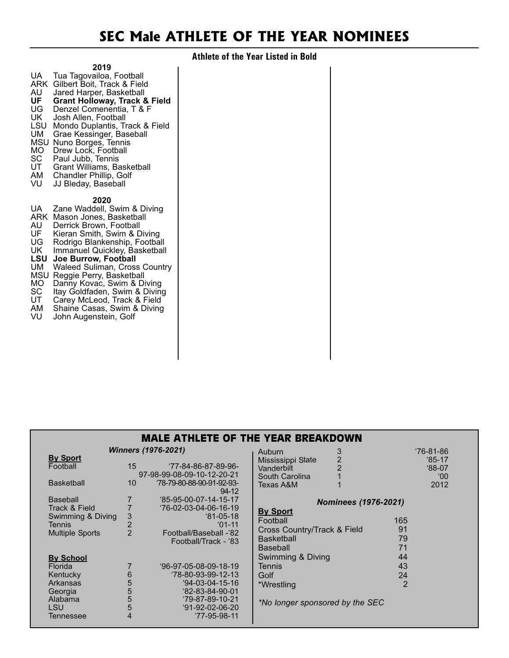#### **Athlete of the Year Listed in Bold**

|                  | 2019                                                        |  |
|------------------|-------------------------------------------------------------|--|
| UA<br>ARK        | Tua Tagovailoa, Football<br>Gilbert Boit, Track & Field     |  |
| AU               | Jared Harper, Basketball                                    |  |
| UF               | <b>Grant Holloway, Track &amp; Field</b>                    |  |
| UG.              | Denzel Comenentia, T & F                                    |  |
| UK.              | Josh Allen, Football                                        |  |
| LSU              | Mondo Duplantis, Track & Field                              |  |
| UM<br><b>MSU</b> | Grae Kessinger, Baseball<br>Nuno Borges, Tennis             |  |
| MO.              | Drew Lock, Football                                         |  |
| SC.              | Paul Jubb, Tennis                                           |  |
| UT               | Grant Williams, Basketball                                  |  |
| AM.              | Chandler Phillip, Golf                                      |  |
| VU.              | JJ Bleday, Baseball                                         |  |
|                  |                                                             |  |
|                  |                                                             |  |
| UA               | 2020                                                        |  |
| <b>ARK</b>       | Zane Waddell, Swim & Diving<br>Mason Jones, Basketball      |  |
| AU -             | Derrick Brown, Football                                     |  |
| UF               | Kieran Smith, Swim & Diving                                 |  |
| UG               | Rodrigo Blankenship, Football                               |  |
| UK.              | Immanuel Quickley, Basketball                               |  |
| <b>LSU</b>       | Joe Burrow, Football                                        |  |
| UM               | <b>Waleed Suliman, Cross Country</b>                        |  |
| MSU<br>MO.       | Reggie Perry, Basketball                                    |  |
| SC               | Danny Kovac, Swim & Diving<br>Itay Goldfaden, Swim & Diving |  |
| UT               | Carey McLeod, Track & Field                                 |  |
| AM.<br>VU        | Shaine Casas, Swim & Diving<br>John Augenstein, Golf        |  |

#### **MALE ATHLETE OF THE YEAR BREAKDOWN**

| <b>Winners (1976-2021)</b>                |                                         | Auburn                                                          | 3                               |                             | $'76 - 81 - 86$ |              |
|-------------------------------------------|-----------------------------------------|-----------------------------------------------------------------|---------------------------------|-----------------------------|-----------------|--------------|
| <b>By Sport</b>                           |                                         |                                                                 | Mississippi State               | $\overline{2}$              |                 | $85 - 17$    |
| Football                                  | 15                                      | 177-84-86-87-89-96-                                             | Vanderbilt                      | $\overline{2}$              |                 | $88-07$      |
|                                           |                                         | 97-98-99-08-09-10-12-20-21                                      | South Carolina                  |                             |                 | $00^{\circ}$ |
| <b>Basketball</b>                         | 10                                      | '78-79-80-88-90-91-92-93-<br>$94-12$                            | Texas A&M                       |                             |                 | 2012         |
| <b>Baseball</b>                           |                                         | $85 - 95 - 00 - 07 - 14 - 15 - 17$                              |                                 | <b>Nominees (1976-2021)</b> |                 |              |
| Track & Field                             |                                         | 16-02-03-04-06-16-19                                            | <b>By Sport</b>                 |                             |                 |              |
| Swimming & Diving<br><b>Tennis</b>        | 3<br>$\overline{2}$                     | $81 - 05 - 18$<br>$01 - 11$                                     | Football                        |                             | 165             |              |
| <b>Multiple Sports</b>                    | $\overline{2}$                          | Football/Baseball -'82                                          | Cross Country/Track & Field     |                             | 91              |              |
|                                           |                                         | Football/Track - '83                                            | <b>Basketball</b>               |                             | 79              |              |
|                                           |                                         |                                                                 | Baseball                        |                             | 71              |              |
| <b>By School</b>                          |                                         |                                                                 | Swimming & Diving               |                             | 44              |              |
| <b>Florida</b>                            |                                         | 96-97-05-08-09-18-19                                            | Tennis                          |                             | 43              |              |
| Kentucky                                  | 6                                       | 178-80-93-99-12-13                                              | Golf                            |                             | 24              |              |
| Arkansas                                  |                                         | $94-03-04-15-16$                                                | *Wrestling                      |                             | $\overline{2}$  |              |
| Georgia                                   |                                         | $82 - 83 - 84 - 90 - 01$                                        |                                 |                             |                 |              |
| Alabama<br><b>LSU</b><br><b>Tennessee</b> | 5<br>5<br>5<br>5<br>$\overline{5}$<br>4 | $'79 - 87 - 89 - 10 - 21$<br>$91-92-02-06-20$<br>$'77-95-98-11$ | *No longer sponsored by the SEC |                             |                 |              |
|                                           |                                         |                                                                 |                                 |                             |                 |              |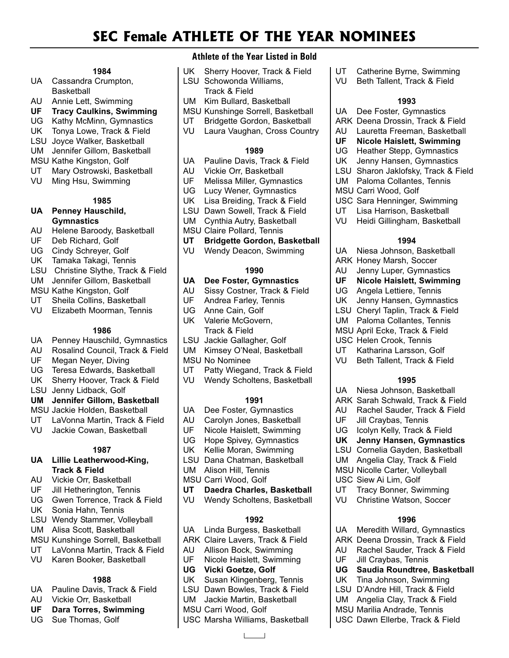#### **1984**

- UA Cassandra Crumpton, **Basketball**
- AU Annie Lett, Swimming
- **UF Tracy Caulkins, Swimming**
- UG Kathy McMinn, Gymnastics
- UK Tonya Lowe, Track & Field
- LSU Joyce Walker, Basketball
- UM Jennifer Gillom, Basketball
- MSU Kathe Kingston, Golf
- UT Mary Ostrowski, Basketball
- VU Ming Hsu, Swimming

#### **1985**

#### **UA Penney Hauschild, Gymnastics**

- AU Helene Baroody, Basketball<br>UF Deb Richard, Golf
- Deb Richard, Golf
- UG Cindy Schreyer, Golf
- UK Tamaka Takagi, Tennis
- LSU Christine Slythe, Track & Field
- UM Jennifer Gillom, Basketball
- MSU Kathe Kingston, Golf
- UT Sheila Collins, Basketball
- VU Elizabeth Moorman, Tennis

#### **1986**

- UA Penney Hauschild, Gymnastics
- AU Rosalind Council, Track & Field
- UF Megan Neyer, Diving
- UG Teresa Edwards, Basketball
- UK Sherry Hoover, Track & Field
- LSU Jenny Lidback, Golf

#### **UM Jennifer Gillom, Basketball**

- MSU Jackie Holden, Basketball
- UT LaVonna Martin, Track & Field
- VU Jackie Cowan, Basketball

#### **1987**

#### **UA Lillie Leatherwood-King, Track & Field**

- AU Vickie Orr, Basketball
- UF Jill Hetherington, Tennis
- UG Gwen Torrence, Track & Field
- UK Sonia Hahn, Tennis
- LSU Wendy Stammer, Volleyball
- UM Alisa Scott, Basketball
- MSU Kunshinge Sorrell, Basketball
- UT LaVonna Martin, Track & Field
- VU Karen Booker, Basketball

#### **1988**

- UA Pauline Davis, Track & Field
- AU Vickie Orr, Basketball<br>UF Dara Torres, Swimm
- **Dara Torres, Swimming**
- UG Sue Thomas, Golf

#### **Athlete of the Year Listed in Bold**

UT Catherine Byrne, Swimming VU Beth Tallent, Track & Field

UA Dee Foster, Gymnastics ARK Deena Drossin, Track & Field AU Lauretta Freeman, Basketball **UF Nicole Haislett, Swimming** UG Heather Stepp, Gymnastics UK Jenny Hansen, Gymnastics LSU Sharon Jaklofsky, Track & Field UM Paloma Collantes, Tennis

MSU Carri Wood, Golf

USC Sara Henninger, Swimming UT Lisa Harrison, Basketball VU Heidi Gillingham, Basketball

**1994** UA Niesa Johnson, Basketball ARK Honey Marsh, Soccer AU Jenny Luper, Gymnastics **UF Nicole Haislett, Swimming** UG Angela Lettiere, Tennis UK Jenny Hansen, Gymnastics LSU Cheryl Taplin, Track & Field UM Paloma Collantes, Tennis MSU April Ecke, Track & Field USC Helen Crook, Tennis UT Katharina Larsson, Golf<br>VU Beth Tallent, Track & Fie Beth Tallent, Track & Field

**1995** UA Niesa Johnson, Basketball ARK Sarah Schwald, Track & Field AU Rachel Sauder, Track & Field<br>UF Jill Cravbas, Tennis Jill Craybas, Tennis UG Icolyn Kelly, Track & Field **UK Jenny Hansen, Gymnastics** LSU Cornelia Gayden, Basketball UM Angelia Clay, Track & Field MSU Nicolle Carter, Volleyball USC Siew Ai Lim, Golf

UT Tracy Bonner, Swimming VU Christine Watson, Soccer

UF Jill Craybas, Tennis

**1996** UA Meredith Willard, Gymnastics ARK Deena Drossin, Track & Field AU Rachel Sauder, Track & Field

**UG Saudia Roundtree, Basketball** UK Tina Johnson, Swimming LSU D'Andre Hill, Track & Field UM Angelia Clay, Track & Field MSU Marilia Andrade, Tennis USC Dawn Ellerbe, Track & Field

**1993**

- UK Sherry Hoover, Track & Field
- LSU Schowonda Williams, Track & Field
- UM Kim Bullard, Basketball
- MSU Kunshinge Sorrell, Basketball
- UT Bridgette Gordon, Basketball
- VU Laura Vaughan, Cross Country

#### **1989**

- UA Pauline Davis, Track & Field
- AU Vickie Orr, Basketball
- UF Melissa Miller, Gymnastics
- UG Lucy Wener, Gymnastics<br>UK Lisa Breiding, Track & Fie
- Lisa Breiding, Track & Field
- LSU Dawn Sowell, Track & Field
- UM Cynthia Autry, Basketball
- MSU Claire Pollard, Tennis
- **UT Bridgette Gordon, Basketball**
- VU Wendy Deacon, Swimming

#### **1990**

#### **UA Dee Foster, Gymnastics**

- AU Sissy Costner, Track & Field
- UF Andrea Farley, Tennis<br>UG Anne Cain. Golf
- Anne Cain, Golf
- UK Valerie McGovern, Track & Field
- LSU Jackie Gallagher, Golf
- UM Kimsey O'Neal, Basketball
- MSU No Nominee
- UT Patty Wiegand, Track & Field<br>VU Wendy Scholtens, Basketball
- Wendy Scholtens, Basketball

#### **1991**

- UA Dee Foster, Gymnastics<br>AU Carolyn Jones, Basketba
- Carolyn Jones, Basketball
- UF Nicole Haislett, Swimming
- UG Hope Spivey, Gymnastics
- UK Kellie Moran, Swimming
- LSU Dana Chatman, Basketball
- UM Alison Hill, Tennis
- MSU Carri Wood, Golf
- **UT Daedra Charles, Basketball**
- VU Wendy Scholtens, Basketball

- UA Linda Burgess, Basketball
- ARK Claire Lavers, Track & Field
- AU Allison Bock, Swimming
- UF Nicole Haislett, Swimming
- **UG Vicki Goetze, Golf**
- UK Susan Klingenberg, Tennis
- LSU Dawn Bowles, Track & Field
- UM Jackie Martin, Basketball
- MSU Carri Wood, Golf USC Marsha Williams, Basketball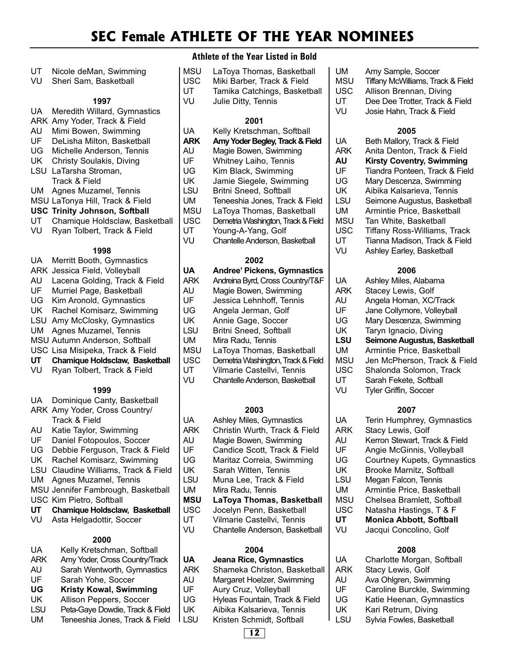|                         |                                                                        | A۱                       |
|-------------------------|------------------------------------------------------------------------|--------------------------|
| UT                      | Nicole deMan, Swimming                                                 | MSl                      |
| VU                      | Sheri Sam, Basketball                                                  | <b>USC</b><br>UT         |
|                         | 1997                                                                   | VU                       |
| UA<br><b>ARK</b>        | Meredith Willard, Gymnastics<br>Amy Yoder, Track & Field               |                          |
| AU                      | Mimi Bowen, Swimming                                                   | UA                       |
| UF<br>UG                | DeLisha Milton, Basketball<br>Michelle Anderson, Tennis                | <b>ARK</b><br>AU         |
| UK                      | Christy Soulakis, Diving                                               | UF                       |
| LSU                     | LaTarsha Stroman,                                                      | UG                       |
| UM                      | Track & Field<br>Agnes Muzamel, Tennis                                 | UK<br>LSU                |
|                         | MSU LaTonya Hill, Track & Field                                        | <b>UM</b>                |
| UT                      | <b>USC Trinity Johnson, Softball</b><br>Chamique Holdsclaw, Basketball | <b>MSL</b><br><b>USC</b> |
| VU                      | Ryan Tolbert, Track & Field                                            | UT                       |
|                         |                                                                        | VU                       |
| UA                      | 1998<br>Merritt Booth, Gymnastics                                      |                          |
| <b>ARK</b>              | Jessica Field, Volleyball                                              | UA                       |
| AU<br>UF                | Lacena Golding, Track & Field<br>Murriel Page, Basketball              | <b>ARK</b><br>AU         |
| UG                      | Kim Aronold, Gymnastics                                                | UF                       |
| UK<br>LSU               | Rachel Komisarz, Swimming<br>Amy McClosky, Gymnastics                  | UG<br>UK                 |
| UM                      | Agnes Muzamel, Tennis                                                  | LSU                      |
|                         | MSU Autumn Anderson, Softball                                          | <b>UM</b>                |
| UT                      | USC Lisa Misipeka, Track & Field<br>Chamique Holdsclaw, Basketball     | <b>MSL</b><br><b>USC</b> |
| VU                      | Ryan Tolbert, Track & Field                                            | UT                       |
|                         | 1999                                                                   | VU                       |
| <b>UA</b>               | Dominique Canty, Basketball                                            |                          |
|                         | ARK Amy Yoder, Cross Country/<br>Track & Field                         | UA                       |
| AU                      | Katie Taylor, Swimming                                                 | ARK                      |
| UF<br>UG                | Daniel Fotopoulos, Soccer<br>Debbie Ferguson, Track & Field            | AU<br>UF                 |
| UK                      | Rachel Komisarz, Swimming                                              | UG                       |
| LSU                     | Claudine Williams, Track & Field                                       | UK                       |
| <b>UM</b><br><b>MSU</b> | Agnes Muzamel, Tennis<br>Jennifer Fambrough, Basketball                | LSU<br>UM                |
| <b>USC</b>              | Kim Pietro, Softball                                                   | MSl                      |
| UT<br>VU                | Chamique Holdsclaw, Basketball<br>Asta Helgadottir, Soccer             | <b>USC</b><br>UT         |
|                         |                                                                        | VU                       |
| UA                      | 2000<br>Kelly Kretschman, Softball                                     |                          |
| ARK                     | Amy Yoder, Cross Country/Track                                         | UA                       |
| AU<br>UF                | Sarah Wentworth, Gymnastics<br>Sarah Yohe, Soccer                      | ARK<br>AU                |
| UG                      | <b>Kristy Kowal, Swimming</b>                                          | UF                       |
| UK                      | Allison Peppers, Soccer                                                | UG                       |
| LSU<br>UM               | Peta-Gaye Dowdie, Track & Field<br>Teneeshia Jones, Track & Field      | UK<br>LSU                |

#### **Athlete of the Year Listed in Bold**

| MSU<br>USC<br>UT<br>VU | LaToya Thomas, Basketball<br>Miki Barber, Track & Field<br>Tamika Catchings, Basketball<br>Julie Ditty, Tennis |
|------------------------|----------------------------------------------------------------------------------------------------------------|
|                        | 2001                                                                                                           |
| UA                     | Kelly Kretschman, Softball                                                                                     |
| ARK                    | Amy Yoder Begley, Track & Field                                                                                |
| AU                     | Magie Bowen, Swimming                                                                                          |
| UF                     | Whitney Laiho, Tennis                                                                                          |
| UG                     | Kim Black, Swimming                                                                                            |
| UK                     | Jamie Siegele, Swimming                                                                                        |
| LSU                    | Britni Sneed, Softball                                                                                         |
| UM                     | Teneeshia Jones, Track & Field                                                                                 |
| MSU                    | LaToya Thomas, Basketball                                                                                      |
| USC                    | Demetria Washington, Track & Field                                                                             |
| UT                     | Young-A-Yang, Golf                                                                                             |
| VU                     | Chantelle Anderson, Basketball                                                                                 |
|                        |                                                                                                                |

#### **2002**

| UA  | <b>Andree' Pickens, Gymnastics</b> |
|-----|------------------------------------|
| ARK | Andreina Byrd, Cross Country/T&F   |
| AU  | Magie Bowen, Swimming              |
| UF  | Jessica Lehnhoff, Tennis           |
| UG  | Angela Jerman, Golf                |
| UK  | Annie Gage, Soccer                 |
| LSU | Britni Sneed, Softball             |
| UM  | Mira Radu, Tennis                  |
| MSU | LaToya Thomas, Basketball          |
| USC | Demetria Washington, Track & Field |
| UT  | Vilmarie Castellvi, Tennis         |
| VU  | Chantelle Anderson, Basketball     |

#### **2003**

| UA         | <b>Ashley Miles, Gymnastics</b> |
|------------|---------------------------------|
| ARK        | Christin Wurth, Track & Field   |
| AU         | Magie Bowen, Swimming           |
| UF         | Candice Scott, Track & Field    |
| UG         | Maritaz Correia, Swimming       |
| UK         | Sarah Witten, Tennis            |
| LSU        | Muna Lee, Track & Field         |
| UM         | Mira Radu, Tennis               |
| <b>MSU</b> | LaToya Thomas, Basketball       |
| USC        | Jocelyn Penn, Basketball        |
| UT         | Vilmarie Castellvi, Tennis      |
| VU         | Chantelle Anderson, Basketball  |
|            |                                 |

#### **2004**

| UΑ<br>Jeana Rice, Gymnastics |  |
|------------------------------|--|
|------------------------------|--|

- ARK Shameka Christon, Basketball
- AU Margaret Hoelzer, Swimming<br>UF Aury Cruz, Volleyball
- UF Aury Cruz, Volleyball<br>UG Hyleas Fountain, Track
	- Hyleas Fountain, Track & Field
- UK Aibika Kalsarieva, Tennis
	- Kristen Schmidt, Softball

UM Amy Sample, Soccer MSU Tiffany McWilliams, Track & Field<br>USC Allison Brennan, Diving Allison Brennan, Diving UT Dee Dee Trotter, Track & Field<br>VU Josie Hahn. Track & Field Josie Hahn, Track & Field

#### **2005**

|            | 2005                                |
|------------|-------------------------------------|
| UA         | Beth Mallory, Track & Field         |
| ARK        | Anita Denton, Track & Field         |
| AU         | <b>Kirsty Coventry, Swimming</b>    |
| UF         | Tiandra Ponteen, Track & Field      |
| UG         | Mary Descenza, Swimming             |
| UK         | Aibika Kalsarieva, Tennis           |
| LSU        | Seimone Augustus, Basketball        |
| UM         | Armintie Price, Basketball          |
| <b>MSU</b> | Tan White, Basketball               |
| <b>USC</b> | <b>Tiffany Ross-Williams, Track</b> |
| UT         | Tianna Madison, Track & Field       |
| VU         | Ashley Earley, Basketball           |
|            | 2006                                |
| UA         | Ashley Miles, Alabama               |
| ARK        | Stacey Lewis, Golf                  |
| AU         | Angela Homan, XC/Track              |
| UF         | Jane Collymore, Volleyball          |
| UG         | Mary Descenza, Swimming             |
| UK         | Taryn Ignacio, Diving               |
| LSU        | Seimone Augustus, Basketball        |
| UM         | Armintie Price, Basketball          |
| MSU        | Jen McPherson, Track & Field        |
| <b>USC</b> | Shalonda Solomon, Track             |
| UT         | Sarah Fekete, Softball              |
| VU         | Tyler Griffin, Soccer               |
|            | 2007                                |
| UA         | Terin Humphrey, Gymnastics          |
| ARK        | Stacy Lewis, Golf                   |
| AU         | Kerron Stewart, Track & Field       |
| UF         | Angie McGinnis, Volleyball          |
| UG         | Courtney Kupets, Gymnastics         |
| l IK       | Rrooke Marnitz, Softhall,           |

- UK Brooke Marnitz, Softball
- LSU Megan Falcon, Tennis<br>UM Armintie Price, Baske Armintie Price, Basketball
- MSU Chelsea Bramlett, Softball
- USC Natasha Hastings, T & F
	-
- **UT** Monica Abbott, Softball<br>VU Jacqui Concolino, Golf Jacqui Concolino, Golf

#### **2008**

- UA Charlotte Morgan, Softball<br>ARK Stacy Lewis, Golf
	- Stacy Lewis, Golf
- AU Ava Ohlgren, Swimming<br>UF Caroline Burckle, Swim
- UF Caroline Burckle, Swimming<br>UG Katie Heenan, Gymnastics Katie Heenan, Gymnastics
	-
- UK Kari Retrum, Diving<br>LSU Sylvia Fowles, Baske Sylvia Fowles, Basketball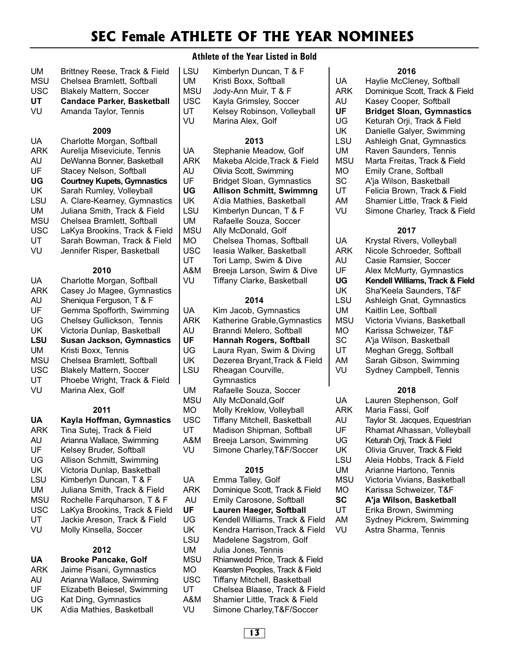| UM<br>MSU<br>USC<br>UT<br>VU | Brittney Reese, Track & Field<br>Chelsea Bramlett, Softball<br><b>Blakely Mattern, Soccer</b><br><b>Candace Parker, Basketball</b><br>Amanda Taylor, Tennis |
|------------------------------|-------------------------------------------------------------------------------------------------------------------------------------------------------------|
|                              | 2009                                                                                                                                                        |
| UA                           | Charlotte Morgan, Softball                                                                                                                                  |
| ARK                          | Aurelija Miseviciute, Tennis                                                                                                                                |
| AU                           | DeWanna Bonner, Basketball                                                                                                                                  |
| UF                           | Stacey Nelson, Softball                                                                                                                                     |
| UG                           | <b>Courtney Kupets, Gymnastics</b>                                                                                                                          |
| UK                           | Sarah Rumley, Volleyball                                                                                                                                    |
| LSU                          | A. Clare-Kearney, Gymnastics                                                                                                                                |
| UM                           | Juliana Smith, Track & Field                                                                                                                                |
| MSU                          | Chelsea Bramlett, Softball                                                                                                                                  |
| USC                          | LaKya Brookins, Track & Field                                                                                                                               |
| UT                           | Sarah Bowman, Track & Field                                                                                                                                 |
| VU                           | Jennifer Risper, Basketball                                                                                                                                 |
|                              |                                                                                                                                                             |

#### **2010**

| UA  | Charlotte Morgan, Softball       |
|-----|----------------------------------|
| ARK | Casey Jo Magee, Gymnastics       |
| AU  | Sheniqua Ferguson, T & F         |
| UF  | Gemma Spofforth, Swimming        |
| UG  | Chelsey Gullickson, Tennis       |
| UK  | Victoria Dunlap, Basketball      |
|     |                                  |
| LSU | <b>Susan Jackson, Gymnastics</b> |
| UM  | Kristi Boxx, Tennis              |
| MSU | Chelsea Bramlett, Softball       |
| USC | <b>Blakely Mattern, Soccer</b>   |
| UT  | Phoebe Wright, Track & Field     |
| VU  | Marina Alex. Golf                |

#### **2011**

| UА   | Kayla Hoffman, Gymnastics     |
|------|-------------------------------|
| ARK  | Tina Sutej, Track & Field     |
| AU   | Arianna Wallace, Swimming     |
| UF   | Kelsey Bruder, Softball       |
| UG   | Allison Schmitt, Swimming     |
| UK   | Victoria Dunlap, Basketball   |
| LSU  | Kimberlyn Duncan, T & F       |
| UM   | Juliana Smith, Track & Field  |
| MSU  | Rochelle Farquharson, T & F   |
| USC  | LaKya Brookins, Track & Field |
| UT   | Jackie Areson, Track & Field  |
| VU   | Molly Kinsella, Soccer        |
| 2012 |                               |

| UA         | <b>Brooke Pancake, Golf</b> |
|------------|-----------------------------|
| <b>ARK</b> | Jaime Pisani, Gymnastics    |
| AU         | Arianna Wallace, Swimming   |
| UF         | Elizabeth Beiesel, Swimming |
| UG         | Kat Ding, Gymnastics        |
| UK         | A'dia Mathies, Basketball   |

#### **Athlete of the Year Listed in Bold**

| LSU<br>UM<br>MSU<br>USC<br>UT<br>VU                                                   | Kimberlyn Duncan, T & F<br>Kristi Boxx, Softball<br>Jody-Ann Muir, T & F<br>Kayla Grimsley, Soccer<br>Kelsey Robinson, Volleyball<br>Marina Alex, Golf                                                                                                                                                                                                                                                          |
|---------------------------------------------------------------------------------------|-----------------------------------------------------------------------------------------------------------------------------------------------------------------------------------------------------------------------------------------------------------------------------------------------------------------------------------------------------------------------------------------------------------------|
|                                                                                       | 2013                                                                                                                                                                                                                                                                                                                                                                                                            |
| UA<br>ARK<br>AU<br>UF<br>UG<br>UK<br>LSU<br>UM<br>MSU<br>МO<br>USC<br>UT<br>A&M<br>VU | Stephanie Meadow, Golf<br>Makeba Alcide, Track & Field<br>Olivia Scott, Swimming<br><b>Bridget Sloan, Gymnastics</b><br><b>Allison Schmitt, Swimmng</b><br>A'dia Mathies, Basketball<br>Kimberlyn Duncan, T & F<br>Rafaelle Souza, Soccer<br>Ally McDonald, Golf<br>Chelsea Thomas, Softball<br>leasia Walker, Basketball<br>Tori Lamp, Swim & Dive<br>Breeja Larson, Swim & Dive<br>Tiffany Clarke, Basketball |
| 2014                                                                                  |                                                                                                                                                                                                                                                                                                                                                                                                                 |
| UA                                                                                    | Kim Jacob, Gymnastics                                                                                                                                                                                                                                                                                                                                                                                           |

|     | www.casset.com                      |
|-----|-------------------------------------|
| ARK | Katherine Grable, Gymnastics        |
| AU  | Branndi Melero, Softball            |
| UF  | <b>Hannah Rogers, Softball</b>      |
| UG  | Laura Ryan, Swim & Diving           |
| UK  | Dezerea Bryant, Track & Field       |
| LSU | Rheagan Courville,                  |
|     | Gymnastics                          |
| UM  | Rafaelle Souza, Soccer              |
| MSU | Ally McDonald, Golf                 |
| MО  | Molly Kreklow, Volleyball           |
| USC | <b>Tiffany Mitchell, Basketball</b> |
| UT  | Madison Shipman, Softball           |
| A&M | Breeja Larson, Swimming             |
| VU  | Simone Charley, T&F/Soccer          |

| UA  | Emma Talley, Golf               |
|-----|---------------------------------|
|     |                                 |
| ARK | Dominique Scott, Track & Field  |
| AU  | Emily Carosone, Softball        |
| UF  | Lauren Haeger, Softball         |
| UG  | Kendell Williams, Track & Field |
| UK  | Kendra Harrison, Track & Field  |
| LSU | Madelene Sagstrom, Golf         |
| UM  | Julia Jones, Tennis             |
| MSU | Rhianwedd Price, Track & Field  |
| MО  | Kearsten Peoples, Track & Field |
| USC | Tiffany Mitchell, Basketball    |
| UT  | Chelsea Blaase, Track & Field   |

- 
- A&M Shamier Little, Track & Field VU Simone Charley,T&F/Soccer

|                 | 2016                                                                                  |
|-----------------|---------------------------------------------------------------------------------------|
| UA<br>ARK<br>AU | Haylie McCleney, Softball<br>Dominique Scott, Track & Field<br>Kasey Cooper, Softball |
| UF              | <b>Bridget Sloan, Gymnastics</b>                                                      |
| UG              | Keturah Orji, Track & Field                                                           |
| UK              | Danielle Galyer, Swimming                                                             |
| LSU             | Ashleigh Gnat, Gymnastics                                                             |
| UM              | Raven Saunders, Tennis                                                                |
| MSU             | Marta Freitas, Track & Field                                                          |
| MO              | Emily Crane, Softball                                                                 |
| SC<br>UT        | A'ja Wilson, Basketball                                                               |
| AM              | Felicia Brown, Track & Field<br>Shamier Little, Track & Field                         |
| VU              | Simone Charley, Track & Field                                                         |
|                 |                                                                                       |
|                 | 2017                                                                                  |
| UA              | Krystal Rivers, Volleyball                                                            |
| ARK             | Nicole Schroeder, Softball                                                            |
| AU              | Casie Ramsier, Soccer                                                                 |
| UF              | Alex McMurty, Gymnastics                                                              |
| UG              | Kendell Williams, Track & Field                                                       |
| UK              | Sha'Keela Saunders, T&F                                                               |
| LSU             | Ashleigh Gnat, Gymnastics                                                             |
| UM              | Kaitlin Lee, Softball                                                                 |
| MSU             | Victoria Vivians, Basketball                                                          |
| <b>MO</b>       | Karissa Schweizer, T&F                                                                |
| SC              | A'ja Wilson, Basketball                                                               |
| UT              | Meghan Gregg, Softball                                                                |
| AM              | Sarah Gibson, Swimming                                                                |
| VU              | Sydney Campbell, Tennis                                                               |
|                 | 2018                                                                                  |
| UA              | Lauren Stephenson, Golf                                                               |
| ARK             | Maria Fassi, Golf                                                                     |
| AU              | Taylor St. Jacques, Equestrian                                                        |
| UF              | Rhamat Alhassan, Volleyball                                                           |
| UG              | Keturah Orji, Track & Field                                                           |
| UK              | Olivia Gruver, Track & Field                                                          |
|                 |                                                                                       |

- LSU Aleia Hobbs, Track & Field
- UM Arianne Hartono, Tennis
- MSU Victoria Vivians, Basketball<br>MO Karissa Schweizer, T&F
- MO Karissa Schweizer, T&F<br>SC A'ia Wilson, Basketball
- **SC A'ja Wilson, Basketball**<br>UT Erika Brown, Swimming
	- Erika Brown, Swimming
- AM Sydney Pickrem, Swimming<br>VU Astra Sharma, Tennis
	- Astra Sharma, Tennis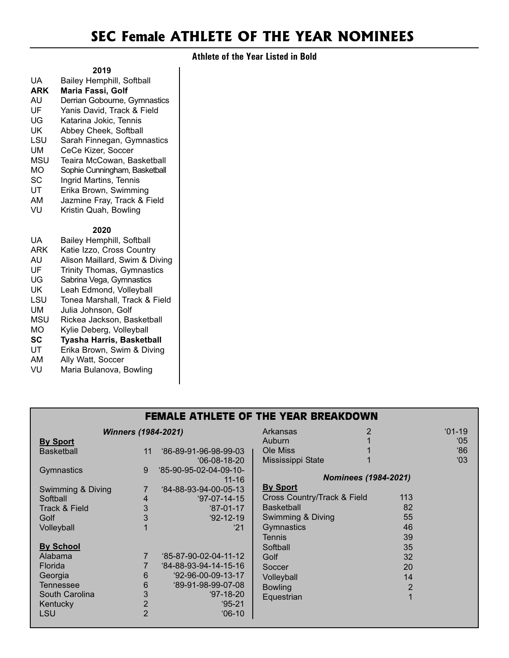#### **Athlete of the Year Listed in Bold**

#### **2019**

- UA Bailey Hemphill, Softball
- **ARK Maria Fassi, Golf**
- AU Derrian Gobourne, Gymnastics<br>UF Yanis David, Track & Field Yanis David, Track & Field
- 
- UG Katarina Jokic, Tennis<br>UK Abbey Cheek, Softball Abbey Cheek, Softball
- 
- LSU Sarah Finnegan, Gymnastics<br>UM CeCe Kizer, Soccer CeCe Kizer, Soccer
- 
- MSU Teaira McCowan, Basketball<br>MO Sophie Cunningham, Basketball Sophie Cunningham, Basketball
- 
- SC Ingrid Martins, Tennis<br>UT Erika Brown, Swimmir Erika Brown, Swimming
- AM Jazmine Fray, Track & Field<br>VU Kristin Quah, Bowling
- Kristin Quah, Bowling

#### **2020**

| UA           | Bailey Hemphill, Softball         |
|--------------|-----------------------------------|
| ARK          | Katie Izzo, Cross Country         |
| AU           | Alison Maillard, Swim & Diving    |
| UF           | <b>Trinity Thomas, Gymnastics</b> |
| UG           | Sabrina Vega, Gymnastics          |
| UK           | Leah Edmond, Volleyball           |
| LSU          | Tonea Marshall, Track & Field     |
| UM           | Julia Johnson, Golf               |
| MSU          | Rickea Jackson, Basketball        |
| MО           | Kylie Deberg, Volleyball          |
| SC           | Tyasha Harris, Basketball         |
| UT           | Erika Brown, Swim & Diving        |
| AM           | Ally Watt, Soccer                 |
| . <i>.</i> . |                                   |

VU Maria Bulanova, Bowling

*Winners (1984-2021)*

| <b>FEMALE ATHLETE OF THE YEAR BREAKDOWN</b> |  |
|---------------------------------------------|--|
|---------------------------------------------|--|

Arkansas 2 '01-19

|                   |                |                         | , ,,,,,,,,,,,,              |                |     |
|-------------------|----------------|-------------------------|-----------------------------|----------------|-----|
| <b>By Sport</b>   |                |                         | <b>Auburn</b>               |                | 05  |
| <b>Basketball</b> | 11             | $96-89-91-96-98-99-03$  | Ole Miss                    |                | 86' |
|                   |                | $06-08-18-20$           | Mississippi State           |                | 03  |
| Gymnastics        | 9              | $95-90-95-02-04-09-10-$ |                             |                |     |
|                   |                | $11 - 16$               | <b>Nominees (1984-2021)</b> |                |     |
| Swimming & Diving |                | $94-88-93-94-00-05-13$  | <b>By Sport</b>             |                |     |
| Softball          | 4              | $97-07-14-15$           | Cross Country/Track & Field | 113            |     |
| Track & Field     | 3              | $87-01-17$              | <b>Basketball</b>           | 82             |     |
| Golf              | 3              | $92 - 12 - 19$          | Swimming & Diving           | 55             |     |
| Volleyball        |                | $^{\circ}21$            | <b>Gymnastics</b>           | 46             |     |
|                   |                |                         | <b>Tennis</b>               | 39             |     |
| <b>By School</b>  |                |                         | Softball                    | 35             |     |
| Alabama           |                | 185-87-90-02-04-11-12   | Golf                        | 32             |     |
| <b>Florida</b>    |                | 64-88-93-94-14-15-16    | Soccer                      | 20             |     |
| Georgia           | 6              | $92-96-00-09-13-17$     | Volleyball                  | 14             |     |
| Tennessee         | 6              | $89-91-98-99-07-08$     | <b>Bowling</b>              | $\overline{2}$ |     |
| South Carolina    | 3              | $97-18-20$              | Equestrian                  |                |     |
| Kentucky          | $\overline{2}$ | $95 - 21$               |                             |                |     |
| <b>LSU</b>        | $\overline{2}$ | $06-10$                 |                             |                |     |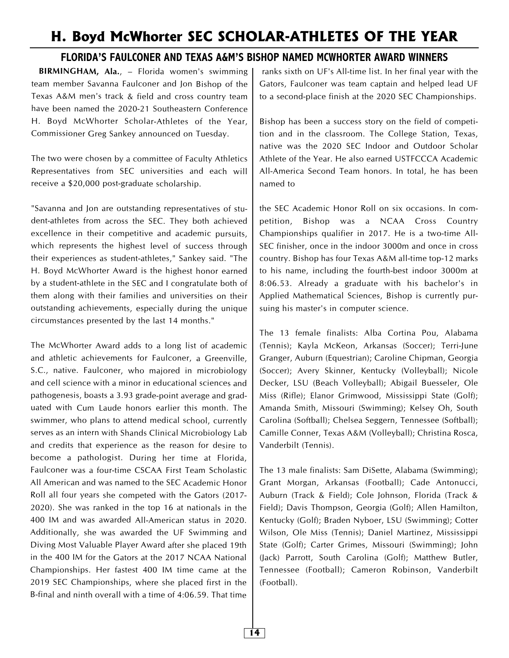# **H. Boyd McWhorter SEC SCHOLAR-ATHLETES OF THE YEAR**

#### **FLORIDA'S FAULCONER AND TEXAS A&M'S BISHOP NAMED MCWHORTER AWARD WINNERS**

**BIRMINGHAM, Ala.**, – Florida women's swimming team member Savanna Faulconer and Jon Bishop of the Texas A&M men's track & field and cross country team have been named the 2020-21 Southeastern Conference H. Boyd McWhorter Scholar-Athletes of the Year, Commissioner Greg Sankey announced on Tuesday.

The two were chosen by a committee of Faculty Athletics Representatives from SEC universities and each will receive a \$20,000 post-graduate scholarship.

"Savanna and Jon are outstanding representatives of student-athletes from across the SEC. They both achieved excellence in their competitive and academic pursuits, which represents the highest level of success through their experiences as student-athletes," Sankey said. "The H. Boyd McWhorter Award is the highest honor earned by a student-athlete in the SEC and I congratulate both of them along with their families and universities on their outstanding achievements, especially during the unique circumstances presented by the last 14 months."

The McWhorter Award adds to a long list of academic and athletic achievements for Faulconer, a Greenville, S.C., native. Faulconer, who majored in microbiology and cell science with a minor in educational sciences and pathogenesis, boasts a 3.93 grade-point average and graduated with Cum Laude honors earlier this month. The swimmer, who plans to attend medical school, currently serves as an intern with Shands Clinical Microbiology Lab and credits that experience as the reason for desire to become a pathologist. During her time at Florida, Faulconer was a four-time CSCAA First Team Scholastic All American and was named to the SEC Academic Honor Roll all four years she competed with the Gators (2017- 2020). She was ranked in the top 16 at nationals in the 400 IM and was awarded All-American status in 2020. Additionally, she was awarded the UF Swimming and Diving Most Valuable Player Award after she placed 19th in the 400 IM for the Gators at the 2017 NCAA National Championships. Her fastest 400 IM time came at the 2019 SEC Championships, where she placed first in the B-final and ninth overall with a time of 4:06.59. That time

ranks sixth on UF's All-time list. In her final year with the Gators, Faulconer was team captain and helped lead UF to a second-place finish at the 2020 SEC Championships.

Bishop has been a success story on the field of competition and in the classroom. The College Station, Texas, native was the 2020 SEC Indoor and Outdoor Scholar Athlete of the Year. He also earned USTFCCCA Academic All-America Second Team honors. In total, he has been named to

the SEC Academic Honor Roll on six occasions. In competition, Bishop was a NCAA Cross Country Championships qualifier in 2017. He is a two-time All-SEC finisher, once in the indoor 3000m and once in cross country. Bishop has four Texas A&M all-time top-12 marks to his name, including the fourth-best indoor 3000m at 8:06.53. Already a graduate with his bachelor's in Applied Mathematical Sciences, Bishop is currently pursuing his master's in computer science.

The 13 female finalists: Alba Cortina Pou, Alabama (Tennis); Kayla McKeon, Arkansas (Soccer); Terri-June Granger, Auburn (Equestrian); Caroline Chipman, Georgia (Soccer); Avery Skinner, Kentucky (Volleyball); Nicole Decker, LSU (Beach Volleyball); Abigail Buesseler, Ole Miss (Rifle); Elanor Grimwood, Mississippi State (Golf); Amanda Smith, Missouri (Swimming); Kelsey Oh, South Carolina (Softball); Chelsea Seggern, Tennessee (Softball); Camille Conner, Texas A&M (Volleyball); Christina Rosca, Vanderbilt (Tennis).

The 13 male finalists: Sam DiSette, Alabama (Swimming); Grant Morgan, Arkansas (Football); Cade Antonucci, Auburn (Track & Field); Cole Johnson, Florida (Track & Field); Davis Thompson, Georgia (Golf); Allen Hamilton, Kentucky (Golf); Braden Nyboer, LSU (Swimming); Cotter Wilson, Ole Miss (Tennis); Daniel Martinez, Mississippi State (Golf); Carter Grimes, Missouri (Swimming); John (Jack) Parrott, South Carolina (Golf); Matthew Butler, Tennessee (Football); Cameron Robinson, Vanderbilt (Football).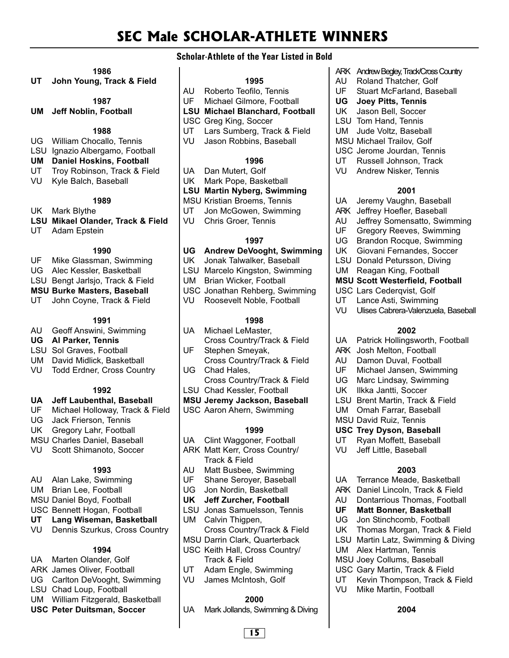# **SEC Male SCHOLAR-ATHLETE WINNERS**

#### **Scholar-Athlete of the Year Listed in Bold**

#### **1986**

**UT John Young, Track & Field**

#### **1987**

**UM Jeff Noblin, Football**

#### **1988**

- UG William Chocallo, Tennis
- LSU Ignazio Albergamo, Football
- **UM Daniel Hoskins, Football**<br>UT Trov Robinson, Track & Fie
- Troy Robinson, Track & Field
- VU Kyle Balch, Baseball

#### **1989**

- UK Mark Blythe
- **LSU Mikael Olander, Track & Field**
- UT Adam Epstein

#### **1990**

- UF Mike Glassman, Swimming
- UG Alec Kessler, Basketball
- LSU Bengt Jarlsjo, Track & Field

#### **MSU Burke Masters, Baseball**

UT John Coyne, Track & Field

#### **1991**

- AU Geoff Answini, Swimming
- **UG Al Parker, Tennis**
- LSU Sol Graves, Football
- UM David Midlick, Basketball
- VU Todd Erdner, Cross Country

#### **1992**

#### **UA Jeff Laubenthal, Baseball**

- UF Michael Holloway, Track & Field UG Jack Frierson, Tennis
- UK Gregory Lahr, Football
- MSU Charles Daniel, Baseball
- VU Scott Shimanoto, Soccer

#### **1993**

- AU Alan Lake, Swimming
- UM Brian Lee, Football
- MSU Daniel Boyd, Football
- USC Bennett Hogan, Football
- **UT Lang Wiseman, Basketball**
- VU Dennis Szurkus, Cross Country

#### **1994**

UA Marten Olander, Golf ARK James Oliver, Football UG Carlton DeVooght, Swimming LSU Chad Loup, Football UM William Fitzgerald, Basketball **USC Peter Duitsman, Soccer** 

- **1995**
- AU Roberto Teofilo, Tennis
- UF Michael Gilmore, Football
- **LSU Michael Blanchard, Football**
- USC Greg King, Soccer
- UT Lars Sumberg, Track & Field
- VU Jason Robbins, Baseball

#### **1996**

- UA Dan Mutert, Golf
- UK Mark Pope, Basketball
- **LSU Martin Nyberg, Swimming**
- MSU Kristian Broems, Tennis
- UT Jon McGowen, Swimming<br>VU Chris Groer, Tennis
- Chris Groer, Tennis

#### **1997**

#### **UG Andrew DeVooght, Swimming**

- UK Jonak Talwalker, Baseball
- LSU Marcelo Kingston, Swimming
- UM Brian Wicker, Football
- USC Jonathan Rehberg, Swimming
- VU Roosevelt Noble, Football

#### **1998**

- UA Michael LeMaster, Cross Country/Track & Field
- UF Stephen Smeyak, Cross Country/Track & Field
- UG Chad Hales, Cross Country/Track & Field
- LSU Chad Kessler, Football

#### **MSU Jeremy Jackson, Baseball**

USC Aaron Ahern, Swimming

#### **1999**

- UA Clint Waggoner, Football ARK Matt Kerr, Cross Country/
- Track & Field
- AU Matt Busbee, Swimming
- UF Shane Seroyer, Baseball
- UG Jon Nordin, Basketball
- **UK Jeff Zurcher, Football**
- LSU Jonas Samuelsson, Tennis
- UM Calvin Thigpen, Cross Country/Track & Field
- MSU Darrin Clark, Quarterback
- USC Keith Hall, Cross Country/ Track & Field
- UT Adam Engle, Swimming
- VU James McIntosh, Golf

#### **2000**

**15**

UA Mark Jollands, Swimming & Diving

- ARK Andrew Begley, Track/Cross Country
- AU Roland Thatcher, Golf<br>UF Stuart McFarland, Bas
- Stuart McFarland, Baseball
- **UG Joey Pitts, Tennis**
- UK Jason Bell, Soccer
- LSU Tom Hand, Tennis
- UM Jude Voltz, Baseball
- MSU Michael Trailov, Golf
- USC Jerome Jourdan, Tennis
- UT Russell Johnson, Track
- VU Andrew Nisker, Tennis

#### **2001**

AU Jeffrey Somensatto, Swimming UF Gregory Reeves, Swimming UG Brandon Rocque, Swimming UK Giovani Fernandes, Soccer LSU Donald Petursson, Diving UM Reagan King, Football **MSU Scott Westerfield, Football**

Ulises Cabrera-Valenzuela, Baseball

**2002** UA Patrick Hollingsworth, Football

- UA Jeremy Vaughn, Baseball
- ARK Jeffrey Hoefler, Baseball

USC Lars Cederqvist, Golf UT Lance Asti, Swimming<br>VU Ulises Cabrera-Valenzuel

ARK Josh Melton, Football AU Damon Duval, Football UF Michael Jansen, Swimming UG Marc Lindsay, Swimming UK Ilkka Jantti, Soccer

LSU Brent Martin, Track & Field UM Omah Farrar, Baseball MSU David Ruiz, Tennis **USC Trey Dyson, Baseball** UT Ryan Moffett, Baseball VU Jeff Little, Baseball

**2003** UA Terrance Meade, Basketball ARK Daniel Lincoln, Track & Field AU Dontarrious Thomas, Football **UF Matt Bonner, Basketball** UG Jon Stinchcomb, Football UK Thomas Morgan, Track & Field LSU Martin Latz, Swimming & Diving

UM Alex Hartman, Tennis MSU Joey Collums, Baseball USC Gary Martin, Track & Field UT Kevin Thompson, Track & Field

VU Mike Martin, Football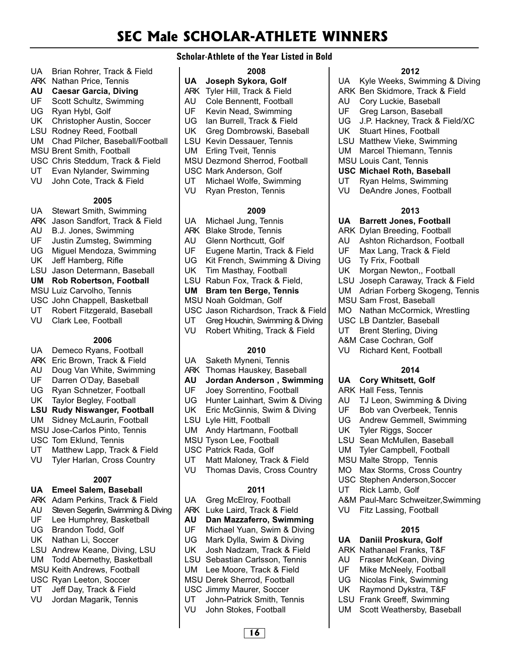#### **Scholar-Athlete of the Year Listed in Bold**

#### **2008**

**UA Joseph Sykora, Golf**

UA Brian Rohrer, Track & Field ARK Nathan Price, Tennis **AU Caesar Garcia, Diving** UF Scott Schultz, Swimming

UK Christopher Austin, Soccer LSU Rodney Reed, Football

MSU Brent Smith, Football

UM Chad Pilcher, Baseball/Football

USC Chris Steddum, Track & Field UT Evan Nylander, Swimming VU John Cote, Track & Field

**2005**

UA Stewart Smith, Swimming ARK Jason Sandfort, Track & Field

LSU Jason Determann, Baseball **UM Rob Robertson, Football** MSU Luiz Carvolho, Tennis USC John Chappell, Basketball UT Robert Fitzgerald, Baseball

**2006**

AU B.J. Jones, Swimming UF Justin Zumsteg, Swimming UG Miguel Mendoza, Swimming

UK Jeff Hamberg, Rifle

VU Clark Lee, Football

UA Demeco Ryans, Football ARK Eric Brown, Track & Field AU Doug Van White, Swimming UF Darren O'Day, Baseball UG Ryan Schnetzer, Football UK Taylor Begley, Football **LSU Rudy Niswanger, Football** UM Sidney McLaurin, Football MSU Jose-Carlos Pinto, Tennis USC Tom Eklund, Tennis

UT Matthew Lapp, Track & Field VU Tyler Harlan, Cross Country

**UA Emeel Salem, Baseball** ARK Adam Perkins, Track & Field AU Steven Segerlin, Swimming & Diving UF Lee Humphrey, Basketball UG Brandon Todd, Golf UK Nathan Li, Soccer

LSU Andrew Keane, Diving, LSU UM Todd Abernethy, Basketball MSU Keith Andrews, Football USC Ryan Leeton, Soccer UT Jeff Day, Track & Field VU Jordan Magarik, Tennis

**2007**

UG Ryan Hybl, Golf

- ARK Tyler Hill, Track & Field
- AU Cole Bennentt, Football
- UF Kevin Nead, Swimming
- UG Ian Burrell, Track & Field UK Greg Dombrowski, Baseball
- LSU Kevin Dessauer, Tennis
- UM Erling Tveit, Tennis
- MSU Dezmond Sherrod, Football
- USC Mark Anderson, Golf
- UT Michael Wolfe, Swimming
- VU Ryan Preston, Tennis

- **2009** UA Michael Jung, Tennis
- ARK Blake Strode, Tennis
- AU Glenn Northcutt, Golf
- UF Eugene Martin, Track & Field
- UG Kit French, Swimming & Diving
- UK Tim Masthay, Football
- LSU Rabun Fox, Track & Field,
- **UM Bram ten Berge, Tennis**

- MSU Noah Goldman, Golf
- USC Jason Richardson, Track & Field
- UT Greg Houchin, Swimming & Diving
- VU Robert Whiting, Track & Field

#### **2010**

- UA Saketh Myneni, Tennis
- ARK Thomas Hauskey, Baseball
- **AU Jordan Anderson , Swimming**
- UF Joey Sorrentino, Football
- UG Hunter Lainhart, Swim & Diving
- UK Eric McGinnis, Swim & Diving
- LSU Lyle Hitt, Football
- UM Andy Hartmann, Football
- MSU Tyson Lee, Football
- USC Patrick Rada, Golf
- UT Matt Maloney, Track & Field
- VU Thomas Davis, Cross Country

#### **2011**

- UA Greg McElroy, Football
- ARK Luke Laird, Track & Field
- **AU Dan Mazzaferro, Swimming**
- Michael Yuan, Swim & Diving
- UG Mark Dylla, Swim & Diving
- UK Josh Nadzam, Track & Field
- LSU Sebastian Carlsson, Tennis
- UM Lee Moore, Track & Field
- MSU Derek Sherrod, Football
- USC Jimmy Maurer, Soccer
- UT John-Patrick Smith, Tennis

**16**

VU John Stokes, Football

#### **2012**

- UA Kyle Weeks, Swimming & Diving
- ARK Ben Skidmore, Track & Field
- AU Cory Luckie, Baseball
- UF Greg Larson, Baseball
- UG J.P. Hackney, Track & Field/XC
- UK Stuart Hines, Football
- LSU Matthew Vieke, Swimming
- UM Marcel Thiemann, Tennis
- MSU Louis Cant, Tennis

#### **USC Michael Roth, Baseball**

- UT Ryan Helms, Swimming
- VU DeAndre Jones, Football

#### **2013**

#### **UA Barrett Jones, Football**

- ARK Dylan Breeding, Football
- AU Ashton Richardson, Football
- UF Max Lang, Track & Field
- UG Ty Frix, Football
- UK Morgan Newton,, Football
- LSU Joseph Caraway, Track & Field
- UM Adrian Forberg Skogeng, Tennis
- MSU Sam Frost, Baseball
- MO Nathan McCormick, Wrestling
- USC LB Dantzler, Baseball
- UT Brent Sterling, Diving
- A&M Case Cochran, Golf
- VU Richard Kent, Football

#### **2014**

- **UA Cory Whitsett, Golf**
- ARK Hall Fess, Tennis
- AU TJ Leon, Swimming & Diving
- UF Bob van Overbeek, Tennis
- UG Andrew Gemmell, Swimming
- UK Tyler Riggs, Soccer
- LSU Sean McMullen, Baseball
- UM Tyler Campbell, Football
- MSU Malte Stropp, Tennis
- MO Max Storms, Cross Country
- USC Stephen Anderson,Soccer
- UT Rick Lamb, Golf
- A&M Paul-Marc Schweitzer,Swimming
- VU Fitz Lassing, Football

#### **2015**

#### **UA Daniil Proskura, Golf**

ARK Nathanael Franks, T&F AU Fraser McKean, Diving

UF Mike McNeely, Football UG Nicolas Fink, Swimming UK Raymond Dykstra, T&F LSU Frank Greeff, Swimming UM Scott Weathersby, Baseball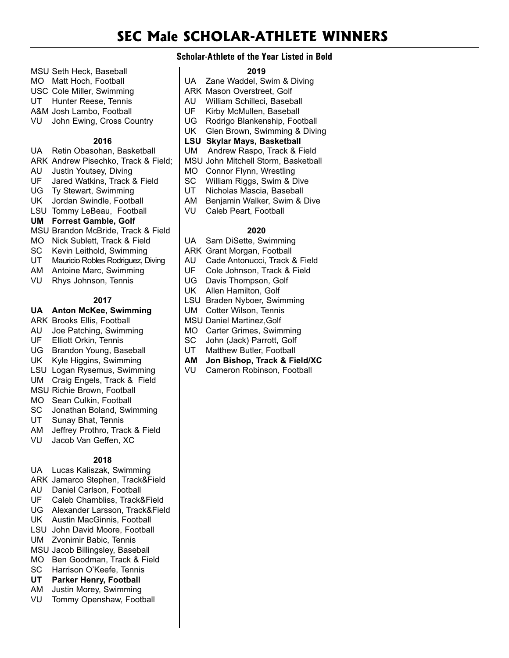#### **Scholar-Athlete of the Year Listed in Bold**

#### **2019**

- UA Zane Waddel, Swim & Diving
- ARK Mason Overstreet, Golf
	- AU William Schilleci, Baseball
	- UF Kirby McMullen, Baseball
	- UG Rodrigo Blankenship, Football
	- UK Glen Brown, Swimming & Diving

#### **LSU Skylar Mays, Basketball**

- UM Andrew Raspo, Track & Field
- MSU John Mitchell Storm, Basketball
- MO Connor Flynn, Wrestling
- SC William Riggs, Swim & Dive
- UT Nicholas Mascia, Baseball<br>AM Beniamin Walker. Swim &
- Benjamin Walker, Swim & Dive
- VU Caleb Peart, Football

#### **2020**

- UA Sam DiSette, Swimming
- ARK Grant Morgan, Football
- AU Cade Antonucci, Track & Field
- UF Cole Johnson, Track & Field
- UG Davis Thompson, Golf
- UK Allen Hamilton, Golf
- LSU Braden Nyboer, Swimming
- UM Cotter Wilson, Tennis
	- MSU Daniel Martinez,Golf
	- MO Carter Grimes, Swimming
	- SC John (Jack) Parrott, Golf
	- UT Matthew Butler, Football
	- **AM Jon Bishop, Track & Field/XC**
	- VU Cameron Robinson, Football
- MSU Seth Heck, Baseball MO Matt Hoch, Football USC Cole Miller, Swimming UT Hunter Reese, Tennis A&M Josh Lambo, Football
- VU John Ewing, Cross Country

#### **2016**

- UA Retin Obasohan, Basketball ARK Andrew Pisechko, Track & Field; AU Justin Youtsey, Diving UF Jared Watkins, Track & Field UG Ty Stewart, Swimming UK Jordan Swindle, Football LSU Tommy LeBeau, Football **UM Forrest Gamble, Golf** MSU Brandon McBride, Track & Field
- MO Nick Sublett, Track & Field
- SC Kevin Leithold, Swimming
- UT Mauricio Robles Rodriguez, Diving
- AM Antoine Marc, Swimming
- VU Rhys Johnson, Tennis

#### **2017**

#### **UA Anton McKee, Swimming**

- ARK Brooks Ellis, Football
- AU Joe Patching, Swimming
- UF Elliott Orkin, Tennis
- UG Brandon Young, Baseball
- UK Kyle Higgins, Swimming
- LSU Logan Rysemus, Swimming
- UM Craig Engels, Track & Field
- MSU Richie Brown, Football
- MO Sean Culkin, Football
- SC Jonathan Boland, Swimming<br>UT Sunay Bhat, Tennis
- Sunay Bhat, Tennis
- AM Jeffrey Prothro, Track & Field
- VU Jacob Van Geffen, XC

- UA Lucas Kaliszak, Swimming
- ARK Jamarco Stephen, Track&Field
- AU Daniel Carlson, Football
- UF Caleb Chambliss, Track&Field
- UG Alexander Larsson, Track&Field
- UK Austin MacGinnis, Football
- LSU John David Moore, Football
- UM Zvonimir Babic, Tennis
- MSU Jacob Billingsley, Baseball
- MO Ben Goodman, Track & Field
- SC Harrison O'Keefe, Tennis
- **UT Parker Henry, Football**
- AM Justin Morey, Swimming VU Tommy Openshaw, Football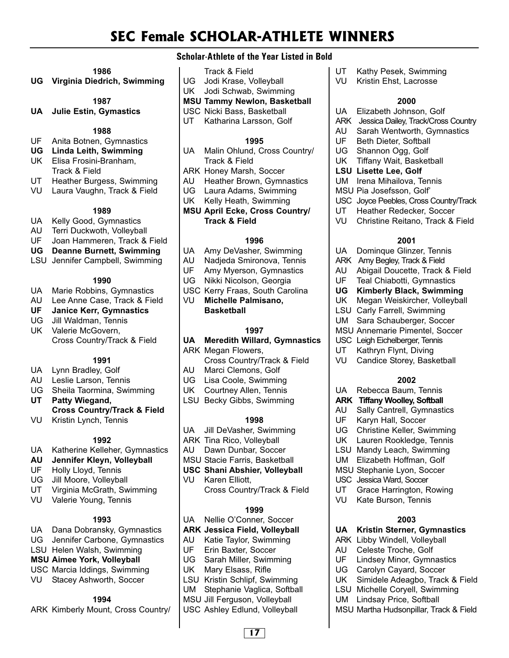# **SEC Female SCHOLAR-ATHLETE WINNERS**

#### **Scholar-Athlete of the Year Listed in Bold**

#### **1986**

**UG Virginia Diedrich, Swimming**

**1987**

**UA Julie Estin, Gymastics**

#### **1988**

- UF Anita Botnen, Gymnastics
- **UG Linda Leith, Swimming**
- UK Elisa Frosini-Branham, Track & Field
- UT Heather Burgess, Swimming
- VU Laura Vaughn, Track & Field

#### **1989**

- UA Kelly Good, Gymnastics
- AU Terri Duckwoth, Volleyball
- UF Joan Hammeren, Track & Field
- **UG Deanne Burnett, Swimming**
- LSU Jennifer Campbell, Swimming

#### **1990**

- UA Marie Robbins, Gymnastics
- AU Lee Anne Case, Track & Field
- **UF Janice Kerr, Gymnastics**
- UG Jill Waldman, Tennis
- UK Valerie McGovern, Cross Country/Track & Field

#### **1991**

- UA Lynn Bradley, Golf
- AU Leslie Larson, Tennis
- UG Sheila Taormina, Swimming
- **UT Patty Wiegand, Cross Country/Track & Field**
- VU Kristin Lynch, Tennis

#### **1992**

- UA Katherine Kelleher, Gymnastics
- **AU Jennifer Kleyn, Volleyball**
- UF Holly Lloyd, Tennis
- UG Jill Moore, Volleyball
- UT Virginia McGrath, Swimming
- VU Valerie Young, Tennis

#### **1993**

- UA Dana Dobransky, Gymnastics UG Jennifer Carbone, Gymnastics
- LSU Helen Walsh, Swimming **MSU Aimee York, Volleyball**
- USC Marcia Iddings, Swimming
- VU Stacey Ashworth, Soccer
- 

#### **1994**

ARK Kimberly Mount, Cross Country/

- Track & Field UG Jodi Krase, Volleyball UK Jodi Schwab, Swimming
- **MSU Tammy Newlon, Basketball**
- USC Nicki Bass, Basketball
- UT Katharina Larsson, Golf

#### **1995**

- UA Malin Ohlund, Cross Country/ Track & Field
- ARK Honey Marsh, Soccer
- AU Heather Brown, Gymnastics
- UG Laura Adams, Swimming
- UK Kelly Heath, Swimming
- **MSU April Ecke, Cross Country/ Track & Field**

#### **1996**

- UA Amy DeVasher, Swimming
- AU Nadjeda Smironova, Tennis
- UF Amy Myerson, Gymnastics
- UG Nikki Nicolson, Georgia
- USC Kerry Fraas, South Carolina
- VU **Michelle Palmisano, Basketball**

#### **1997**

- **UA Meredith Willard, Gymnastics**
- ARK Megan Flowers, Cross Country/Track & Field
- AU Marci Clemons, Golf
- UG Lisa Coole, Swimming
- UK Courtney Allen, Tennis
- LSU Becky Gibbs, Swimming

#### **1998**

- UA Jill DeVasher, Swimming
- ARK Tina Rico, Volleyball
- AU Dawn Dunbar, Soccer
- MSU Stacie Farris, Basketball
- **USC Shani Abshier, Volleyball**
- VU Karen Elliott, Cross Country/Track & Field

#### **1999**

#### UA Nellie O'Conner, Soccer

- **ARK Jessica Field, Volleyball**
- AU Katie Taylor, Swimming<br>UF Erin Baxter, Soccer
- Erin Baxter, Soccer
- UG Sarah Miller, Swimming
- UK Mary Elsass, Rifle
- LSU Kristin Schlipf, Swimming
- UM Stephanie Vaglica, Softball
- MSU Jill Ferguson, Volleyball

#### USC Ashley Edlund, Volleyball

**17**

- UT Kathy Pesek, Swimming
- VU Kristin Ehst, Lacrosse

#### **2000**

- UA Elizabeth Johnson, Golf
- ARK Jessica Dailey, Track/Cross Country
- AU Sarah Wentworth, Gymnastics
- UF Beth Dieter, Softball
- UG Shannon Ogg, Golf
- UK Tiffany Wait, Basketball
- **LSU Lisette Lee, Golf**
- UM Irena Mihailova, Tennis

UT Heather Redecker, Soccer VU Christine Reitano, Track & Field

**2001** UA Dominque Glinzer, Tennis ARK Amy Begley, Track & Field AU Abigail Doucette, Track & Field UF Teal Chiabotti, Gymnastics **UG Kimberly Black, Swimming** UK Megan Weiskircher, Volleyball LSU Carly Farrell, Swimming UM Sara Schauberger, Soccer MSU Annemarie Pimentel, Soccer USC Leigh Eichelberger, Tennis UT Kathryn Flynt, Diving VU Candice Storey, Basketball

**2002**

**2003 UA Kristin Sterner, Gymnastics** ARK Libby Windell, Volleyball AU Celeste Troche, Golf UF Lindsey Minor, Gymnastics UG Carolyn Cayard, Soccer

UK Simidele Adeagbo, Track & Field LSU Michelle Coryell, Swimming UM Lindsay Price, Softball

MSU Martha Hudsonpillar, Track & Field

UA Rebecca Baum, Tennis **ARK Tiffany Woolley, Softball** AU Sally Cantrell, Gymnastics<br>UF Karvn Hall, Soccer Karyn Hall, Soccer UG Christine Keller, Swimming UK Lauren Rookledge, Tennis LSU Mandy Leach, Swimming UM Elizabeth Hoffman, Golf MSU Stephanie Lyon, Soccer USC Jessica Ward, Soccer UT Grace Harrington, Rowing VU Kate Burson, Tennis

MSU Pia Josefsson, Golf' USC Joyce Peebles, Cross Country/Track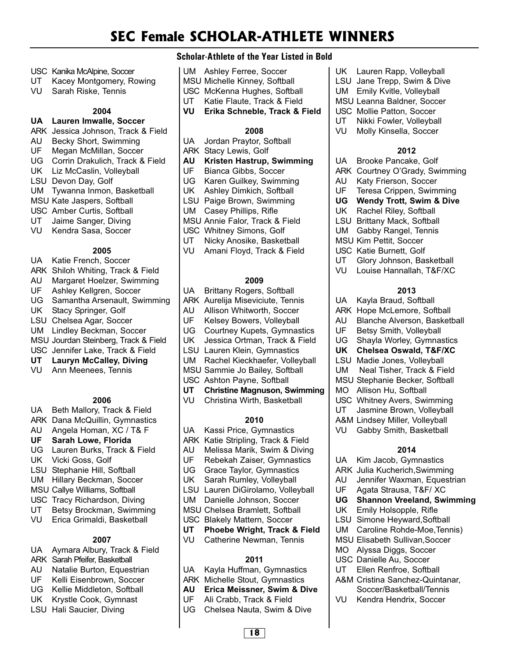# **SEC Female SCHOLAR-ATHLETE WINNERS**

- USC Kanika McAlpine, Soccer
- UT Kacey Montgomery, Rowing
- VU Sarah Riske, Tennis

#### **2004**

- **UA Lauren Imwalle, Soccer**
- ARK Jessica Johnson, Track & Field
- AU Becky Short, Swimming
- UF Megan McMillan, Soccer
- UG Corrin Drakulich, Track & Field
- UK Liz McCaslin, Volleyball
- LSU Devon Day, Golf
- UM Tywanna Inmon, Basketball
- MSU Kate Jaspers, Softball
- USC Amber Curtis, Softball
- UT Jaime Sanger, Diving
- VU Kendra Sasa, Soccer

#### **2005**

- UA Katie French, Soccer
- ARK Shiloh Whiting, Track & Field
- AU Margaret Hoelzer, Swimming
- UF Ashley Kellgren, Soccer
- UG Samantha Arsenault, Swimming
- UK Stacy Springer, Golf
- LSU Chelsea Agar, Soccer
- UM Lindley Beckman, Soccer
- MSU Jourdan Steinberg, Track & Field

## USC Jennifer Lake, Track & Field

- **UT Lauryn McCalley, Diving**
- VU Ann Meenees, Tennis

#### **2006**

- UA Beth Mallory, Track & Field
- ARK Dana McQuillin, Gymnastics
- AU Angela Homan, XC / T& F
- **UF Sarah Lowe, Florida**
- UG Lauren Burks, Track & Field
- UK Vicki Goss, Golf
- LSU Stephanie Hill, Softball
- UM Hillary Beckman, Soccer MSU Callye Williams, Softball
- USC Tracy Richardson, Diving
- UT Betsy Brockman, Swimming
- VU Erica Grimaldi, Basketball

#### **2007**

- UA Aymara Albury, Track & Field
- ARK Sarah Pfeifer, Basketball
- AU Natalie Burton, Equestrian
- UF Kelli Eisenbrown, Soccer
- UG Kellie Middleton, Softball
- UK Krystle Cook, Gymnast
- LSU Hali Saucier, Diving

**Scholar-Athlete of the Year Listed in Bold**

UK Lauren Rapp, Volleyball LSU Jane Trepp, Swim & Dive UM Emily Kvitle, Volleyball MSU Leanna Baldner, Soccer USC Mollie Patton, Soccer UT Nikki Fowler, Volleyball VU Molly Kinsella, Soccer

UA Brooke Pancake, Golf ARK Courtney O'Grady, Swimming

AU Katy Frierson, Soccer UF Teresa Crippen, Swimming **UG Wendy Trott, Swim & Dive** UK Rachel Riley, Softball LSU Brittany Mack, Softball UM Gabby Rangel, Tennis MSU Kim Pettit, Soccer USC Katie Burnett, Golf

UT Glory Johnson, Basketball VU Louise Hannallah, T&F/XC

USC Whitney Avers, Swimming UT Jasmine Brown, Volleyball A&M Lindsey Miller, Volleyball VU Gabby Smith, Basketball

UA Kim Jacob, Gymnastics ARK Julia Kucherich,Swimming AU Jennifer Waxman, Equestrian UF Agata Strausa, T&F/ XC

UK Emily Holsopple, Rifle LSU Simone Heyward,Softball UM Caroline Rohde-Moe,Tennis) MSU Elisabeth Sullivan,Soccer MO Alyssa Diggs, Soccer USC Danielle Au, Soccer UT Ellen Renfroe, Softball A&M Cristina Sanchez-Quintanar, Soccer/Basketball/Tennis VU Kendra Hendrix, Soccer

**2014**

**UG Shannon Vreeland, Swimming**

UA Kayla Braud, Softball ARK Hope McLemore, Softball AU Blanche Alverson, Basketball UF Betsy Smith, Volleyball UG Shayla Worley, Gymnastics **UK Chelsea Oswald, T&F/XC** LSU Madie Jones, Volleyball UM Neal Tisher, Track & Field MSU Stephanie Becker, Softball MO Allison Hu, Softball

**2013**

**2012**

- UM Ashley Ferree, Soccer
- MSU Michelle Kinney, Softball
- USC McKenna Hughes, Softball
- UT Katie Flaute, Track & Field
- **VU Erika Schneble, Track & Field**

#### **2008**

- UA Jordan Praytor, Softball<br>ARK Stacy Lewis, Golf
- Stacy Lewis, Golf
- **AU Kristen Hastrup, Swimming**
- UF Bianca Gibbs, Soccer
- UG Karen Guilkey, Swimming
- UK Ashley Dimkich, Softball
- LSU Paige Brown, Swimming
- UM Casey Phillips, Rifle
- MSU Annie Falor, Track & Field
- USC Whitney Simons, Golf
- UT Nicky Anosike, Basketball
- VU Amani Floyd, Track & Field

#### **2009**

- UA Brittany Rogers, Softball
- ARK Aurelija Miseviciute, Tennis
- AU Allison Whitworth, Soccer
- UF Kelsey Bowers, Volleyball
- UG Courtney Kupets, Gymnastics
- UK Jessica Ortman, Track & Field
- LSU Lauren Klein, Gymnastics
- UM Rachel Kieckhaefer, Volleyball
- MSU Sammie Jo Bailey, Softball
- USC Ashton Payne, Softball
- **UT Christine Magnuson, Swimming**
- VU Christina Wirth, Basketball

#### **2010**

- UA Kassi Price, Gymnastics
- ARK Katie Stripling, Track & Field
- AU Melissa Marik, Swim & Diving
- UF Rebekah Zaiser, Gymnastics
- UG Grace Taylor, Gymnastics
- UK Sarah Rumley, Volleyball
- LSU Lauren DiGirolamo, Volleyball
- UM Danielle Johnson, Soccer
- MSU Chelsea Bramlett, Softball
- USC Blakely Mattern, Soccer
- **UT Phoebe Wright, Track & Field**
- VU Catherine Newman, Tennis

#### **2011**

- UA Kayla Huffman, Gymnastics
- ARK Michelle Stout, Gymnastics
- **AU Erica Meissner, Swim & Dive**
- UF Ali Crabb, Track & Field UG Chelsea Nauta, Swim & Dive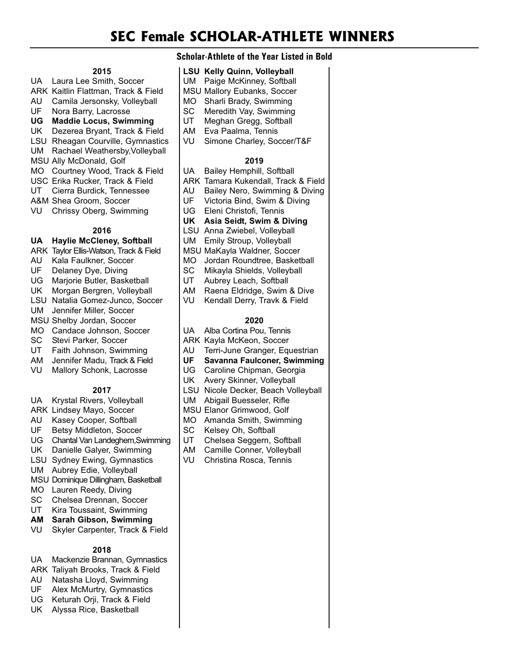# **SEC Female SCHOLAR-ATHLETE WINNERS**

#### **Scholar-Athlete of the Year Listed in Bold**

#### **2015**

- UA Laura Lee Smith, Soccer
- ARK Kaitlin Flattman, Track & Field AU Camila Jersonsky, Volleyball
- UF Nora Barry, Lacrosse
- **UG Maddie Locus, Swimming**
- UK Dezerea Bryant, Track & Field
- LSU Rheagan Courville, Gymnastics
- UM Rachael Weathersby,Volleyball
- MSU Ally McDonald, Golf
- MO Courtney Wood, Track & Field
- USC Erika Rucker, Track & Field
- UT Cierra Burdick, Tennessee
- A&M Shea Groom, Soccer
- VU Chrissy Oberg, Swimming

#### **2016**

#### **UA Haylie McCleney, Softball**

- ARK Taylor Ellis-Watson, Track & Field
- AU Kala Faulkner, Soccer
- UF Delaney Dye, Diving
- UG Marjorie Butler, Basketball
- UK Morgan Bergren, Volleyball
- LSU Natalia Gomez-Junco, Soccer
- UM Jennifer Miller, Soccer
- MSU Shelby Jordan, Soccer
- MO Candace Johnson, Soccer
- SC Stevi Parker, Soccer
- UT Faith Johnson, Swimming
- AM Jennifer Madu, Track & Field
- VU Mallory Schonk, Lacrosse

#### **2017**

- UA Krystal Rivers, Volleyball ARK Lindsey Mayo, Soccer AU Kasey Cooper, Softball UF Betsy Middleton, Soccer UG Chantal Van Landeghem,Swimming UK Danielle Galyer, Swimming LSU Sydney Ewing, Gymnastics
- UM Aubrey Edie, Volleyball
- MSU Dominique Dillingham, Basketball
- MO Lauren Reedy, Diving
- SC Chelsea Drennan, Soccer
- UT Kira Toussaint, Swimming
- **AM Sarah Gibson, Swimming**
- VU Skyler Carpenter, Track & Field

#### **2018**

- UA Mackenzie Brannan, Gymnastics
- ARK Taliyah Brooks, Track & Field
- AU Natasha Lloyd, Swimming
- UF Alex McMurtry, Gymnastics
- UG Keturah Orji, Track & Field
- UK Alyssa Rice, Basketball

#### **LSU Kelly Quinn, Volleyball**

- UM Paige McKinney, Softball
- MSU Mallory Eubanks, Soccer
- MO Sharli Brady, Swimming
- SC Meredith Vay, Swimming
- UT Meghan Gregg, Softball
- AM Eva Paalma, Tennis
- VU Simone Charley, Soccer/T&F

#### **2019**

- UA Bailey Hemphill, Softball
- ARK Tamara Kukendall, Track & Field
- AU Bailey Nero, Swimming & Diving<br>UF Victoria Bind, Swim & Diving
- Victoria Bind, Swim & Diving
- UG Eleni Christofi, Tennis
- **UK Asia Seidt, Swim & Diving**
- LSU Anna Zwiebel, Volleyball
- UM Emily Stroup, Volleyball
- MSU MaKayla Waldner, Soccer
- MO Jordan Roundtree, Basketball
- SC Mikayla Shields, Volleyball
- UT Aubrey Leach, Softball
- AM Raena Eldridge, Swim & Dive
- VU Kendall Derry, Travk & Field

- UA Alba Cortina Pou, Tennis
- ARK Kayla McKeon, Soccer
- AU Terri-June Granger, Equestrian
- **UF Savanna Faulconer, Swimming**
- UG Caroline Chipman, Georgia
- UK Avery Skinner, Volleyball
- LSU Nicole Decker, Beach Volleyball
- UM Abigail Buesseler, Rifle
- MSU Elanor Grimwood, Golf
- MO Amanda Smith, Swimming
- SC Kelsey Oh, Softball
- UT Chelsea Seggern, Softball
- AM Camille Conner, Volleyball
- VU Christina Rosca, Tennis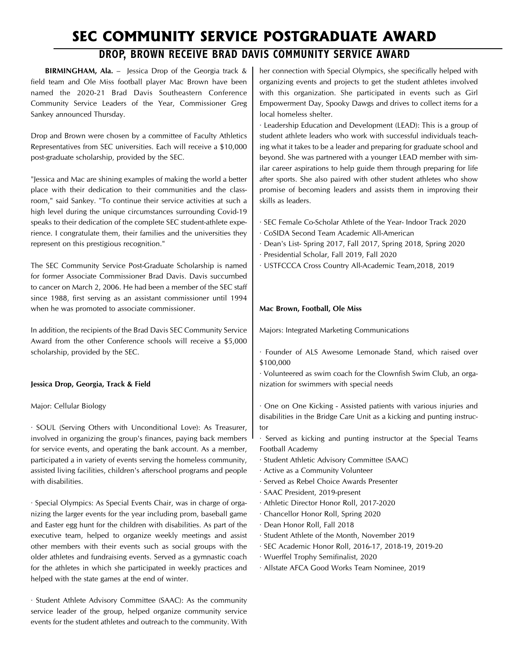# **SEC COMMUNITY SERVICE POSTGRADUATE AWARD DROP, BROWN RECEIVE BRAD DAVIS COMMUNITY SERVICE AWARD**

**BIRMINGHAM, Ala.** – Jessica Drop of the Georgia track & field team and Ole Miss football player Mac Brown have been named the 2020-21 Brad Davis Southeastern Conference Community Service Leaders of the Year, Commissioner Greg Sankey announced Thursday.

Drop and Brown were chosen by a committee of Faculty Athletics Representatives from SEC universities. Each will receive a \$10,000 post-graduate scholarship, provided by the SEC.

"Jessica and Mac are shining examples of making the world a better place with their dedication to their communities and the classroom," said Sankey. "To continue their service activities at such a high level during the unique circumstances surrounding Covid-19 speaks to their dedication of the complete SEC student-athlete experience. I congratulate them, their families and the universities they represent on this prestigious recognition."

The SEC Community Service Post-Graduate Scholarship is named for former Associate Commissioner Brad Davis. Davis succumbed to cancer on March 2, 2006. He had been a member of the SEC staff since 1988, first serving as an assistant commissioner until 1994 when he was promoted to associate commissioner.

In addition, the recipients of the Brad Davis SEC Community Service Award from the other Conference schools will receive a \$5,000 scholarship, provided by the SEC.

#### **Jessica Drop, Georgia, Track & Field**

#### Major: Cellular Biology

· SOUL (Serving Others with Unconditional Love): As Treasurer, involved in organizing the group's finances, paying back members for service events, and operating the bank account. As a member, participated a in variety of events serving the homeless community, assisted living facilities, children's afterschool programs and people with disabilities.

· Special Olympics: As Special Events Chair, was in charge of organizing the larger events for the year including prom, baseball game and Easter egg hunt for the children with disabilities. As part of the executive team, helped to organize weekly meetings and assist other members with their events such as social groups with the older athletes and fundraising events. Served as a gymnastic coach for the athletes in which she participated in weekly practices and helped with the state games at the end of winter.

· Student Athlete Advisory Committee (SAAC): As the community service leader of the group, helped organize community service events for the student athletes and outreach to the community. With her connection with Special Olympics, she specifically helped with organizing events and projects to get the student athletes involved with this organization. She participated in events such as Girl Empowerment Day, Spooky Dawgs and drives to collect items for a local homeless shelter.

· Leadership Education and Development (LEAD): This is a group of student athlete leaders who work with successful individuals teaching what it takes to be a leader and preparing for graduate school and beyond. She was partnered with a younger LEAD member with similar career aspirations to help guide them through preparing for life after sports. She also paired with other student athletes who show promise of becoming leaders and assists them in improving their skills as leaders.

- · SEC Female Co-Scholar Athlete of the Year- Indoor Track 2020
- · CoSIDA Second Team Academic All-American
- · Dean's List- Spring 2017, Fall 2017, Spring 2018, Spring 2020
- · Presidential Scholar, Fall 2019, Fall 2020
- · USTFCCCA Cross Country All-Academic Team,2018, 2019

#### **Mac Brown, Football, Ole Miss**

Majors: Integrated Marketing Communications

· Founder of ALS Awesome Lemonade Stand, which raised over \$100,000

· Volunteered as swim coach for the Clownfish Swim Club, an organization for swimmers with special needs

· One on One Kicking - Assisted patients with various injuries and disabilities in the Bridge Care Unit as a kicking and punting instructor

· Served as kicking and punting instructor at the Special Teams Football Academy

- · Student Athletic Advisory Committee (SAAC)
- · Active as a Community Volunteer
- · Served as Rebel Choice Awards Presenter
- · SAAC President, 2019-present
- · Athletic Director Honor Roll, 2017-2020
- · Chancellor Honor Roll, Spring 2020
- · Dean Honor Roll, Fall 2018
- · Student Athlete of the Month, November 2019
- · SEC Academic Honor Roll, 2016-17, 2018-19, 2019-20
- · Wuerffel Trophy Semifinalist, 2020
- · Allstate AFCA Good Works Team Nominee, 2019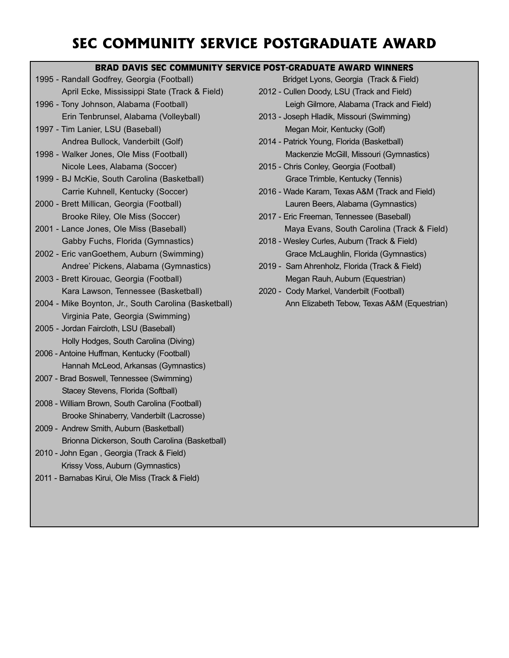# **SEC COMMUNITY SERVICE POSTGRADUATE AWARD**

#### **BRAD DAVIS SEC COMMUNITY SERVICE POST-GRADUATE AWARD WINNERS**

- 1995 Randall Godfrey, Georgia (Football) April Ecke, Mississippi State (Track & Field)
- 1996 Tony Johnson, Alabama (Football) Erin Tenbrunsel, Alabama (Volleyball)
- 1997 Tim Lanier, LSU (Baseball) Andrea Bullock, Vanderbilt (Golf)
- 1998 Walker Jones, Ole Miss (Football) Nicole Lees, Alabama (Soccer)
- 1999 BJ McKie, South Carolina (Basketball) Carrie Kuhnell, Kentucky (Soccer)
- 2000 Brett Millican, Georgia (Football) Brooke Riley, Ole Miss (Soccer)
- 2001 Lance Jones, Ole Miss (Baseball) Gabby Fuchs, Florida (Gymnastics)
- 2002 Eric vanGoethem, Auburn (Swimming) Andree' Pickens, Alabama (Gymnastics)
- 2003 Brett Kirouac, Georgia (Football) Kara Lawson, Tennessee (Basketball)
- 2004 Mike Boynton, Jr., South Carolina (Basketball) Virginia Pate, Georgia (Swimming)
- 2005 Jordan Faircloth, LSU (Baseball) Holly Hodges, South Carolina (Diving)
- 2006 Antoine Huffman, Kentucky (Football) Hannah McLeod, Arkansas (Gymnastics)
- 2007 Brad Boswell, Tennessee (Swimming) Stacey Stevens, Florida (Softball)
- 2008 William Brown, South Carolina (Football) Brooke Shinaberry, Vanderbilt (Lacrosse)
- 2009 Andrew Smith, Auburn (Basketball) Brionna Dickerson, South Carolina (Basketball)
- 2010 John Egan , Georgia (Track & Field) Krissy Voss, Auburn (Gymnastics)
- 2011 Barnabas Kirui, Ole Miss (Track & Field)
- Bridget Lyons, Georgia (Track & Field)
- 2012 Cullen Doody, LSU (Track and Field) Leigh Gilmore, Alabama (Track and Field)
- 2013 Joseph Hladik, Missouri (Swimming) Megan Moir, Kentucky (Golf)
- 2014 Patrick Young, Florida (Basketball) Mackenzie McGill, Missouri (Gymnastics)
- 2015 Chris Conley, Georgia (Football) Grace Trimble, Kentucky (Tennis)
- 2016 Wade Karam, Texas A&M (Track and Field) Lauren Beers, Alabama (Gymnastics)
- 2017 Eric Freeman, Tennessee (Baseball) Maya Evans, South Carolina (Track & Field)
- 2018 Wesley Curles, Auburn (Track & Field) Grace McLaughlin, Florida (Gymnastics)
- 2019 Sam Ahrenholz, Florida (Track & Field) Megan Rauh, Auburn (Equestrian)
- 2020 Cody Markel, Vanderbilt (Football) Ann Elizabeth Tebow, Texas A&M (Equestrian)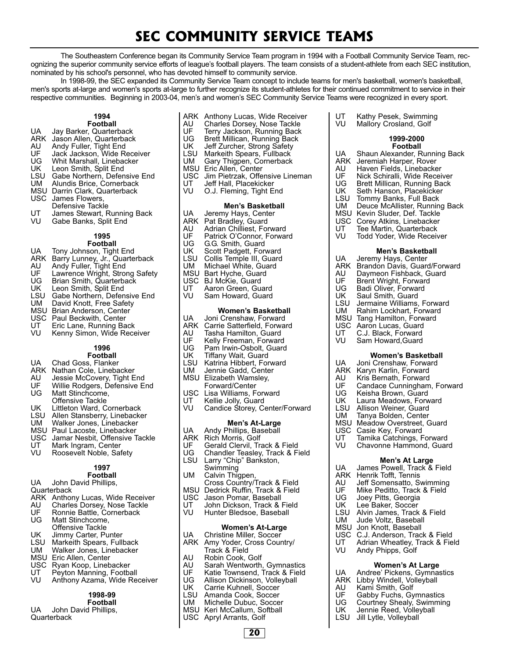# **SEC COMMUNITY SERVICE TEAMS**

The Southeastern Conference began its Community Service Team program in 1994 with a Football Community Service Team, recognizing the superior community service efforts of league's football players. The team consists of a student-athlete from each SEC institution, nominated by his school's personnel, who has devoted himself to community service.

In 1998-99, the SEC expanded its Community Service Team concept to include teams for men's basketball, women's basketball, men's sports at-large and women's sports at-large to further recognize its student-athletes for their continued commitment to service in their respective communities. Beginning in 2003-04, men's and women's SEC Community Service Teams were recognized in every sport.

#### **1994**

#### **Football** UA Jay Barker, Quarterback

- 
- **ARK** Jason Allen, Quarterback<br>AU Andy Fuller, Tight End
- AU Andy Fuller, Tight End<br>UF Jack Jackson, Wide Re UF Jack Jackson, Wide Receiver
- UG Whit Marshall, Linebacker
- UK Leon Smith, Split End
- LSU Gabe Northern, Defensive End<br>UM Alundis Brice, Cornerback
- Alundis Brice, Cornerback
- MSU Darrin Clark, Quarterback
- USC James Flowers,
- Defensive Tackle
- UT James Stewart, Running Back<br>VU Gabe Banks, Split End
- Gabe Banks, Split End

#### **1995**

- **Football**
- UA Tony Johnson, Tight End
- ARK Barry Lunney, Jr., Quarterback
- AU Andy Fuller, Tight End
- UF Lawrence Wright, Strong Safety<br>UG Brian Smith, Quarterback UG Brian Smith, Quarterback
- UK Leon Smith, Split End
- 
- LSU Gabe Northern, Defensive End<br>UM David Knott, Free Safety David Knott, Free Safety
- MSU Brian Anderson, Center
- USC Paul Beckwith, Center
- 
- UT Eric Lane, Running Back<br>VU Kenny Simon, Wide Rece Kenny Simon, Wide Receiver

#### **1996**

- **Football**
- UA Chad Goss, Flanker
- ARK Nathan Cole, Linebacker<br>AU Jessie McCovery, Tight E
- AU Jessie McCovery, Tight End<br>UF Willie Rodgers, Defensive Ei
- UF Willie Rodgers, Defensive End<br>UG Matt Stinchcome. Matt Stinchcome,
- Offensive Tackle
- UK Littleton Ward, Cornerback
- LSU Allen Stansberry, Linebacker<br>UM Walker Jones, Linebacker
- UM Walker Jones, Linebacker
- MSU Paul Lacoste, Linebacker<br>USC Jamar Nesbit, Offensive T
- USC Jamar Nesbit, Offensive Tackle<br>UT Mark Ingram, Center
- UT Mark Ingram, Center<br>VU Roosevelt Noble, Saf
- Roosevelt Noble, Safety

#### **1997**

- **Football**
- UA John David Phillips,
- **Quarterback**
- ARK Anthony Lucas, Wide Receiver<br>AU Charles Dorsey, Nose Tackle
- AU Charles Dorsey, Nose Tackle
- UF Ronnie Battle, Cornerback UG Matt Stinchcome,
- Offensive Tackle
- UK Jimmy Carter, Punter
- 
- LSU Markeith Spears, Fullback<br>UM Walker Jones, Linebacker Walker Jones, Linebacker
- MSU Eric Allen, Center
- USC Ryan Koop, Linebacker<br>UT Peyton Manning, Footba
- UT Peyton Manning, Football
- VU Anthony Azama, Wide Receiver

#### **1998-99**

- **Football** UA John David Phillips,
- **Quarterback**

ARK Anthony Lucas, Wide Receiver<br>AU Charles Dorsey, Nose Tackle .<br>AU Charles Dorsey, Nose Tackle<br>UF Terry Jackson. Running Back

UT Kathy Pesek, Swimming<br>VU Mallory Crosland, Golf Mallory Crosland, Golf

MSU Kevin Sluder, Def. Tackle USC Corey Atkins, Linebacker<br>UT Tee Martin, Quarterback UT Tee Martin, Quarterback VU Todd Yoder, Wide Receiver

UA Jeremy Hays, Center

**1999-2000 Football** UA Shaun Alexander, Running Back<br>ARK Jeremiah Harper, Rover ARK Jeremiah Harper, Rover<br>AU Haven Fields, Linebacke AU Haven Fields, Linebacker UF Nick Schiralli, Wide Receiver UG Brett Millican, Running Back UK Seth Hanson, Placekicker<br>LSU Tommy Banks, Full Back LSU Tommy Banks, Full Back<br>UM Deuce McAllister, Runnin

Deuce McAllister, Running Back

**Men's Basketball**

**Women's Basketball**

UF Candace Cunningham, Forward<br>UG Keisha Brown, Guard

ARK Brandon Davis, Guard/Forward<br>AU Daymeon Fishback, Guard AU Daymeon Fishback, Guard<br>UF Brent Wright, Forward UF Brent Wright, Forward<br>UG Badi Oliver, Forward UG Badi Oliver, Forward<br>UK Saul Smith, Guard UK Saul Smith, Guard<br>LSU Jermaine Williams.

LSU Jermaine Williams, Forward<br>UM Rahim Lockhart, Forward Rahim Lockhart, Forward MSU Tang Hamilton, Forward USC Aaron Lucas, Guard<br>UT C.J. Black, Forward UT C.J. Black, Forward<br>VU Sam Howard.Guard Sam Howard, Guard

UA Joni Crenshaw, Forward **ARK Karyn Karlin, Forward<br>AU Kris Bernath, Forward** AU Kris Bernath, Forward<br>UF Candace Cunningham

UG Keisha Brown, Guard<br>UK Laura Meadows, Forw UK Laura Meadows, Forward<br>LSU Allison Weiner, Guard LSU Allison Weiner, Guard<br>UM Tanya Bolden, Center Tanya Bolden, Center MSU Meadow Overstreet, Guard

USC Casie Key, Forward<br>UT Tamika Catchings, F UT Tamika Catchings, Forward<br>VU Chavonne Hammond, Guare Chavonne Hammond, Guard **Men's At Large** UA James Powell, Track & Field

**ARK** Henrik Tofft, Tennis<br>AU Jeff Somensatto, Sy

AU Jeff Somensatto, Swimming<br>UF Mike Peditto, Track & Field UF Mike Peditto, Track & Field<br>UG Joey Pitts, Georgia UG Joey Pitts, Georgia UK Lee Baker, Soccer LSU Alvin James, Track & Field<br>UM Jude Voltz, Baseball Jude Voltz, Baseball MSU Jon Knott, Baseball

USC C.J. Anderson, Track & Field<br>UT Adrian Wheatley, Track & Fie UT Adrian Wheatley, Track & Field<br>VU Andy Phipps, Golf Andy Phipps, Golf

UF Gabby Fuchs, Gymnastics<br>UG Courtney Shealy, Swimmin UG Courtney Shealy, Swimming<br>UK Jennie Reed, Vollevball UK Jennie Reed, Volleyball<br>LSU Jill Lytle, Volleyball Jill Lytle, Volleyball

**Women's At Large** UA Andree' Pickens, Gymnastics **ARK** Libby Windell, Volleyball<br>AU Kami Smith, Golf AU Kami Smith, Golf<br>UF Gabby Fuchs, Gy

- UF Terry Jackson, Running Back
- UG Brett Millican, Running Back
- UK Jeff Zurcher, Strong Safety<br>LSU Markeith Spears, Fullback
- LSU Markeith Spears, Fullback
- UM Gary Thigpen, Cornerback
- MSU Eric Allen, Center
- USC Jim Pietrzak, Offensive Lineman<br>UT Jeff Hall, Placekicker
- 
- UT Jeff Hall, Placekicker<br>VU O.J. Fleming. Tight Ei O.J. Fleming, Tight End

#### **Men's Basketball**

- UA Jeremy Hays, Center
- ARK Pat Bradley, Guard<br>AU Adrian Chilliest, For
- AU Adrian Chilliest, Forward<br>UF Patrick O'Connor, Forwar
- UF Patrick O'Connor, Forward<br>UG G.G. Smith, Guard
- UG G.G. Smith, Guard<br>UK Scott Padgett, For
- UK Scott Padgett, Forward<br>LSU Collis Temple III. Guard
- LSU Collis Temple III, Guard<br>UM Michael White, Guard
- Michael White, Guard
- MSU Bart Hyche, Guard
- USC BJ McKie, Guard<br>UT Aaron Green, Gua
- UT Aaron Green, Guard<br>VU Sam Howard, Guard
- Sam Howard, Guard

#### **Women's Basketball**

- UA Joni Crenshaw, Forward<br>ARK Carrie Satterfield, Forwar
- ARK Carrie Satterfield, Forward<br>AU Tasha Hamilton, Guard
- AU Tasha Hamilton, Guard<br>UF Kelly Freeman, Forward
- UF Kelly Freeman, Forward<br>UG Pam Irwin-Osbolt, Guard
- UG Pam Irwin-Osbolt, Guard<br>UK Tiffany Wait, Guard
- UK Tiffany Wait, Guard<br>LSU Katrina Hibbert. For
- LSU Katrina Hibbert, Forward<br>UM Jennie Gadd, Center
- Jennie Gadd, Center
- MSU Elizabeth Wamsley,
- Forward/Center
- USC Lisa Williams, Forward<br>UT Kellie Jolly, Guard
- UT Kellie Jolly, Guard<br>VU Candice Storev. Ce

**ARK Rich Morris, Golf**<br>UF Gerald Clervil, Tra

**Swimming** UM Calvin Thigpen,

Candice Storey, Center/Forward

UF Gerald Clervil, Track & Field<br>UG Chandler Teaslev. Track & Fi UG Chandler Teasley, Track & Field<br>LSU Larry "Chip" Bankston. Larry "Chip" Bankston,

Cross Country/Track & Field MSU Dedrick Ruffin, Track & Field USC Jason Pomar, Baseball<br>UT John Dickson, Track & UT John Dickson, Track & Field<br>VU Hunter Bledsoe, Baseball Hunter Bledsoe, Baseball

**Women's At-Large**

AU Sarah Wentworth, Gymnastics<br>UF Katie Townsend. Track & Field UF Katie Townsend, Track & Field<br>UG Allison Dickinson, Vollevball UG Allison Dickinson, Volleyball<br>UK Carrie Kuhnell, Soccer UK Carrie Kuhnell, Soccer LSU Amanda Cook, Soccer<br>UM Michelle Dubuc, Socce Michelle Dubuc, Soccer MSU Keri McCallum, Softball USC Apryl Arrants, Golf

UA Christine Miller, Soccer ARK Amy Yoder, Cross Country/ Track & Field AU Robin Cook, Golf<br>AU Sarah Wentworth.

#### **Men's At-Large** UA Andy Phillips, Baseball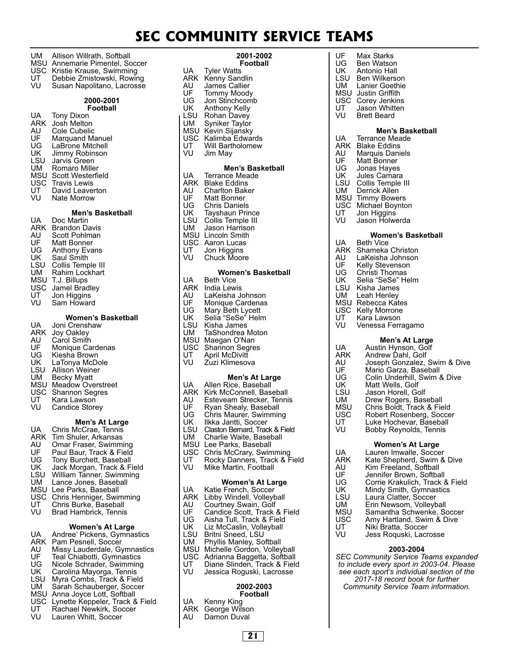# **SEC COMMUNITY SERVICE TEAMS**

| MSU Annemarie Pimentel, Soccer<br>USC Kristie Krause, Swimming<br>Debbie Zmistowski, Rowing |
|---------------------------------------------------------------------------------------------|
|                                                                                             |
| Susan Napolitano, Lacrosse                                                                  |
|                                                                                             |

#### **2000-2001**

|            | Football          |
|------------|-------------------|
| UA         | Tony Dixon        |
| ARK        | Josh Melton       |
| AU         | Cole Cubelic      |
| UF         | Marguand Manuel   |
| UG.        | LaBrone Mitchell  |
| UK         | Jimmy Robinson    |
| LSU        | Jarvis Green      |
| UM         | Romaro Miller     |
| <b>MSU</b> | Scott Westerfield |
| USC        | Travis Lewis      |
| UT         | David Leaverton   |
| VU         | Nate Morrow       |
|            |                   |

#### **Men's Basketball**

| UA  | Doc Martin           |
|-----|----------------------|
| ARK | Brandon Davis        |
| AU  | Scott Pohlman        |
| UF  | Matt Bonner          |
| UG  | <b>Anthony Evans</b> |
| UK  | Saul Smith           |
| LSU | Collis Temple III    |
| UM  | Rahim Lockhart       |
| MSU | T.J. Billups         |
| USC | Jamel Bradley        |
| UT  | Jon Higgins          |
| VU  | Sam Howard           |
|     |                      |
|     | <b>Women's Bas</b>   |

#### **Women's Basketball**

| UA         | Joni Crenshaw            |
|------------|--------------------------|
| <b>ARK</b> | Joy Oakley               |
| AU         | <b>Carol Smith</b>       |
| UF         | Monique Cardenas         |
| UG.        | Kiesha Brown             |
| UK         | LaTonya McDole           |
| LSU        | <b>Allison Weiner</b>    |
| UM         | Becky Myatt              |
| MSU        | <b>Meadow Overstreet</b> |
| <b>USC</b> | <b>Shannon Segres</b>    |
| UT         | Kara Lawson              |
|            |                          |

VU Candice Storey

#### **Men's At Large**

| UA  | Chris McCrae, Tennis         |
|-----|------------------------------|
| ARK | Tim Shuler, Arkansas         |
| AU  | Omar Fraser, Swimming        |
| UF  | Paul Baur, Track & Field     |
| UG  | Tony Burchett, Baseball      |
| UK  | Jack Morgan, Track & Field   |
| LSU | William Tanner, Swimming     |
| UM  | Lance Jones. Baseball        |
| MSU | Lee Parks, Baseball          |
| USC | Chris Henniger, Swimming     |
| UT  | Chris Burke, Baseball        |
| VU  | <b>Brad Hambrick, Tennis</b> |

#### **Women's At Large**

| UA  | Andree' Pickens, Gymnastics     |
|-----|---------------------------------|
| ARK | Pam Pesnell, Soccer             |
| AU  | Missy Lauderdale, Gymnastics    |
| UF  | Teal Chiabotti, Gymnastics      |
| UG  | Nicole Schrader, Swimming       |
| UK  | Carolina Mayorga, Tennis        |
| LSU | Myra Combs, Track & Field       |
| UM  | Sarah Schauberger, Soccer       |
| MSU | Anna Joyce Lott, Softball       |
| USC | Lynette Keppeler, Track & Field |
| UT  | Rachael Newkirk, Soccer         |
| VU  | Lauren Whitt, Soccer            |
|     |                                 |

|                                                                          | 2001-2002                                                                                                                                                                                                                                                                                        |
|--------------------------------------------------------------------------|--------------------------------------------------------------------------------------------------------------------------------------------------------------------------------------------------------------------------------------------------------------------------------------------------|
| UA<br>ARK<br>AU<br>UF<br>UG<br>UK<br>LSU<br>UM<br>MSU<br>USC<br>UT<br>VU | Football<br><b>Tyler Watts</b><br>Kenny Sandlin<br>James Callier<br><b>Tommy Moody</b><br>Jon Stinchcomb<br>Anthony Kelly<br>Rohan Davey<br>Syniker Taylor<br>Kevin Sijansky<br>Kalimba Edwards<br>Will Bartholomew<br>Jim May                                                                   |
| UA<br>ARK<br>AU<br>UF<br>UG<br>UK<br>LSU<br>UM<br>MSU<br>USC<br>UT<br>VU | Men's Basketball<br>Terrance Meade<br><b>Blake Eddins</b><br>Charlton Baker<br>Matt Bonner<br><b>Chris Daniels</b><br>Tayshaun Prince<br>Collis Temple III<br>Jason Harrison<br>Lincoln Smith<br>Aaron Lucas<br>Jon Higgins<br>Chuck Moore                                                       |
| UA<br>ARK<br>AU<br>UF<br>UG<br>UK<br>LSU<br>UM<br>MSU<br>USC<br>UT<br>VU | Women's Basketball<br>Beth Vice<br>India Lewis<br>LaKeisha Johnson<br>Monique Cardenas<br>Mary Beth Lycett<br>Selia "SeSe" Helm<br>Kisha James<br>TaShondrea Moton<br>Maegan O'Nan<br>Shannon Segres<br>April McDivitt<br>Zuzi Klimesova                                                         |
| UA<br>ARK<br>AU<br>UF<br>UG<br>UK<br>LSU<br>UM<br>MSU<br>USC             | <b>Men's At Large</b><br>Allen Rice, Baseball<br>Kirk McConnell, Baseball<br>Esteveam Strecker, Tennis<br>Ryan Shealy, Baseball<br>Chris Maurer, Swimming<br>Ilkka Jantti, Soccer<br>Claston Bernard, Track & Field<br>Charlie Waite, Baseball<br>Lee Parks, Baseball<br>Chris McCrary, Swimming |

#### UT Rocky Danners, Track & Field VU Mike Martin, Football

#### **Women's At Large**

- UA Katie French, Soccer
- ARK Libby Windell, Volleyball<br>AU Courtney Swain, Golf
- AU Courtney Swain, Golf
- UF Candice Scott, Track & Field
- UG Aisha Tull, Track & Field<br>UK Liz McCaslin, Vollevball
- Liz McCaslin, Volleyball
- LSU Britni Sneed, LSU
- UM Phyllis Manley, Softball
- MSU Michelle Gordon, Volleyball
- USC Adrianna Baggetta, Softball<br>UT Diane Slinden. Track & Field
- UT Diane Slinden, Track & Field<br>VU Jessica Roguski, Lacrosse
- Jessica Roguski, Lacrosse

## **2002-2003**

#### **Football**

- UA Kenny King
- ARK George Wilson<br>AU Damon Duval
- Damon Duval

| UF<br>UG<br>UK.<br>LSU<br>UM<br><b>MSU</b><br>USC<br>UT<br>VU                          | <b>Max Starks</b><br>Ben Watson<br>Antonio Hall<br><b>Ben Wilkerson</b><br>Lanier Goethie<br>Justin Griffith<br>Corey Jenkins<br>Jason Whitten<br><b>Brett Beard</b>                                                                                                                                                                                               |
|----------------------------------------------------------------------------------------|--------------------------------------------------------------------------------------------------------------------------------------------------------------------------------------------------------------------------------------------------------------------------------------------------------------------------------------------------------------------|
| UA<br>ARK<br>AU<br>UF<br>UG<br>UK.<br>LSU<br>UM<br>MSU<br><b>USC</b><br>UT<br>VU       | Men's Basketball<br>Terrance Meade<br><b>Blake Eddins</b><br><b>Marquis Daniels</b><br>Matt Bonner<br>Jonas Hayes<br>Jules Camara<br>Collis Temple III<br>Derrick Allen<br><b>Timmy Bowers</b><br>Michael Boynton<br>Jon Higgins<br>Jason Holwerda                                                                                                                 |
| UA<br><b>ARK</b><br>AU.<br>UF<br>UG<br>UK<br>LSU<br>UM<br>UT<br>VUI                    | <b>Women's Basketball</b><br><b>Beth Vice</b><br>Shameka Christon<br>LaKeisha Johnson<br>Kelly Stevenson<br>Christi Thomas<br>Selia "SeSe" Helm<br>Kisha James<br>Leah Henley<br>MSU Rebecca Kates<br><b>USC</b> Kelly Morrone<br>Kara Lawson<br>Venessa Ferragamo                                                                                                 |
| UA<br>ARK<br>AU<br>UF<br>UG<br>UK<br>LSU<br>UM<br>MSU<br>USC<br>UT<br>VU               | Men's At Large<br>Austin Hynson, Golf<br>Andrew Dahl, Golf<br>Joseph Gonzalez, Swim & Dive<br>Mario Garza, Baseball<br>Colin Underhill, Swim & Dive<br>Matt Wells, Golf<br>Jason Horell, Golf<br>Drew Rogers, Baseball<br>Chris Boldt, Track & Field<br>Robert Rosenberg, Soccer<br>Luke Hochevar, Baseball<br>Bobby Reynolds, Tennis                              |
| UA<br>ARK<br>AU<br>UF<br>UG<br>UK<br>LSU<br>UM<br><b>MSU</b><br><b>USC</b><br>UT<br>VU | <b>Women's At Large</b><br>Lauren Imwalle, Soccer<br>Kate Shepherd, Swim & Dive<br>Kim Freeland, Softball<br>Jennifer Brown, Softball<br>Corrie Krakulich, Track & Field<br>Mindy Smith, Gymnastics<br>Laura Clatter, Soccer<br>Erin Newsom, Volleyball<br>Samantha Schwenke, Soccer<br>Amy Hartland, Swim & Dive<br>Niki Bratta, Soccer<br>Jess Roquski, Lacrosse |
|                                                                                        | 2003-2004<br>SEC Community Service Teams expanded<br>to include every sport in 2003-04. Please<br>see each sport's individual section of the<br>2017-18 record book for further                                                                                                                                                                                    |

*Community Service Team information.*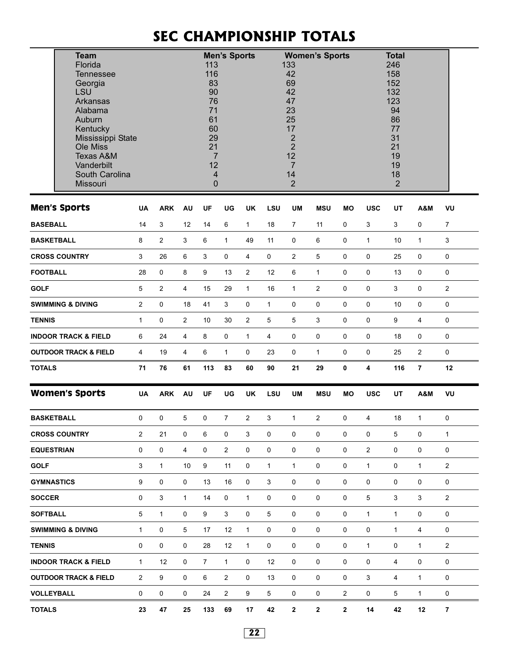# **SEC CHAMPIONSHIP TOTALS**

| <b>Team</b><br>Florida<br>Tennessee<br>Georgia<br>LSU<br><b>Arkansas</b><br>Alabama<br>Auburn<br>Kentucky<br>Ole Miss<br><b>Texas A&amp;M</b><br>Vanderbilt<br>South Carolina<br>Missouri | Mississippi State |                |                |                | <b>Men's Sports</b><br>113<br>116<br>83<br>90<br>76<br>71<br>61<br>60<br>29<br>21<br>7<br>12<br>4<br>$\mathbf 0$ |                     |              | <b>Women's Sports</b><br>133<br>42<br>69<br>42<br>47<br>23<br>25<br>17<br>$\sqrt{2}$<br>$\overline{2}$<br>12<br>$\overline{7}$<br>14<br>$\overline{2}$ |              |              | <b>Total</b><br>246<br>158<br>152<br>132<br>123<br>94<br>86<br>77<br>31<br>21<br>19<br>19<br>18<br>$\overline{2}$ |                     |                         |                |
|-------------------------------------------------------------------------------------------------------------------------------------------------------------------------------------------|-------------------|----------------|----------------|----------------|------------------------------------------------------------------------------------------------------------------|---------------------|--------------|--------------------------------------------------------------------------------------------------------------------------------------------------------|--------------|--------------|-------------------------------------------------------------------------------------------------------------------|---------------------|-------------------------|----------------|
| <b>Men's Sports</b>                                                                                                                                                                       | <b>UA</b>         | <b>ARK</b>     | <b>AU</b>      | UF             | UG                                                                                                               | UK                  | LSU          | <b>UM</b>                                                                                                                                              | <b>MSU</b>   | <b>MO</b>    | <b>USC</b>                                                                                                        | UT                  | A&M                     | VU             |
| <b>BASEBALL</b>                                                                                                                                                                           | 14                | 3              | 12             | 14             | 6                                                                                                                | $\mathbf{1}$        | 18           | $\overline{7}$                                                                                                                                         | 11           | 0            | 3                                                                                                                 | 3                   | 0                       | $\overline{7}$ |
| <b>BASKETBALL</b>                                                                                                                                                                         | 8                 | $\overline{2}$ | 3              | 6              | $\mathbf{1}$                                                                                                     | 49                  | 11           | 0                                                                                                                                                      | 6            | 0            | $\mathbf{1}$                                                                                                      | 10                  | $\mathbf{1}$            | 3              |
| <b>CROSS COUNTRY</b>                                                                                                                                                                      | 3                 | 26             | 6              | 3              | 0                                                                                                                | $\overline{4}$      | $\mathsf 0$  | $\mathbf 2$                                                                                                                                            | 5            | 0            | $\pmb{0}$                                                                                                         | 25                  | 0                       | 0              |
| <b>FOOTBALL</b>                                                                                                                                                                           | 28                | 0              | 8              | 9              | 13                                                                                                               | $\overline{2}$      | 12           | 6                                                                                                                                                      | $\mathbf{1}$ | 0            | $\pmb{0}$                                                                                                         | 13                  | $\mathsf 0$             | 0              |
| <b>GOLF</b>                                                                                                                                                                               | 5                 | $\overline{2}$ | $\overline{4}$ | 15             | 29                                                                                                               | $\mathbf{1}$        | 16           | $\mathbf{1}$                                                                                                                                           | $\sqrt{2}$   | 0            | $\mathsf{O}\xspace$                                                                                               | $\mathbf{3}$        | $\mathsf 0$             | $\overline{2}$ |
| <b>SWIMMING &amp; DIVING</b>                                                                                                                                                              | 2                 | 0              | 18             | 41             | $\mathfrak{S}$                                                                                                   | $\pmb{0}$           | $\mathbf{1}$ | 0                                                                                                                                                      | 0            | 0            | $\pmb{0}$                                                                                                         | 10                  | $\mathsf 0$             | 0              |
| <b>TENNIS</b>                                                                                                                                                                             | 1                 | 0              | 2              | 10             | 30                                                                                                               | $\overline{2}$      | 5            | 5                                                                                                                                                      | 3            | 0            | $\pmb{0}$                                                                                                         | 9                   | 4                       | 0              |
| <b>INDOOR TRACK &amp; FIELD</b>                                                                                                                                                           | 6                 | 24             | 4              | 8              | 0                                                                                                                | $\mathbf{1}$        | 4            | 0                                                                                                                                                      | 0            | 0            | $\pmb{0}$                                                                                                         | 18                  | 0                       | 0              |
| <b>OUTDOOR TRACK &amp; FIELD</b>                                                                                                                                                          | 4                 | 19             | $\overline{4}$ | 6              | $\mathbf{1}$                                                                                                     | $\mathsf{O}\xspace$ | 23           | $\pmb{0}$                                                                                                                                              | $\mathbf{1}$ | 0            | $\pmb{0}$                                                                                                         | 25                  | $\overline{\mathbf{c}}$ | 0              |
| <b>TOTALS</b>                                                                                                                                                                             | 71                | 76             | 61             | 113            | 83                                                                                                               | 60                  | 90           | 21                                                                                                                                                     | 29           | 0            | 4                                                                                                                 | 116                 | $\overline{7}$          | 12             |
| <b>Women's Sports</b>                                                                                                                                                                     | <b>UA</b>         | <b>ARK</b>     | AU             | UF             | UG                                                                                                               | UK                  | <b>LSU</b>   | <b>UM</b>                                                                                                                                              | <b>MSU</b>   | MО           | <b>USC</b>                                                                                                        | UT                  | A&M                     | VU             |
| <b>BASKETBALL</b>                                                                                                                                                                         | 0                 | 0              | 5              | 0              | $\overline{7}$                                                                                                   | $\overline{2}$      | $\mathbf{3}$ | $\mathbf{1}$                                                                                                                                           | 2            | 0            | 4                                                                                                                 | 18                  | $\mathbf{1}$            | 0              |
| <b>CROSS COUNTRY</b>                                                                                                                                                                      | 2                 | 21             | 0              | 6              | 0                                                                                                                | 3                   | $\mathbf 0$  | 0                                                                                                                                                      | 0            | 0            | $\mathbf 0$                                                                                                       | 5                   | 0                       | $\mathbf{1}$   |
| <b>EQUESTRIAN</b>                                                                                                                                                                         | 0                 | 0              | 4              | 0              | 2                                                                                                                | 0                   | 0            | 0                                                                                                                                                      | 0            | 0            | $\sqrt{2}$                                                                                                        | $\mathbf 0$         | 0                       | 0              |
| <b>GOLF</b>                                                                                                                                                                               | 3                 | $\mathbf{1}$   | 10             | 9              | 11                                                                                                               | $\mathbf 0$         | $\mathbf{1}$ | 1                                                                                                                                                      | 0            | 0            | $\mathbf{1}$                                                                                                      | $\mathsf{O}\xspace$ | $\mathbf{1}$            | $\overline{2}$ |
| <b>GYMNASTICS</b>                                                                                                                                                                         | 9                 | 0              | 0              | 13             | 16                                                                                                               | 0                   | 3            | 0                                                                                                                                                      | 0            | 0            | $\mathsf{O}\xspace$                                                                                               | $\mathbf 0$         | $\mathbf 0$             | 0              |
| <b>SOCCER</b>                                                                                                                                                                             | 0                 | 3              | 1              | 14             | 0                                                                                                                | $\mathbf{1}$        | 0            | 0                                                                                                                                                      | 0            | 0            | 5                                                                                                                 | 3                   | 3                       | 2              |
| <b>SOFTBALL</b>                                                                                                                                                                           | $\,$ 5 $\,$       | $\mathbf{1}$   | 0              | 9              | 3                                                                                                                | $\mathbf 0$         | 5            | 0                                                                                                                                                      | 0            | 0            | $\mathbf{1}$                                                                                                      | $\mathbf{1}$        | 0                       | 0              |
| <b>SWIMMING &amp; DIVING</b>                                                                                                                                                              | $\mathbf{1}$      | 0              | 5              | 17             | $12 \overline{ }$                                                                                                | $\mathbf{1}$        | 0            | 0                                                                                                                                                      | 0            | 0            | $\mathbf 0$                                                                                                       | $\mathbf{1}$        | 4                       | 0              |
| <b>TENNIS</b>                                                                                                                                                                             | 0                 | 0              | 0              | 28             | 12                                                                                                               | $\mathbf{1}$        | 0            | 0                                                                                                                                                      | 0            | 0            | $\mathbf{1}$                                                                                                      | 0                   | $\mathbf{1}$            | $\overline{2}$ |
| <b>INDOOR TRACK &amp; FIELD</b>                                                                                                                                                           | $\mathbf{1}$      | 12             | 0              | $\overline{7}$ | $\mathbf{1}$                                                                                                     | $\mathsf{O}\xspace$ | 12           | 0                                                                                                                                                      | 0            | 0            | $\mathsf{O}\xspace$                                                                                               | $\overline{4}$      | 0                       | 0              |
| <b>OUTDOOR TRACK &amp; FIELD</b>                                                                                                                                                          | 2                 | 9              | 0              | 6              | $\boldsymbol{2}$                                                                                                 | 0                   | 13           | 0                                                                                                                                                      | 0            | 0            | $\sqrt{3}$                                                                                                        | 4                   | $\mathbf{1}$            | 0              |
| <b>VOLLEYBALL</b>                                                                                                                                                                         | 0                 | 0              | 0              | 24             | $\overline{2}$                                                                                                   | 9                   | 5            | 0                                                                                                                                                      | 0            | 2            | $\mathbf 0$                                                                                                       | 5                   | 1                       | 0              |
| <b>TOTALS</b>                                                                                                                                                                             | 23                | 47             | 25             | 133            | 69                                                                                                               | 17                  | 42           | 2                                                                                                                                                      | 2            | $\mathbf{2}$ | 14                                                                                                                | 42                  | 12                      | 7              |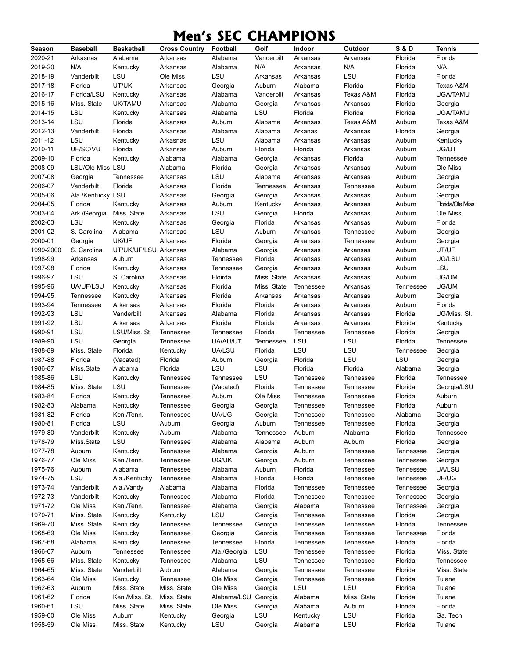# **Men's SEC CHAMPIONS**

| Season    | <b>Baseball</b>         | <b>Basketball</b>     | <b>Cross Country</b> | Football         | Golf        | Indoor    | Outdoor          | <b>S&amp;D</b> | Tennis                  |
|-----------|-------------------------|-----------------------|----------------------|------------------|-------------|-----------|------------------|----------------|-------------------------|
| 2020-21   | Arkasnas                | Alabama               | Arkansas             | Alabama          | Vanderbilt  | Arkansas  | Arkansas         | Florida        | Florida                 |
| 2019-20   | N/A                     | Kentucky              | Arkansas             | Alabama          | N/A         | Arkansas  | N/A              | Florida        | N/A                     |
| 2018-19   | Vanderbilt              | LSU                   | Ole Miss             | LSU              | Arkansas    | Arkansas  | LSU              | Florida        | Florida                 |
| 2017-18   | Florida                 | UT/UK                 | Arkansas             | Georgia          | Auburn      | Alabama   | Florida          | Florida        | Texas A&M               |
| 2016-17   | Florida/LSU             | Kentucky              | Arkansas             | Alabama          | Vanderbilt  | Arkansas  | Texas A&M        | Florida        | UGA/TAMU                |
| 2015-16   | Miss. State             | <b>UK/TAMU</b>        | Arkansas             | Alabama          | Georgia     | Arkansas  | Arkansas         | Florida        | Georgia                 |
| 2014-15   | LSU                     | Kentucky              | Arkansas             | Alabama          | LSU         | Florida   | Florida          | Florida        | UGA/TAMU                |
| 2013-14   | LSU                     | Florida               | Arkansas             | Auburn           | Alabama     | Arkansas  | Texas A&M        | Auburn         | Texas A&M               |
| 2012-13   | Vanderbilt              | Florida               | Arkansas             | Alabama          | Alabama     | Arkanas   | Arkansas         | Florida        | Georgia                 |
| 2011-12   | LSU                     | Kentucky              | Arkasnas             | LSU              | Alabama     | Arkansas  | Arkansas         | Auburn         | Kentucky                |
| 2010-11   | UF/SC/VU                | Florida               | Arkansas             | Auburn           | Florida     | Florida   | Arkansas         | Auburn         | UG/UT                   |
| 2009-10   | Florida                 | Kentucky              | Alabama              | Alabama          | Georgia     | Arkansas  | Florida          | Auburn         | Tennessee               |
| 2008-09   | <b>LSU/Ole Miss LSU</b> |                       | Alabama              | Florida          | Georgia     | Arkansas  | Arkansas         | Auburn         | Ole Miss                |
| 2007-08   | Georgia                 | Tennessee             | Arkansas             | LSU              | Alabama     | Arkansas  | Arkansas         | Auburn         | Georgia                 |
| 2006-07   | Vanderbilt              | Florida               | Arkansas             | Florida          | Tennessee   | Arkansas  | Tennessee        | Auburn         | Georgia                 |
| 2005-06   | Ala./Kentucky LSU       |                       | Arkansas             | Georgia          | Georgia     | Arkansas  | Arkansas         | Auburn         | Georgia                 |
| 2004-05   | Florida                 | Kentucky              | Arkansas             | Auburn           | Kentucky    | Arkansas  | Arkansas         | Auburn         | <b>Florida/Ole Miss</b> |
| 2003-04   | Ark./Georgia            | Miss. State           | Arkansas             | LSU              | Georgia     | Florida   | Arkansas         | Auburn         | Ole Miss                |
| 2002-03   | LSU                     | Kentucky              | Arkansas             | Georgia          | Florida     | Arkansas  | Arkansas         | Auburn         | Florida                 |
| 2001-02   | S. Carolina             | Alabama               | Arkansas             | LSU              | Auburn      | Arkansas  | Tennessee        | Auburn         | Georgia                 |
| 2000-01   | Georgia                 | UK/UF                 | Arkansas             | Florida          | Georgia     | Arkansas  | Tennessee        | Auburn         | Georgia                 |
| 1999-2000 | S. Carolina             | UT/UK/UF/LSU Arkansas |                      | Alabama          | Georgia     | Arkansas  | Arkansas         | Auburn         | UT/UF                   |
| 1998-99   | Arkansas                | Auburn                | Arkansas             | <b>Tennessee</b> | Florida     | Arkansas  | Arkansas         | Auburn         | UG/LSU                  |
| 1997-98   | Florida                 | Kentucky              | Arkansas             | Tennessee        | Georgia     | Arkansas  | Arkansas         | Auburn         | LSU                     |
| 1996-97   | LSU                     | S. Carolina           | Arkansas             | Floirda          | Miss. State | Arkansas  | Arkansas         | Auburn         | UG/UM                   |
| 1995-96   | UA/UF/LSU               | Kentucky              | Arkansas             | Florida          | Miss. State | Tennessee | Arkansas         | Tennessee      | UG/UM                   |
| 1994-95   | Tennessee               | Kentucky              | Arkansas             | Florida          | Arkansas    | Arkansas  | Arkansas         | Auburn         | Georgia                 |
| 1993-94   | Tennessee               | Arkansas              | Arkansas             | Florida          | Florida     | Arkansas  | Arkansas         | Auburn         | Florida                 |
| 1992-93   | LSU                     | Vanderbilt            | Arkansas             | Alabama          | Florida     | Arkansas  | Arkansas         | Florida        | UG/Miss. St.            |
| 1991-92   | LSU                     | Arkansas              | Arkansas             | Florida          | Florida     | Arkansas  | Arkansas         | Florida        | Kentucky                |
| 1990-91   | LSU                     | LSU/Miss. St.         | Tennessee            | Tennessee        | Florida     | Tennessee | Tennessee        | Florida        | Georgia                 |
| 1989-90   | LSU                     | Georgia               | Tennessee            | UA/AU/UT         | Tennessee   | LSU       | LSU              | Florida        | Tennessee               |
| 1988-89   | Miss. State             | Florida               | Kentucky             | UA/LSU           | Florida     | LSU       | LSU              | Tennessee      | Georgia                 |
| 1987-88   | Florida                 | (Vacated)             | Florida              | Auburn           | Georgia     | Florida   | LSU              | LSU            | Georgia                 |
| 1986-87   | Miss.State              | Alabama               | Florida              | LSU              | LSU         | Florida   | Florida          | Alabama        | Georgia                 |
| 1985-86   | LSU                     | Kentucky              | <b>Tennessee</b>     | Tennessee        | LSU         | Tennessee | Tennessee        | Florida        | Tennessee               |
| 1984-85   | Miss. State             | LSU                   | Tennessee            | (Vacated)        | Florida     | Tennessee | Tennessee        | Florida        | Georgia/LSU             |
| 1983-84   | Florida                 | Kentucky              | Tennessee            | Auburn           | Ole Miss    | Tennessee | Tennessee        | Florida        | Auburn                  |
| 1982-83   | Alabama                 | Kentucky              | Tennessee            | Georgia          | Georgia     | Tennessee | Tennessee        | Florida        | Auburn                  |
| 1981-82   | Florida                 | Ken./Tenn.            | Tennessee            | UA/UG            | Georgia     | Tennessee | Tennessee        | Alabama        | Georgia                 |
| 1980-81   | Florida                 | LSU                   | Auburn               | Georgia          | Auburn      | Tennessee | Tennessee        | Florida        | Georgia                 |
| 1979-80   | Vanderbilt              | Kentucky              | Auburn               | Alabama          | Tennessee   | Auburn    | Alabama          | Florida        | Tennessee               |
| 1978-79   | Miss.State              | LSU                   | Tennessee            | Alabama          | Alabama     | Auburn    | Auburn           | Florida        | Georgia                 |
| 1977-78   | Auburn                  | Kentucky              | Tennessee            | Alabama          | Georgia     | Auburn    | Tennessee        | Tennessee      | Georgia                 |
| 1976-77   | Ole Miss                | Ken./Tenn.            | Tennessee            | UG/UK            | Georgia     | Auburn    | Tennessee        | Tennessee      | Georgia                 |
| 1975-76   | Auburn                  | Alabama               | Tennessee            | Alabama          | Auburn      | Florida   | <b>Tennessee</b> | Tennessee      | UA/LSU                  |
| 1974-75   | LSU                     | Ala./Kentucky         | Tennessee            | Alabama          | Florida     | Florida   | Tennessee        | Tennessee      | UF/UG                   |
| 1973-74   | Vanderbilt              | Ala./Vandy            | Alabama              | Alabama          | Florida     | Tennessee | Tennessee        | Tennessee      | Georgia                 |
| 1972-73   | Vanderbilt              | Kentucky              | Tennessee            | Alabama          | Florida     | Tennessee | Tennessee        | Tennessee      | Georgia                 |
| 1971-72   | Ole Miss                | Ken./Tenn.            | Tennessee            | Alabama          | Georgia     | Alabama   | Tennessee        | Tennessee      | Georgia                 |
| 1970-71   | Miss. State             | Kentucky              | Kentucky             | LSU              | Georgia     | Tennessee | Tennessee        | Florida        | Georgia                 |
| 1969-70   | Miss. State             | Kentucky              | Tennessee            | Tennessee        | Georgia     | Tennessee | Tennessee        | Florida        | Tennessee               |
| 1968-69   | Ole Miss                | Kentucky              | Tennessee            | Georgia          | Georgia     | Tennessee | Tennessee        | Tennessee      | Florida                 |
| 1967-68   | Alabama                 | Kentucky              | Tennessee            | Tennessee        | Florida     | Tennessee | Tennessee        | Florida        | Florida                 |
| 1966-67   | Auburn                  | Tennessee             | Tennessee            | Ala./Georgia     | LSU         | Tennessee | Tennessee        | Florida        | Miss. State             |
| 1965-66   | Miss. State             | Kentucky              | Tennessee            | Alabama          | LSU         | Tennessee | Tennessee        | Florida        | Tennessee               |
| 1964-65   | Miss. State             | Vanderbilt            | Auburn               | Alabama          | Georgia     | Tennessee | Tennessee        | Florida        | Miss. State             |
| 1963-64   | Ole Miss                | Kentucky              | Tennessee            | Ole Miss         | Georgia     | Tennessee | Tennessee        | Florida        | Tulane                  |
| 1962-63   | Auburn                  | Miss. State           | Miss. State          | Ole Miss         | Georgia     | LSU       | LSU              | Florida        | Tulane                  |
| 1961-62   | Florida                 | Ken./Miss. St.        | Miss. State          | Alabama/LSU      | Georgia     | Alabama   | Miss. State      | Florida        | Tulane                  |
| 1960-61   | LSU                     | Miss. State           | Miss. State          | Ole Miss         | Georgia     | Alabama   | Auburn           | Florida        | Florida                 |
| 1959-60   | Ole Miss                | Auburn                | Kentucky             | Georgia          | LSU         | Kentucky  | LSU              | Florida        | Ga. Tech                |
| 1958-59   | Ole Miss                | Miss. State           | Kentucky             | LSU              | Georgia     | Alabama   | LSU              | Florida        | Tulane                  |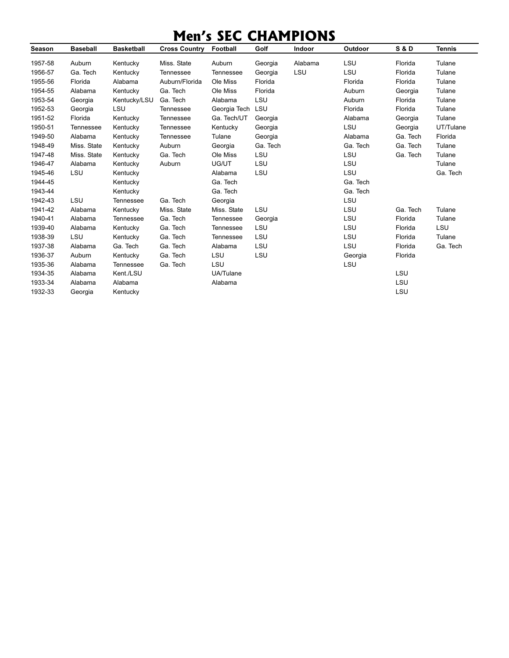# **Men's SEC CHAMPIONS**

| Season  | <b>Baseball</b> | <b>Basketball</b> | <b>Cross Country</b> | Football         | Golf     | <b>Indoor</b> | Outdoor  | <b>S&amp;D</b> | Tennis    |
|---------|-----------------|-------------------|----------------------|------------------|----------|---------------|----------|----------------|-----------|
| 1957-58 | Auburn          | Kentucky          | Miss. State          | Auburn           | Georgia  | Alabama       | LSU      | Florida        | Tulane    |
| 1956-57 | Ga. Tech        | Kentucky          | Tennessee            | <b>Tennessee</b> | Georgia  | LSU           | LSU      | Florida        | Tulane    |
| 1955-56 | Florida         | Alabama           | Auburn/Florida       | Ole Miss         | Florida  |               | Florida  | Florida        | Tulane    |
| 1954-55 | Alabama         | Kentucky          | Ga. Tech             | Ole Miss         | Florida  |               | Auburn   | Georgia        | Tulane    |
| 1953-54 | Georgia         | Kentucky/LSU      | Ga. Tech             | Alabama          | LSU      |               | Auburn   | Florida        | Tulane    |
| 1952-53 | Georgia         | LSU               | Tennessee            | Georgia Tech     | LSU      |               | Florida  | Florida        | Tulane    |
| 1951-52 | Florida         | Kentucky          | <b>Tennessee</b>     | Ga. Tech/UT      | Georgia  |               | Alabama  | Georgia        | Tulane    |
| 1950-51 | Tennessee       | Kentucky          | Tennessee            | Kentucky         | Georgia  |               | LSU      | Georgia        | UT/Tulane |
| 1949-50 | Alabama         | Kentucky          | <b>Tennessee</b>     | Tulane           | Georgia  |               | Alabama  | Ga. Tech       | Florida   |
| 1948-49 | Miss. State     | Kentucky          | Auburn               | Georgia          | Ga. Tech |               | Ga. Tech | Ga. Tech       | Tulane    |
| 1947-48 | Miss. State     | Kentucky          | Ga. Tech             | Ole Miss         | LSU      |               | LSU      | Ga. Tech       | Tulane    |
| 1946-47 | Alabama         | Kentucky          | Auburn               | UG/UT            | LSU      |               | LSU      |                | Tulane    |
| 1945-46 | LSU             | Kentucky          |                      | Alabama          | LSU      |               | LSU      |                | Ga. Tech  |
| 1944-45 |                 | Kentucky          |                      | Ga. Tech         |          |               | Ga. Tech |                |           |
| 1943-44 |                 | Kentucky          |                      | Ga. Tech         |          |               | Ga. Tech |                |           |
| 1942-43 | LSU             | <b>Tennessee</b>  | Ga. Tech             | Georgia          |          |               | LSU      |                |           |
| 1941-42 | Alabama         | Kentucky          | Miss. State          | Miss. State      | LSU      |               | LSU      | Ga. Tech       | Tulane    |
| 1940-41 | Alabama         | Tennessee         | Ga. Tech             | <b>Tennessee</b> | Georgia  |               | LSU      | Florida        | Tulane    |
| 1939-40 | Alabama         | Kentucky          | Ga. Tech             | Tennessee        | LSU      |               | LSU      | Florida        | LSU       |
| 1938-39 | LSU             | Kentucky          | Ga. Tech             | Tennessee        | LSU      |               | LSU      | Florida        | Tulane    |
| 1937-38 | Alabama         | Ga. Tech          | Ga. Tech             | Alabama          | LSU      |               | LSU      | Florida        | Ga. Tech  |
| 1936-37 | Auburn          | Kentucky          | Ga. Tech             | LSU              | LSU      |               | Georgia  | Florida        |           |
| 1935-36 | Alabama         | Tennessee         | Ga. Tech             | LSU              |          |               | LSU      |                |           |
| 1934-35 | Alabama         | Kent./LSU         |                      | UA/Tulane        |          |               |          | LSU            |           |
| 1933-34 | Alabama         | Alabama           |                      | Alabama          |          |               |          | LSU            |           |
| 1932-33 | Georgia         | Kentucky          |                      |                  |          |               |          | LSU            |           |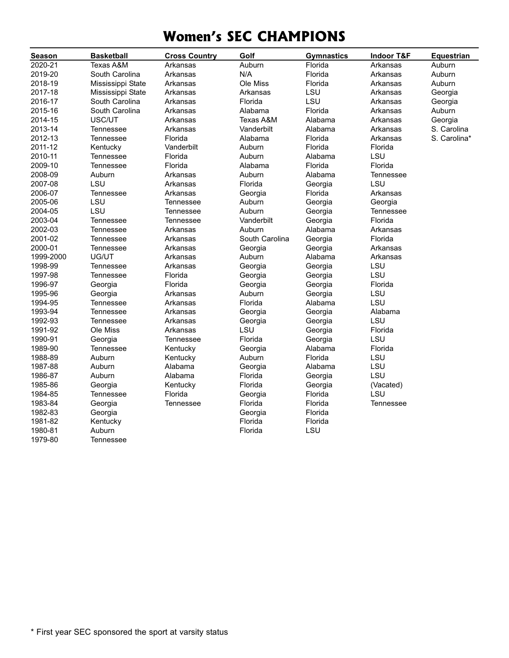# **Women's SEC CHAMPIONS**

| <b>Season</b> | <b>Basketball</b> | <b>Cross Country</b> | Golf           | <b>Gymnastics</b> | <b>Indoor T&amp;F</b> | <b>Equestrian</b> |
|---------------|-------------------|----------------------|----------------|-------------------|-----------------------|-------------------|
| 2020-21       | Texas A&M         | Arkansas             | Auburn         | Florida           | Arkansas              | Auburn            |
| 2019-20       | South Carolina    | Arkansas             | N/A            | Florida           | Arkansas              | Auburn            |
| 2018-19       | Mississippi State | Arkansas             | Ole Miss       | Florida           | Arkansas              | Auburn            |
| 2017-18       | Mississippi State | Arkansas             | Arkansas       | LSU               | Arkansas              | Georgia           |
| 2016-17       | South Carolina    | Arkansas             | Florida        | LSU               | Arkansas              | Georgia           |
| 2015-16       | South Carolina    | Arkansas             | Alabama        | Florida           | Arkansas              | Auburn            |
| 2014-15       | USC/UT            | Arkansas             | Texas A&M      | Alabama           | Arkansas              | Georgia           |
| 2013-14       | <b>Tennessee</b>  | Arkansas             | Vanderbilt     | Alabama           | Arkansas              | S. Carolina       |
| 2012-13       | <b>Tennessee</b>  | Florida              | Alabama        | Florida           | Arkansas              | S. Carolina*      |
| 2011-12       | Kentucky          | Vanderbilt           | Auburn         | Florida           | Florida               |                   |
| 2010-11       | Tennessee         | Florida              | Auburn         | Alabama           | LSU                   |                   |
| 2009-10       | <b>Tennessee</b>  | Florida              | Alabama        | Florida           | Florida               |                   |
| 2008-09       | Auburn            | Arkansas             | Auburn         | Alabama           | <b>Tennessee</b>      |                   |
| 2007-08       | LSU               | Arkansas             | Florida        | Georgia           | LSU                   |                   |
| 2006-07       | Tennessee         | Arkansas             | Georgia        | Florida           | Arkansas              |                   |
| 2005-06       | LSU               | Tennessee            | Auburn         | Georgia           | Georgia               |                   |
| 2004-05       | LSU               | Tennessee            | Auburn         | Georgia           | <b>Tennessee</b>      |                   |
| 2003-04       | Tennessee         | Tennessee            | Vanderbilt     | Georgia           | Florida               |                   |
| 2002-03       | <b>Tennessee</b>  | Arkansas             | Auburn         | Alabama           | Arkansas              |                   |
| 2001-02       | <b>Tennessee</b>  | Arkansas             | South Carolina | Georgia           | Florida               |                   |
| 2000-01       | <b>Tennessee</b>  | Arkansas             | Georgia        | Georgia           | Arkansas              |                   |
| 1999-2000     | UG/UT             | Arkansas             | Auburn         | Alabama           | Arkansas              |                   |
| 1998-99       | <b>Tennessee</b>  | Arkansas             | Georgia        | Georgia           | LSU                   |                   |
| 1997-98       | Tennessee         | Florida              | Georgia        | Georgia           | LSU                   |                   |
| 1996-97       | Georgia           | Florida              | Georgia        | Georgia           | Florida               |                   |
| 1995-96       | Georgia           | Arkansas             | Auburn         | Georgia           | LSU                   |                   |
| 1994-95       | <b>Tennessee</b>  | Arkansas             | Florida        | Alabama           | LSU                   |                   |
| 1993-94       | <b>Tennessee</b>  | Arkansas             | Georgia        | Georgia           | Alabama               |                   |
| 1992-93       | <b>Tennessee</b>  | Arkansas             | Georgia        | Georgia           | LSU                   |                   |
| 1991-92       | Ole Miss          | Arkansas             | LSU            | Georgia           | Florida               |                   |
| 1990-91       | Georgia           | Tennessee            | Florida        | Georgia           | LSU                   |                   |
| 1989-90       | Tennessee         | Kentucky             | Georgia        | Alabama           | Florida               |                   |
| 1988-89       | Auburn            | Kentucky             | Auburn         | Florida           | LSU                   |                   |
| 1987-88       | Auburn            | Alabama              | Georgia        | Alabama           | LSU                   |                   |
| 1986-87       | Auburn            | Alabama              | Florida        | Georgia           | LSU                   |                   |
| 1985-86       | Georgia           | Kentucky             | Florida        | Georgia           | (Vacated)             |                   |
| 1984-85       | <b>Tennessee</b>  | Florida              | Georgia        | Florida           | LSU                   |                   |
| 1983-84       | Georgia           | Tennessee            | Florida        | Florida           | Tennessee             |                   |
| 1982-83       | Georgia           |                      | Georgia        | Florida           |                       |                   |
| 1981-82       | Kentucky          |                      | Florida        | Florida           |                       |                   |
| 1980-81       | Auburn            |                      | Florida        | LSU               |                       |                   |
| 1979-80       | Tennessee         |                      |                |                   |                       |                   |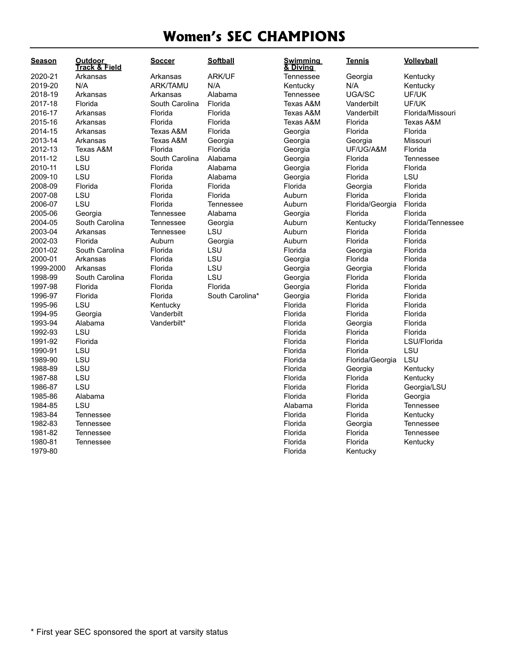# **Women's SEC CHAMPIONS**

| <b>Season</b> | <b>Outdoor</b><br><b>Track &amp; Field</b> | <b>Soccer</b>    | <b>Softball</b> | <b>Swimming</b><br>& Diving | <b>Tennis</b>   | <b>Volleyball</b> |
|---------------|--------------------------------------------|------------------|-----------------|-----------------------------|-----------------|-------------------|
| 2020-21       | Arkansas                                   | Arkansas         | ARK/UF          | <b>Tennessee</b>            | Georgia         | Kentucky          |
| 2019-20       | N/A                                        | <b>ARK/TAMU</b>  | N/A             | Kentucky                    | N/A             | Kentucky          |
| 2018-19       | Arkansas                                   | Arkansas         | Alabama         | <b>Tennessee</b>            | UGA/SC          | UF/UK             |
| 2017-18       | Florida                                    | South Carolina   | Florida         | Texas A&M                   | Vanderbilt      | UF/UK             |
| 2016-17       | Arkansas                                   | Florida          | Florida         | Texas A&M                   | Vanderbilt      | Florida/Missouri  |
| 2015-16       | Arkansas                                   | Florida          | Florida         | Texas A&M                   | Florida         | Texas A&M         |
| 2014-15       | Arkansas                                   | Texas A&M        | Florida         | Georgia                     | Florida         | Florida           |
| 2013-14       | Arkansas                                   | Texas A&M        | Georgia         | Georgia                     | Georgia         | Missouri          |
| 2012-13       | Texas A&M                                  | Florida          | Florida         | Georgia                     | UF/UG/A&M       | Florida           |
| 2011-12       | LSU                                        | South Carolina   | Alabama         | Georgia                     | Florida         | <b>Tennessee</b>  |
| 2010-11       | LSU                                        | Florida          | Alabama         | Georgia                     | Florida         | Florida           |
| 2009-10       | LSU                                        | Florida          | Alabama         | Georgia                     | Florida         | LSU               |
| 2008-09       | Florida                                    | Florida          | Florida         | Florida                     | Georgia         | Florida           |
| 2007-08       | LSU                                        | Florida          | Florida         | Auburn                      | Florida         | Florida           |
| 2006-07       | LSU                                        | Florida          | Tennessee       | Auburn                      | Florida/Georgia | Florida           |
| 2005-06       | Georgia                                    | <b>Tennessee</b> | Alabama         | Georgia                     | Florida         | Florida           |
| 2004-05       | South Carolina                             | <b>Tennessee</b> | Georgia         | Auburn                      | Kentucky        | Florida/Tennessee |
| 2003-04       | Arkansas                                   | <b>Tennessee</b> | LSU             | Auburn                      | Florida         | Florida           |
| 2002-03       | Florida                                    | Auburn           | Georgia         | Auburn                      | Florida         | Florida           |
| 2001-02       | South Carolina                             | Florida          | LSU             | Florida                     | Georgia         | Florida           |
| 2000-01       | Arkansas                                   | Florida          | LSU             | Georgia                     | Florida         | Florida           |
| 1999-2000     | Arkansas                                   | Florida          | LSU             | Georgia                     | Georgia         | Florida           |
| 1998-99       | South Carolina                             | Florida          | LSU             | Georgia                     | Florida         | Florida           |
| 1997-98       | Florida                                    | Florida          | Florida         | Georgia                     | Florida         | Florida           |
| 1996-97       | Florida                                    | Florida          | South Carolina* | Georgia                     | Florida         | Florida           |
| 1995-96       | LSU                                        | Kentucky         |                 | Florida                     | Florida         | Florida           |
| 1994-95       | Georgia                                    | Vanderbilt       |                 | Florida                     | Florida         | Florida           |
| 1993-94       | Alabama                                    | Vanderbilt*      |                 | Florida                     | Georgia         | Florida           |
| 1992-93       | LSU                                        |                  |                 | Florida                     | Florida         | Florida           |
| 1991-92       | Florida                                    |                  |                 | Florida                     | Florida         | LSU/Florida       |
| 1990-91       | LSU                                        |                  |                 | Florida                     | Florida         | LSU               |
| 1989-90       | LSU                                        |                  |                 | Florida                     | Florida/Georgia | LSU               |
| 1988-89       | LSU                                        |                  |                 | Florida                     | Georgia         | Kentucky          |
| 1987-88       | LSU                                        |                  |                 | Florida                     | Florida         | Kentucky          |
| 1986-87       | LSU                                        |                  |                 | Florida                     | Florida         | Georgia/LSU       |
| 1985-86       | Alabama                                    |                  |                 | Florida                     | Florida         | Georgia           |
| 1984-85       | LSU                                        |                  |                 | Alabama                     | Florida         | <b>Tennessee</b>  |
| 1983-84       | <b>Tennessee</b>                           |                  |                 | Florida                     | Florida         | Kentucky          |
| 1982-83       | <b>Tennessee</b>                           |                  |                 | Florida                     | Georgia         | <b>Tennessee</b>  |
| 1981-82       | <b>Tennessee</b>                           |                  |                 | Florida                     | Florida         | Tennessee         |
| 1980-81       | Tennessee                                  |                  |                 | Florida                     | Florida         | Kentucky          |
| 1979-80       |                                            |                  |                 | Florida                     | Kentucky        |                   |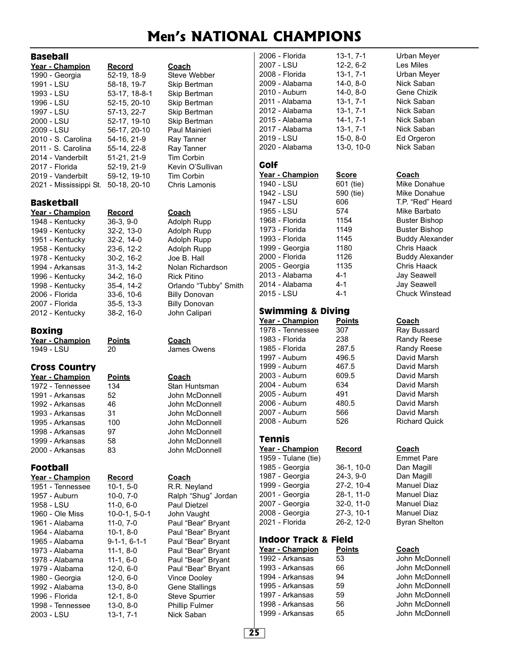# **Men's NATIONAL CHAMPIONS**

| <b>Baseball</b>                  |                            |                                  |
|----------------------------------|----------------------------|----------------------------------|
| Year - Champion                  | <u>Record</u>              | <u>Coach</u>                     |
| 1990 - Georgia                   | 52-19, 18-9                | <b>Steve Webber</b>              |
| 1991 - LSU                       | 58-18, 19-7                | Skip Bertman                     |
| 1993 - LSU                       | 53-17, 18-8-1              | Skip Bertman                     |
| 1996 - LSU                       | 52-15, 20-10               | Skip Bertman                     |
|                                  |                            |                                  |
| 1997 - LSU                       | 57-13, 22-7                | Skip Bertman                     |
| 2000 - LSU                       | 52-17, 19-10               | Skip Bertman                     |
| 2009 - LSU                       | 56-17, 20-10               | Paul Mainieri                    |
| 2010 - S. Carolina               | 54-16, 21-9                | Ray Tanner                       |
| 2011 - S. Carolina               | 55-14, 22-8                | Ray Tanner                       |
| 2014 - Vanderbilt                | 51-21, 21-9                | <b>Tim Corbin</b>                |
| 2017 - Florida                   | 52-19, 21-9                | Kevin O'Sullivan                 |
| 2019 - Vanderbilt                | 59-12, 19-10               | Tim Corbin                       |
| 2021 - Mississippi St.           | 50-18, 20-10               | Chris Lamonis                    |
|                                  |                            |                                  |
| <b>Basketball</b>                |                            |                                  |
| Year - Champion                  | Record                     | <b>Coach</b>                     |
| 1948 - Kentucky                  | 36-3, 9-0                  | Adolph Rupp                      |
| 1949 - Kentucky                  | 32-2, 13-0                 | Adolph Rupp                      |
| 1951 - Kentucky                  | 32-2, 14-0                 | Adolph Rupp                      |
| 1958 - Kentucky                  | 23-6, 12-2                 | <b>Adolph Rupp</b>               |
| 1978 - Kentucky                  | 30-2, 16-2                 | Joe B. Hall                      |
| 1994 - Arkansas                  | 31-3, 14-2                 | Nolan Richardson                 |
| 1996 - Kentucky                  | 34-2, 16-0                 | <b>Rick Pitino</b>               |
| 1998 - Kentucky                  | 35-4, 14-2                 | Orlando "Tubby" Smith            |
| 2006 - Florida                   | 33-6, 10-6                 | <b>Billy Donovan</b>             |
| 2007 - Florida                   | 35-5, 13-3                 | <b>Billy Donovan</b>             |
| 2012 - Kentucky                  | 38-2, 16-0                 | John Calipari                    |
|                                  |                            |                                  |
| <b>Boxing</b>                    |                            |                                  |
|                                  |                            |                                  |
|                                  | <u>Points</u>              | <u>Coach</u>                     |
| Year - Champion<br>1949 - LSU    | 20                         | James Owens                      |
|                                  |                            |                                  |
| <b>Cross Country</b>             |                            |                                  |
| Year - Champion                  | <u>Points</u>              | <b>Coach</b>                     |
| 1972 - Tennessee                 | 134                        | Stan Huntsman                    |
| 1991 - Arkansas                  | 52                         | John McDonnell                   |
| 1992 - Arkansas                  | 46                         | John McDonnell                   |
| 1993 - Arkansas                  | 31                         | John McDonnell                   |
| 1995 - Arkansas                  | 100                        | John McDonnell                   |
| 1998 - Arkansas                  | 97                         | John McDonnell                   |
| 1999 - Arkansas                  | 58                         | John McDonnell                   |
| 2000 - Arkansas                  | 83                         | John McDonnell                   |
|                                  |                            |                                  |
| <b>Football</b>                  |                            |                                  |
| Year - Champion                  | Record                     | Coach                            |
| 1951 - Tennessee                 | $10-1, 5-0$                | R.R. Neyland                     |
| 1957 - Auburn                    | $10-0, 7-0$                | Ralph "Shug" Jordan              |
| 1958 - LSU                       | $11-0, 6-0$                | Paul Dietzel                     |
| 1960 - Ole Miss                  | $10-0-1, 5-0-1$            | John Vaught                      |
| 1961 - Alabama                   | $11-0, 7-0$                | Paul "Bear" Bryant               |
| 1964 - Alabama                   | $10-1, 8-0$                | Paul "Bear" Bryant               |
| 1965 - Alabama                   | $9 - 1 - 1, 6 - 1 - 1$     | Paul "Bear" Bryant               |
| 1973 - Alabama                   | $11-1, 8-0$                | Paul "Bear" Bryant               |
| 1978 - Alabama                   | $11-1, 6-0$                |                                  |
| 1979 - Alabama                   | $12-0, 6-0$                | Paul "Bear" Bryant               |
|                                  |                            | Paul "Bear" Bryant               |
| 1980 - Georgia                   | $12-0, 6-0$                | Vince Dooley                     |
| 1992 - Alabama<br>1996 - Florida | $13-0, 8-0$                | Gene Stallings                   |
| 1998 - Tennessee                 | $12-1, 8-0$<br>$13-0, 8-0$ | Steve Spurrier<br>Phillip Fulmer |

| Coach<br>Steve Webber<br>Skip Bertman<br>Skip Bertman<br>Skip Bertman<br>Skip Bertman<br>Skip Bertman<br>Paul Mainieri<br>Ray Tanner<br>Ray Tanner |
|----------------------------------------------------------------------------------------------------------------------------------------------------|
| Kevin O'Sullivan                                                                                                                                   |
| Tim Corbin<br>Chris Lamonis                                                                                                                        |
| Coach<br>Adolph Rupp                                                                                                                               |

#### **Fo**

| 10-1, 5-0     |
|---------------|
| $10-0, 7-0$   |
| 11-0, 6-0     |
| 10-0-1, 5-0-1 |
| 11-0.7--0     |
| $10-1, 8-0$   |
| 9-1-1. 6-1-1  |
| 11-1.8-0      |
| $11-1, 6-0$   |
| 12-0.6-0      |
| $12-0.6-0$    |
| $13-0, 8-0$   |
| $12-1, 8-0$   |
| $13-0.8-0$    |
| 13-1, 7-1     |
|               |

| 2006 - Florida<br>2007 - LSU<br>2008 - Florida<br>2009 - Alabama<br>2010 - Auburn<br>2011 - Alabama<br>2012 - Alabama<br>2015 - Alabama<br>2017 - Alabama<br>2019 - LSU<br>2020 - Alabama                                                                             | $13-1, 7-1$<br>$12-2, 6-2$<br>$13-1, 7-1$<br>14-0, 8-0<br>14-0, 8-0<br>13-1, 7-1<br>13-1, 7-1<br>$14-1, 7-1$<br>$13-1, 7-1$<br>15-0, 8-0<br>13-0, 10-0 | Urban<br>Les Mi<br>Urban<br>Nick Sa<br>Gene 0<br>Nick S<br>Nick Sa<br>Nick S<br>Nick S<br>Ed Org<br>Nick S                                                                               |
|-----------------------------------------------------------------------------------------------------------------------------------------------------------------------------------------------------------------------------------------------------------------------|--------------------------------------------------------------------------------------------------------------------------------------------------------|------------------------------------------------------------------------------------------------------------------------------------------------------------------------------------------|
| Golf<br>Year - Champion<br>1940 - LSU<br>1942 - LSU<br>1947 - LSU<br>1955 - LSU<br>ാം - ∟ട∪<br>1968 - Florida<br>1970 - T<br>1973 - Florida<br>1993 - Florida<br>1999 - Georgia<br>2000 - Florida<br>2005 - Georgia<br>2013 - Alabama<br>2014 - Alabama<br>2015 - LSU | <u>Score</u><br>601 (tie)<br>590 (tie)<br>606<br>574<br>1154<br>1149<br>1145<br>1180<br>1126<br>1135<br>$4 - 1$<br>$4 - 1$<br>$4 - 1$                  | Coach<br>Mike D<br>Mike D<br><b>T.P. "R</b><br>Mike B<br><b>Buster</b><br><b>Buster</b><br><b>Buddy</b><br>Chris <b>H</b><br><b>Buddy</b><br>Chris <b>H</b><br>Jay Se<br>Jay Se<br>Chuck |
| <b>Swimming &amp; Diving</b><br>Year - Champion<br>1978 - Tennessee<br>1983 - Florida<br>1985 - Florida<br>1997 - Auburn<br>1999 - Auburn<br>2003 - Auburn<br>2004 - Auburn<br>2005 - Auburn<br>2006 - Auburn<br>2007 - Auburn<br>2008 - Auburn                       | <b>Points</b><br>307<br>238<br>287.5<br>496.5<br>467.5<br>609.5<br>634<br>491<br>480.5<br>566<br>526                                                   | Coach<br>Ray Bu<br>Randy<br>Randy<br>David I<br>David I<br>David I<br>David I<br>David I<br>David I<br>David I<br>Richar                                                                 |
| Tennis<br>Year - Champion<br>1959 - Tulane (tie)<br>1985 - Georgia<br>1987 - Georgia<br>1999 - Georgia<br>2001 - Georgia<br>2007 - Georgia<br>2008 - Georgia<br>2021 - Florida                                                                                        | Record<br>36-1, 10-0<br>24-3, 9-0<br>27-2, 10-4<br>28-1, 11-0<br>32-0, 11-0<br>27-3, 10-1<br>26-2, 12-0                                                | <u>Coach</u><br>Emmet<br>Dan M<br>Dan M<br>Manue<br>Manue<br>Manue<br>Manue<br>Byran                                                                                                     |
| <b>Indoor Track &amp; Field</b><br>Year - Champion<br>1992 - Arkansas<br>1993 - Arkansas<br>1994 - Arkansas<br>1995 - Arkansas<br>1997 - Arkansas<br>1998 - Arkansas                                                                                                  | <b>Points</b><br>53<br>66<br>94<br>59<br>59<br>56                                                                                                      | <u>Coach</u><br>John N<br>John N<br>John N<br>John M<br>John N<br>John M                                                                                                                 |

'rban Meyer es Miles **rban Meyer** lick Saban ene Chizik ick Saban ick Saban lick Saban lick Saban d Orgeron lick Saban

#### **Year - Champion Score Coach**

like Donahue like Donahue P. "Red" Heard like Barbato uster Bishop uster Bishop uddy Alexander hris Haack<sup>:</sup> uddy Alexander hris Haack ay Seawell ay Seawell huck Winstead

ay Bussard andy Reese andy Reese avid Marsh avid Marsh avid Marsh avid Marsh avid Marsh avid Marsh avid Marsh lichard Quick

**Year - Champion Record Coach** mmet Pare

an Magill an Magill **Panuel Diaz** Ianuel Diaz **Panuel Diaz** anuel Diaz yran Shelton

ohn McDonnell ohn McDonnell ohn McDonnell ohn McDonnell ohn McDonnell ohn McDonnell 1999 - Arkansas 65 John McDonnell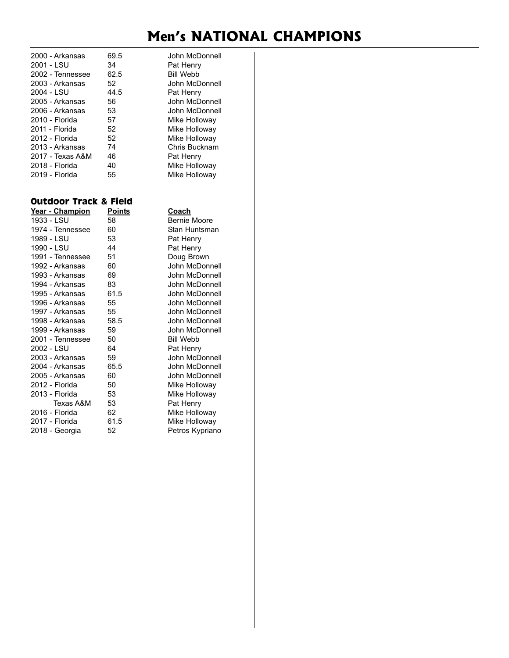# **Men's NATIONAL CHAMPIONS**

| 2000 - Arkansas  | 69. |
|------------------|-----|
| 2001 - LSU       | 34  |
| 2002 - Tennessee | 62. |
| 2003 - Arkansas  | 52  |
| 2004 - LSU       | 44. |
| 2005 - Arkansas  | 56  |
| 2006 - Arkansas  | 53  |
| 2010 - Florida   | 57  |
| 2011 - Florida   | 52  |
| 2012 - Florida   | 52  |
| 2013 - Arkansas  | 74  |
| 2017 - Texas A&M | 46  |
| 2018 - Florida   | 40  |
| 2019 - Florida   | 55  |
|                  |     |

#### **Outdoor Track & Field**

| <u> Year - Champion</u> | <u>Points</u> |
|-------------------------|---------------|
| 1933 - LSU              | 58            |
| 1974 - Tennessee        | 60            |
| 1989 - LSU              | 53            |
| 1990 - LSU              | 44            |
| 1991 - Tennessee        | 51            |
| 1992 - Arkansas         | 60            |
| 1993 - Arkansas         | 69            |
| 1994 - Arkansas         | 83            |
| 1995 - Arkansas         | 61.5          |
| 1996 - Arkansas         | 55            |
| 1997 - Arkansas         | 55            |
| 1998 - Arkansas         | 58.5          |
| 1999 - Arkansas         | 59            |
| 2001 - Tennessee        | 50            |
| 2002 - LSU              | 64            |
| 2003 - Arkansas         | 59            |
| 2004 - Arkansas         | 65.5          |
| 2005 - Arkansas         | 60            |
| 2012 - Florida          | 50            |
| 2013 - Florida          | 53            |
| Texas A&M               | 53            |
| 2016 - Florida          | 62            |
| 2017 - Florida          | 61.5          |
| 2018 - Georgia          | 52            |
|                         |               |

2000 - John McDonnell 2011 - Pat Henry<br>2011 - Bill Webb Bill Webb 2003 - John McDonnell<br>2011 - Pat Henry Pat Henry John McDonnell John McDonnell Mike Holloway Mike Holloway Mike Holloway Chris Bucknam Pat Henry Mike Holloway Mike Holloway

#### **Year - Champion Points Coach** Bernie Moore Stan Huntsman Pat Henry Pat Henry Doug Brown John McDonnell John McDonnell John McDonnell John McDonnell John McDonnell John McDonnell John McDonnell John McDonnell Bill Webb Pat Henry John McDonnell John McDonnell John McDonnell Mike Holloway Mike Holloway Pat Henry

Mike Holloway Mike Holloway Petros Kypriano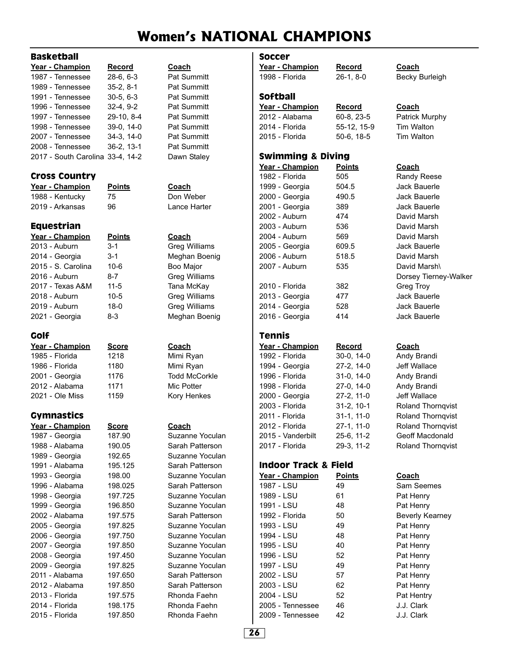# **Women's NATIONAL CHAMPIONS**

#### **Basketball**

| Record                           | Coach              |
|----------------------------------|--------------------|
| $28-6, 6-3$                      | <b>Pat Summitt</b> |
| $35-2, 8-1$                      | <b>Pat Summitt</b> |
| $30-5, 6-3$                      | <b>Pat Summitt</b> |
| $32-4.9-2$                       | <b>Pat Summitt</b> |
| 29-10.8-4                        | <b>Pat Summitt</b> |
| 39-0.14-0                        | <b>Pat Summitt</b> |
| 34-3. 14-0                       | <b>Pat Summitt</b> |
| $36 - 2.13 - 1$                  | <b>Pat Summitt</b> |
| 2017 - South Carolina 33-4, 14-2 | Dawn Staley        |
|                                  |                    |

#### **Cross Country**

**Year - Champion Points Coach** 1988 - Kentucky 75 Don Weber 2019 - Arkansas 96 Lance Harter

#### **Equestrian**

| Year - Champion    | Poi      |
|--------------------|----------|
| 2013 - Auburn      | $3 - 1$  |
| 2014 - Georgia     | $3 - 1$  |
| 2015 - S. Carolina | $10 - 6$ |
| 2016 - Auburn      | $8 - 7$  |
| 2017 - Texas A&M   | $11 - 5$ |
| 2018 - Auburn      | $10 -$   |
| 2019 - Auburn      | $18-($   |
| 2021 - Georgia     | 8-3      |

#### **Golf**

**Year - Champion Score Coach** 1985 - Florida 1218 Mimi Ryan 1986 - Florida 1180 Mimi Ryan 2001 - Georgia 1176 Todd McCorkle 2012 - Alabama 1171 Mic Potter 2021 - Ole Miss 1159 Kory Henkes

#### **Gymnastics**

| Year - Champion | <u>Score</u> |
|-----------------|--------------|
| 1987 - Georgia  | 187.90       |
| 1988 - Alabama  | 190.05       |
| 1989 - Georgia  | 192.65       |
| 1991 - Alabama  | 195.12       |
| 1993 - Georgia  | 198.00       |
| 1996 - Alabama  | 198.02       |
| 1998 - Georgia  | 197.72       |
| 1999 - Georgia  | 196.85       |
| 2002 - Alabama  | 197.57       |
| 2005 - Georgia  | 197.82       |
| 2006 - Georgia  | 197.75       |
| 2007 - Georgia  | 197.85       |
| 2008 - Georgia  | 197.45       |
| 2009 - Georgia  | 197.82       |
| 2011 - Alabama  | 197.65       |
| 2012 - Alabama  | 197.85       |
| 2013 - Florida  | 197.57       |
| 2014 - Florida  | 198.17       |
| 2015 - Florida  | 197.85       |

| Coach       |
|-------------|
| Pat Summitt |
| Pat Summitt |
| Pat Summitt |
| Pat Summitt |
| Pat Summitt |
| Pat Summitt |
| Pat Summitt |
| Pat Summitt |
| Dawn Stalev |
|             |
|             |

#### *<u>Coach</u>*

Greg Williams Meghan Boenig 2015 - Boo Major **Greg Williams** 5 **12019 - Tana McKay** 5 Greg Williams 0 Greg Williams Meghan Boenig

#### **Coach**

Suzanne Yoculan Sarah Patterson Suzanne Yoculan 15 - Sarah Patterson Suzanne Yoculan 15 - Sarah Patterson 15 - Suzanne Yoculan 1999 - Suzanne Yoculan <sup>2</sup>5 - Sarah Patterson 25 Suzanne Yoculan 0 Suzanne Yoculan 0 - Suzanne Yoculan 0 - Suzanne Yoculan 25 - Suzanne Yoculan 0 Sarah Patterson 0 Sarah Patterson <sup>5</sup> - Flonda Faehn <sup>5</sup> - Flonda Faehn 0 Rhonda Faehn

| Soccer                             |                                 |                                    |
|------------------------------------|---------------------------------|------------------------------------|
| Year - Champion                    | <b>Record</b>                   | <u>Coach</u>                       |
| 1998 - Florida                     | $26-1, 8-0$                     | Becky Burleigh                     |
|                                    |                                 |                                    |
| <b>Softball</b>                    |                                 |                                    |
| <b>Year - Champion</b>             | Record                          | Coach                              |
| 2012 - Alabama                     | 60-8, 23-5                      | Patrick Murphy                     |
| 2014 - Florida                     | 55-12, 15-9                     | <b>Tim Walton</b>                  |
| 2015 - Florida                     | 50-6, 18-5                      | <b>Tim Walton</b>                  |
| <b>Swimming &amp; Diving</b>       |                                 |                                    |
| Year - Champion                    | <b>Points</b>                   | <b>Coach</b>                       |
| 1982 - Florida                     | 505                             | <b>Randy Reese</b>                 |
| 1999 - Georgia                     | 504.5                           | Jack Bauerle                       |
| 2000 - Georgia                     | 490.5                           | Jack Bauerle                       |
| 2001 - Georgia                     | 389                             | Jack Bauerle                       |
| 2002 - Auburn                      | 474                             | David Marsh                        |
| 2003 - Auburn                      | 536                             | David Marsh                        |
| 2004 - Auburn                      | 569                             | David Marsh                        |
| 2005 - Georgia                     | 609.5                           | Jack Bauerle                       |
| 2006 - Auburn                      | 518.5                           | David Marsh                        |
| 2007 - Auburn                      | 535                             | David Marsh\                       |
|                                    |                                 | Dorsey Tierney-Walker              |
| 2010 - Florida                     | 382                             | <b>Greg Troy</b>                   |
| 2013 - Georgia                     | 477                             | Jack Bauerle                       |
| 2014 - Georgia                     | 528                             | Jack Bauerle                       |
| 2016 - Georgia                     | 414                             | Jack Bauerle                       |
|                                    |                                 |                                    |
| Tennis                             |                                 |                                    |
| Year - Champion                    | <b>Record</b>                   | Coach                              |
| 1992 - Florida                     | 30-0, 14-0                      | Andy Brandi<br><b>Jeff Wallace</b> |
| 1994 - Georgia<br>$1006 -$ Florida | 27-2, 14-0<br>$31 - 0$ $11 - 0$ | Andy Rrandi                        |
|                                    |                                 |                                    |

1996 - Florida 31-0, 14-0 Andy Brandi 1998 - Florida 27-0, 14-2000 - Georgia 27-2, 11-0 2003 - Florida 31-2, 10-1 Roland Thornqvist 2011 - Florida 31-1, 11-0 Roland Thornqvist 2012 - Florida 27-1, 11-0 Roland Thornqvist 2015 - Vanderbilt 25-6, 11-2 Geoff Macdonald 2017 - Florida 29-3, 11-2 Roland Thornqvist

#### **Indoor Track & Field**

| Year - Champion  | Points | Coach                  |
|------------------|--------|------------------------|
| 1987 - LSU       | 49     | Sam Seemes             |
| 1989 - LSU       | 61     | Pat Henry              |
| 1991 - LSU       | 48     | Pat Henry              |
| 1992 - Florida   | 50     | <b>Beverly Kearney</b> |
| 1993 - LSU       | 49     | Pat Henry              |
| 1994 - LSU       | 48     | Pat Henry              |
| 1995 - LSU       | 40     | Pat Henry              |
| 1996 - LSU       | 52     | Pat Henry              |
| 1997 - LSU       | 49     | Pat Henry              |
| 2002 - LSU       | 57     | Pat Henry              |
| 2003 - LSU       | 62     | Pat Henry              |
| 2004 - LSU       | 52     | Pat Hentry             |
| 2005 - Tennessee | 46     | J.J. Clark             |
| 2009 - Tennessee | 42     | J.J. Clark             |

#### **Year - Champion Record Coach** Becky Burleigh

| u              | Aliuy Dialiul       |
|----------------|---------------------|
| D              | Jeff Wallace        |
| D              | Andy Brandi         |
| D              | Andy Brandi         |
| ງ              | Jeff Wallace        |
| 1              | Roland Thori        |
| J              | Roland Thori        |
| Ć              | <b>Roland Thori</b> |
| $\overline{2}$ | Geoff Macdo         |
| $\overline{2}$ | <b>Roland Thori</b> |
|                |                     |

#### **Year - Champion Points Coach**

| Sam Seemes      |
|-----------------|
| Pat Henry       |
| Pat Henry       |
| Beverly Kearney |
| Pat Henry       |
| Pat Henry       |
| Pat Henry       |
| Pat Henry       |
| Pat Henry       |
| Pat Henry       |
| Pat Henry       |
| Pat Hentry      |
| J.J. Clark      |
| J.J. Clark      |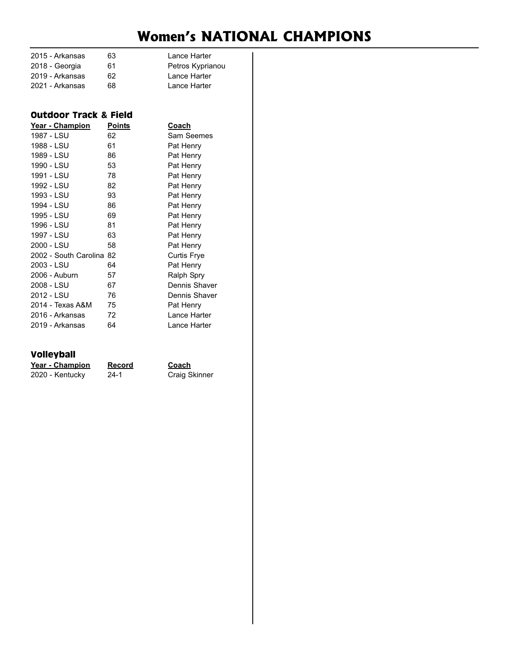# **Women's NATIONAL CHAMPIONS**

| 63 | Lance Harter     |
|----|------------------|
| 61 | Petros Kyprianou |
| 62 | Lance Harter     |
| 68 | Lance Harter     |
|    |                  |

#### **Outdoor Track & Field**

| Year - Champion          | <b>Points</b> | <b>Coach</b>       |
|--------------------------|---------------|--------------------|
| 1987 - LSU               | 62            | Sam Seemes         |
| 1988 - LSU               | 61            | Pat Henry          |
| 1989 - LSU               | 86            | Pat Henry          |
| 1990 - LSU               | 53            | Pat Henry          |
| 1991 - LSU               | 78            | Pat Henry          |
| 1992 - LSU               | 82            | Pat Henry          |
| 1993 - LSU               | 93            | Pat Henry          |
| 1994 - LSU               | 86            | Pat Henry          |
| 1995 - LSU               | 69            | Pat Henry          |
| 1996 - LSU               | 81            | Pat Henry          |
| 1997 - LSU               | 63            | Pat Henry          |
| 2000 - LSU               | 58            | Pat Henry          |
| 2002 - South Carolina 82 |               | <b>Curtis Frye</b> |
| 2003 - LSU               | 64            | Pat Henry          |
| 2006 - Auburn            | 57            | Ralph Spry         |
| 2008 - LSU               | 67            | Dennis Shaver      |
| 2012 - LSU               | 76            | Dennis Shaver      |
| 2014 - Texas A&M         | 75            | Pat Henry          |
| 2016 - Arkansas          | 72            | Lance Harter       |
| 2019 - Arkansas          | 64            | Lance Harter       |

#### **Volleyball**

| Year - Champion | <b>Record</b> |
|-----------------|---------------|
| 2020 - Kentucky | $24-1$        |

**Coach** Craig Skinner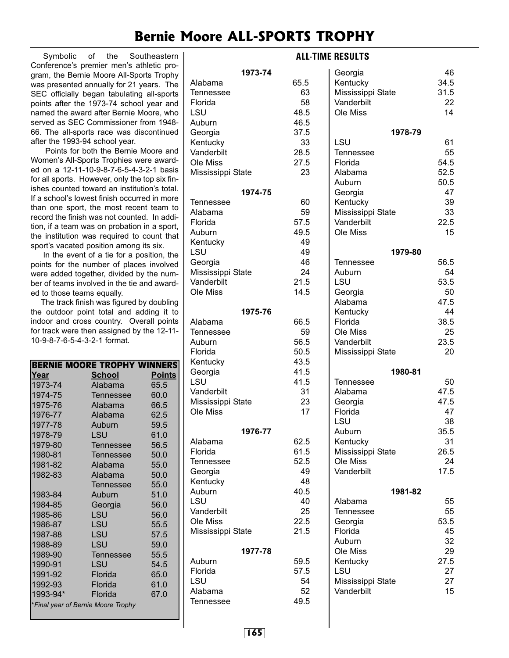# **Bernie Moore ALL-SPORTS TROPHY**

Symbolic of the Southeastern Conference's premier men's athletic program, the Bernie Moore All-Sports Trophy was presented annually for 21 years. The SEC officially began tabulating all-sports points after the 1973-74 school year and named the award after Bernie Moore, who served as SEC Commissioner from 1948- 66. The all-sports race was discontinued after the 1993-94 school year.

Points for both the Bernie Moore and Women's All-Sports Trophies were awarded on a 12-11-10-9-8-7-6-5-4-3-2-1 basis for all sports. However, only the top six finishes counted toward an institution's total. If a school's lowest finish occurred in more than one sport, the most recent team to record the finish was not counted. In addition, if a team was on probation in a sport, the institution was required to count that sport's vacated position among its six.

In the event of a tie for a position, the points for the number of places involved were added together, divided by the number of teams involved in the tie and awarded to those teams equally.

The track finish was figured by doubling the outdoor point total and adding it to indoor and cross country. Overall points for track were then assigned by the 12-11- 10-9-8-7-6-5-4-3-2-1 format.

|          | <b>BERNIE MOORE TROPHY WINNERS</b> |               |
|----------|------------------------------------|---------------|
| Year     | School                             | <b>Points</b> |
| 1973-74  | Alabama                            | 65.5          |
| 1974-75  | Tennessee                          | 60.0          |
| 1975-76  | Alabama                            | 66.5          |
| 1976-77  | Alabama                            | 62.5          |
| 1977-78  | Auburn                             | 59.5          |
| 1978-79  | LSU                                | 61.0          |
| 1979-80  | <b>Tennessee</b>                   | 56.5          |
| 1980-81  | Tennessee 50.0                     |               |
| 1981-82  | Alabama                            | 55.0          |
| 1982-83  | Alabama                            | 50.0          |
|          | Tennessee                          | 55.0          |
| 1983-84  | Auburn                             | 51.0          |
| 1984-85  | Georgia                            | 56.0          |
| 1985-86  | LSU                                | 56.0          |
| 1986-87  | LSU                                | 55.5          |
| 1987-88  | LSU                                | 57.5          |
| 1988-89  | LSU                                | 59.0          |
| 1989-90  | Tennessee                          | 55.5          |
| 1990-91  | LSU                                | 54.5          |
| 1991-92  | Florida                            | 65.0          |
| 1992-93  | Florida                            | 61.0          |
| 1993-94* | Florida                            | 67.0          |
|          | *Final year of Bernie Moore Trophy |               |
|          |                                    |               |

| Alabama<br>Tennessee<br>Florida<br>LSU<br>Auburn<br>Georgia<br>Kentucky<br>Vanderbilt<br>Ole Miss<br>Mississippi State | 1973-74 | 65.5<br>63<br>58<br>48.5<br>46.5<br>37.5<br>33<br>28.5<br>27.5<br>23 |
|------------------------------------------------------------------------------------------------------------------------|---------|----------------------------------------------------------------------|
|                                                                                                                        | 1974-75 |                                                                      |
| Tennessee<br>Alabama<br>Florida<br>Auburn<br>Kentucky<br>LSU<br>Georgia<br>Mississippi State<br>Vanderbilt<br>Ole Miss |         | 60<br>59<br>57.5<br>49.5<br>49<br>49<br>46<br>24<br>21.5<br>14.5     |
|                                                                                                                        | 1975-76 |                                                                      |
| Alabama<br>Tennessee<br>Auburn<br>Florida<br>Kentucky<br>Georgia<br>LSU<br>Vanderbilt<br>Mississippi State<br>Ole Miss |         | 66.5<br>59<br>56.5<br>50.5<br>43.5<br>41.5<br>41.5<br>31<br>23<br>17 |
|                                                                                                                        | 1976-77 |                                                                      |
| Alabama<br>Florida<br>Tennessee<br>Georgia<br>Kentucky<br>Auburn<br>LSU<br>Vanderbilt<br>Ole Miss<br>Mississippi State |         | 62.5<br>61.5<br>52.5<br>49<br>48<br>40.5<br>40<br>25<br>22.5<br>21.5 |
|                                                                                                                        | 1977-78 |                                                                      |
| Auburn<br>Florida<br>LSU<br>Alabama<br>Tennessee                                                                       |         | 59.5<br>57.5<br>54<br>52<br>49.5                                     |

#### **ALL-TIME RESULTS**

| Georgia<br>Kentucky<br>Mississippi State<br>Vanderbilt<br>Ole Miss                                                            |         | 46<br>34.5<br>31.5<br>22<br>14                                     |
|-------------------------------------------------------------------------------------------------------------------------------|---------|--------------------------------------------------------------------|
| LSU<br><b>Tennessee</b><br>Florida<br>Alabama<br>Auburn<br>Georgia<br>Kentucky<br>Mississippi State<br>Vanderbilt<br>Ole Miss | 1978-79 | 61<br>55<br>54.5<br>52.5<br>50.5<br>47<br>39<br>33<br>22.5<br>15   |
|                                                                                                                               | 1979-80 |                                                                    |
| Tennessee<br>Auburn<br>LSU<br>Georgia<br>Alabama<br>Kentucky<br>Florida<br><b>Ole Miss</b><br>Vanderbilt<br>Mississippi State |         | 56.5<br>54<br>53.5<br>50<br>47.5<br>44<br>38.5<br>25<br>23.5<br>20 |
|                                                                                                                               | 1980-81 |                                                                    |
| Tennessee<br>Alabama<br>Georgia<br>Florida<br>LSU<br>Auburn<br>Kentucky<br>Mississippi State<br>Ole Miss<br>Vanderbilt        |         | 50<br>47.5<br>47.5<br>47<br>38<br>35.5<br>31<br>26.5<br>24<br>17.5 |
|                                                                                                                               | 1981-82 |                                                                    |
| Alabama<br>Tennessee<br>Georgia<br>Florida<br>Auburn<br>Ole Miss<br>Kentucky<br>LSU<br>Mississippi State<br>Vanderbilt        |         | 55<br>55<br>53.5<br>45<br>32<br>29<br>27.5<br>27<br>27<br>15       |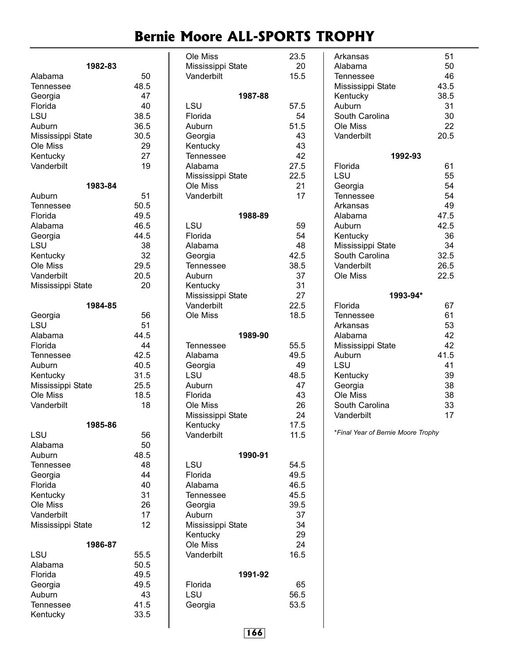# **Bernie Moore ALL-SPORTS TROPHY**

| 1982-83                       |         |              |  |
|-------------------------------|---------|--------------|--|
| Alabama                       |         | 50           |  |
| Tennessee                     |         | 48.5         |  |
| Georgia                       |         | 47           |  |
| Florida                       |         | 40           |  |
| LSU                           |         | 38.5         |  |
| Auburn                        |         | 36.5         |  |
| Mississippi State<br>Ole Miss |         | 30.5<br>29   |  |
| Kentucky                      |         | 27           |  |
| Vanderbilt                    |         | 19           |  |
|                               |         |              |  |
|                               | 1983-84 |              |  |
| Auburn<br><b>Tennessee</b>    |         | 51<br>50.5   |  |
| Florida                       |         | 49.5         |  |
| Alabama                       |         | 46.5         |  |
| Georgia                       |         | 44.5         |  |
| LSU                           |         | 38           |  |
| Kentucky                      |         | 32           |  |
| Ole Miss                      |         | 29.5         |  |
| Vanderbilt                    |         | 20.5         |  |
| Mississippi State             |         | 20           |  |
|                               | 1984-85 |              |  |
| Georgia                       |         | 56           |  |
| LSU                           |         | 51           |  |
| Alabama                       |         | 44.5         |  |
| Florida                       |         | 44           |  |
| Tennessee                     |         | 42.5         |  |
| Auburn                        |         | 40.5         |  |
| Kentucky<br>Mississippi State |         | 31.5<br>25.5 |  |
| Ole Miss                      |         | 18.5         |  |
| Vanderbilt                    |         | 18           |  |
|                               |         |              |  |
| LSU                           | 1985-86 | 56           |  |
| Alabama                       |         | 50           |  |
| Auburn                        |         | 48.5         |  |
| Tennessee                     |         | 48           |  |
| Georgia                       |         | 44           |  |
| Florida                       |         | 40           |  |
| Kentucky                      |         | 31           |  |
| Ole Miss                      |         | 26           |  |
| Vanderbilt                    |         | 17<br>12     |  |
| Mississippi State             |         |              |  |
|                               | 1986-87 |              |  |
| LSU                           |         | 55.5         |  |
| Alabama                       |         | 50.5         |  |
| Florida                       |         | 49.5         |  |
| Georgia<br>Auburn             |         | 49.5<br>43   |  |
| Tennessee                     |         | 41.5         |  |
| Kentucky                      |         | 33.5         |  |

| Ole Miss          | 23.5 |  |
|-------------------|------|--|
| Mississippi State | 20   |  |
| Vanderbilt        | 15.5 |  |
| 1987-88           |      |  |
| LSU               | 57.5 |  |
| Florida           | 54   |  |
| Auburn            | 51.5 |  |
| Georgia           | 43   |  |
| Kentucky          | 43   |  |
| <b>Tennessee</b>  | 42   |  |
| Alabama           | 27.5 |  |
| Mississippi State | 22.5 |  |
| Ole Miss          | 21   |  |
| Vanderbilt        | 17   |  |
| 1988-89           |      |  |
| LSU               | 59   |  |
| Florida           | 54   |  |
| Alabama           | 48   |  |
| Georgia           | 42.5 |  |
| <b>Tennessee</b>  | 38.5 |  |
| Auburn            | 37   |  |
| Kentucky          | 31   |  |
| Mississippi State | 27   |  |
| Vanderbilt        | 22.5 |  |
| Ole Miss          | 18.5 |  |
| 1989-90           |      |  |
| <b>Tennessee</b>  | 55.5 |  |
| Alabama           | 49.5 |  |
| Georgia           | 49   |  |
| LSU               | 48.5 |  |
| Auburn            | 47   |  |
| Florida           | 43   |  |
| Ole Miss          | 26   |  |
| Mississippi State | 24   |  |
| Kentucky          | 17.5 |  |
| Vanderbilt        | 11.5 |  |
| 1990-91           |      |  |
| LSU               | 54.5 |  |
| Florida           | 49.5 |  |
| Alabama           | 46.5 |  |
| Tennessee         | 45.5 |  |
| Georgia           | 39.5 |  |
| Auburn            | 37   |  |
| Mississippi State | 34   |  |
| Kentucky          | 29   |  |
| Ole Miss          | 24   |  |
| Vanderbilt        | 16.5 |  |
| 1991-92           |      |  |
| Florida           | 65   |  |
| LSU               | 56.5 |  |
| Georgia           | 53.5 |  |

| Arkansas                           | 51   |
|------------------------------------|------|
| Alabama                            | 50   |
| Tennessee                          | 46   |
| Mississippi State                  | 43.5 |
| Kentucky                           | 38.5 |
| Auburn                             | 31   |
| South Carolina                     | 30   |
| Ole Miss                           | 22   |
| Vanderbilt                         | 20.5 |
| 1992-93                            |      |
| Florida                            | 61   |
| LSU                                | 55   |
| Georgia                            | 54   |
| <b>Tennessee</b>                   | 54   |
| Arkansas                           | 49   |
| Alabama                            | 47.5 |
| Auburn                             | 42.5 |
| Kentucky                           | 36   |
| Mississippi State                  | 34   |
| South Carolina                     | 32.5 |
| Vanderbilt                         | 26.5 |
| Ole Miss                           | 22.5 |
| 1993-94*                           |      |
| Florida                            | 67   |
| <b>Tennessee</b>                   | 61   |
| Arkansas                           | 53   |
| Alabama                            | 42   |
| Mississippi State                  | 42   |
| Auburn                             | 41.5 |
| LSU                                | 41   |
| Kentucky                           | 39   |
| Georgia                            | 38   |
| Ole Miss                           | 38   |
| South Carolina                     | 33   |
| Vanderbilt                         | 17   |
| *Final Year of Bernie Moore Trophy |      |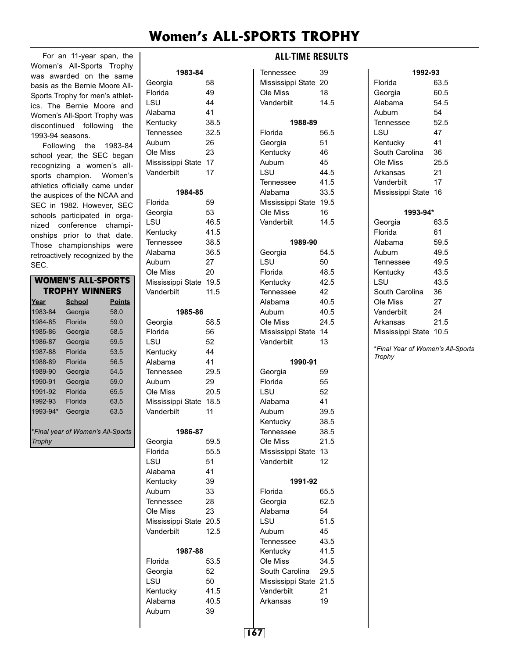# **Women's ALL-SPORTS TROPHY**

For an 11-year span, the Women's All-Sports Trophy was awarded on the same basis as the Bernie Moore All-Sports Trophy for men's athletics. The Bernie Moore and Women's All-Sport Trophy was discontinued following the 1993-94 seasons.

Following the 1983-84 school year, the SEC began recognizing a women's allsports champion. Women's athletics officially came under the auspices of the NCAA and SEC in 1982. However, SEC schools participated in organized conference championships prior to that date. Those championships were retroactively recognized by the SEC.

**WOMEN'S ALL-SPORTS** 

| णःसम<br>R I 3                     |               |               |  |
|-----------------------------------|---------------|---------------|--|
| <b>TROPHY WINNERS</b>             |               |               |  |
| Year                              | <b>School</b> | <b>Points</b> |  |
| 1983-84                           | Georgia       | 58.0          |  |
| 1984-85                           | Florida       | 59.0          |  |
| 1985-86                           | Georgia       | 58.5          |  |
| 1986-87                           | Georgia       | 59.5          |  |
| 1987-88                           | Florida       | 53.5          |  |
| 1988-89                           | Florida       | 56.5          |  |
| 1989-90                           | Georgia       | 54.5          |  |
| 1990-91                           | Georgia       | 59.0          |  |
| 1991-92                           | Florida       | 65.5          |  |
| 1992-93                           | Florida       | 63.5          |  |
| 1993-94*                          | Georgia       | 63.5          |  |
|                                   |               |               |  |
| *Final year of Women's All-Sports |               |               |  |
| Trophy                            |               |               |  |

| 1983-84                                                                                                                                  |                                                                      |  |  |
|------------------------------------------------------------------------------------------------------------------------------------------|----------------------------------------------------------------------|--|--|
| Georgia<br>Florida<br>LSU<br>Alabama<br>Kentucky<br><b>Tennessee</b><br>Auburn<br>Ole Miss<br>Mississippi State<br>Vanderbilt            | 58<br>49<br>44<br>41<br>38.5<br>32.5<br>26<br>23<br>17<br>17         |  |  |
| 1984-85                                                                                                                                  |                                                                      |  |  |
| Florida<br>Georgia<br>LSU<br>Kentucky<br>Tennessee<br>Alabama<br>Auburn<br>Ole Miss<br>Mississippi State<br>Vanderbilt                   | 59<br>53<br>46.5<br>41.5<br>38.5<br>36.5<br>27<br>20<br>19.5<br>11.5 |  |  |
| 1985-86                                                                                                                                  |                                                                      |  |  |
| Georgia<br>Florida<br>LSU<br>Kentucky<br>Alabama<br>Tennessee<br>Auburn<br>Ole Miss<br>Mississippi State<br>Vanderbilt                   | 58.5<br>56<br>52<br>44<br>41<br>29.5<br>29<br>20.5<br>18.5<br>11     |  |  |
| 1986-87<br>Georgia<br>Florida<br>LSU<br>Alabama<br>Kentucky<br>Auburn<br><b>Tennessee</b><br>Ole Miss<br>Mississippi State<br>Vanderbilt | 59.5<br>55.5<br>51<br>41<br>39<br>33<br>28<br>23<br>20.5<br>12.5     |  |  |
| 1987-88                                                                                                                                  |                                                                      |  |  |
| Florida<br>Georgia<br>LSU<br>Kentucky<br>Alabama<br>Auburn                                                                               | 53.5<br>52<br>50<br>41.5<br>40.5<br>39                               |  |  |

#### **ALL-TIME RESULTS**

| Tennessee<br>Mississippi State 20<br>Ole Miss<br>Vanderbilt | 39<br>18<br>14.5 |
|-------------------------------------------------------------|------------------|
| 1988-89                                                     |                  |
| Florida                                                     | 56.5             |
| Georgia                                                     | 51               |
| Kentucky                                                    | 46               |
| Auburn                                                      | 45               |
| LSU                                                         | 44.5             |
| Tennessee                                                   | 41.5             |
| Alabama                                                     | 33.5             |
| Mississippi State                                           | 19.5             |
| Ole Miss                                                    | 16               |
| Vanderbilt                                                  | 14.5             |
| 1989-90                                                     |                  |
| Georgia                                                     | 54.5             |
| LSU                                                         | 50               |
| Florida                                                     | 48.5             |
| Kentucky                                                    | 42.5             |
| Tennessee                                                   | 42               |
| Alabama                                                     | 40.5             |
| Auburn                                                      | 40.5             |
| Ole Miss                                                    | 24.5             |
| Mississippi State 14<br>Vanderbilt                          | 13               |
|                                                             |                  |
| 1990-91                                                     |                  |
| Georgia                                                     | 59               |
| Florida                                                     | 55               |
| LSU                                                         | 52               |
| Alabama                                                     | 41               |
| Auburn                                                      | 39.5             |
| Kentucky<br>Tennessee                                       | 38.5<br>38.5     |
| Ole Miss                                                    | 21.5             |
| Mississippi State                                           | 13               |
| Vanderbilt                                                  | 12               |
|                                                             |                  |
| 1991-92                                                     |                  |
| Florida<br>Georgia                                          | 65.5<br>62.5     |
| Alabama                                                     | 54               |
| LSU                                                         | 51.5             |
| Auburn                                                      | 45               |
| Tennessee                                                   | 43.5             |
| Kentucky                                                    | 41.5             |
| Ole Miss                                                    | 34.5             |
| South Carolina                                              | 29.5             |
| Mississippi State 21.5                                      |                  |
| Vanderbilt                                                  | 21               |
| Arkansas                                                    | 19               |
|                                                             |                  |

#### Florida 63.5 Georgia 60.5 Alabama 54.5 Auburn 54 Tennessee 52.5 LSU 47 Kentucky 41 South Carolina 36 Ole Miss 25.5 Arkansas 21 Vanderbilt 17 Mississippi State 16 **1993-94\*** Georgia 63.5

**1992-93**

| Florida           | 61   |
|-------------------|------|
| Alabama           | 59.5 |
| Auburn            | 49.5 |
| Tennessee         | 49.5 |
| Kentucky          | 43.5 |
| LSU               | 43.5 |
| South Carolina    | 36   |
| Ole Miss          | 27   |
| Vanderbilt        | 24   |
| Arkansas          | 21.5 |
| Mississippi State | 10.5 |

*\*Final Year of Women's All-Sports Trophy*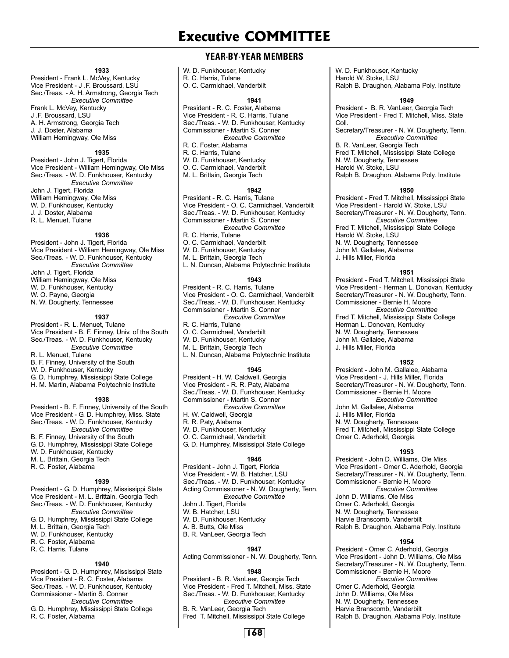#### **YEAR-BY-YEAR MEMBERS**

#### **1933**

President - Frank L. McVey, Kentucky Vice President - J .F. Broussard, LSU Sec./Treas. - A. H. Armstrong, Georgia Tech *Executive Committee* Frank L. McVey, Kentucky J .F. Broussard, LSU A. H. Armstrong, Georgia Tech J. J. Doster, Alabama William Hemingway, Ole Miss

#### **1935**

President - John J. Tigert, Florida Vice President - William Hemingway, Ole Miss Sec./Treas. - W. D. Funkhouser, Kentucky *Executive Committee* John J. Tigert, Florida William Hemingway, Ole Miss W. D. Funkhouser, Kentucky J. J. Doster, Alabama R. L. Menuet, Tulane

#### **1936**

President - John J. Tigert, Florida Vice President - William Hemingway, Ole Miss Sec./Treas. - W. D. Funkhouser, Kentucky *Executive Committee* John J. Tigert, Florida William Hemingway, Ole Miss W. D. Funkhouser, Kentucky W. O. Payne, Georgia N. W. Dougherty, Tennessee

#### **1937**

President - R. L. Menuet, Tulane Vice President - B. F. Finney, Univ. of the South Sec./Treas. - W. D. Funkhouser, Kentucky *Executive Committee* R. L. Menuet, Tulane B. F. Finney, University of the South W. D. Funkhouser, Kentucky G. D. Humphrey, Mississippi State College H. M. Martin, Alabama Polytechnic Institute

#### **1938**

President - B. F. Finney, University of the South Vice President - G. D. Humphrey, Miss. State Sec./Treas. - W. D. Funkhouser, Kentucky *Executive Committee* B. F. Finney, University of the South G. D. Humphrey, Mississippi State College W. D. Funkhouser, Kentucky M. L. Brittain, Georgia Tech R. C. Foster, Alabama **1939**

President - G. D. Humphrey, Mississippi State Vice President - M. L. Brittain, Georgia Tech Sec./Treas. - W. D. Funkhouser, Kentucky *Executive Committee* G. D. Humphrey, Mississippi State College M. L. Brittain, Georgia Tech W. D. Funkhouser, Kentucky R. C. Foster, Alabama R. C. Harris, Tulane

#### **1940**

President - G. D. Humphrey, Mississippi State Vice President - R. C. Foster, Alabama Sec./Treas. - W. D. Funkhouser, Kentucky Commissioner - Martin S. Conner *Executive Committee* G. D. Humphrey, Mississippi State College

R. C. Foster, Alabama

#### W. D. Funkhouser, Kentucky

R. C. Harris, Tulane

O. C. Carmichael, Vanderbilt

#### **1941**

President - R. C. Foster, Alabama Vice President - R. C. Harris, Tulane Sec./Treas. - W. D. Funkhouser, Kentucky Commissioner - Martin S. Conner *Executive Committee* R. C. Foster, Alabama R. C. Harris, Tulane W. D. Funkhouser, Kentucky O. C. Carmichael, Vanderbilt M. L. Brittain, Georgia Tech

#### **1942**

President - R. C. Harris, Tulane Vice President - O. C. Carmichael, Vanderbilt Sec./Treas. - W. D. Funkhouser, Kentucky Commissioner - Martin S. Conner *Executive Committee* R. C. Harris, Tulane O. C. Carmichael, Vanderbilt

- 
- W. D. Funkhouser, Kentucky

M. L. Brittain, Georgia Tech

L. N. Duncan, Alabama Polytechnic Institute

#### **1943**

President - R. C. Harris, Tulane Vice President - O. C. Carmichael, Vanderbilt Sec./Treas. - W. D. Funkhouser, Kentucky Commissioner - Martin S. Conner *Executive Committee* R. C. Harris, Tulane O. C. Carmichael, Vanderbilt

W. D. Funkhouser, Kentucky

- M. L. Brittain, Georgia Tech
- L. N. Duncan, Alabama Polytechnic Institute

#### **1945**

President - H. W. Caldwell, Georgia Vice President - R. R. Paty, Alabama Sec./Treas. - W. D. Funkhouser, Kentucky Commissioner - Martin S. Conner *Executive Committee* H. W. Caldwell, Georgia R. R. Paty, Alabama

W. D. Funkhouser, Kentucky

O. C. Carmichael, Vanderbilt

G. D. Humphrey, Mississippi State College

#### **1946**

President - John J. Tigert, Florida Vice President - W. B. Hatcher, LSU Sec./Treas. - W. D. Funkhouser, Kentucky Acting Commissioner - N. W. Dougherty, Tenn. *Executive Committee* John J. Tigert, Florida W. B. Hatcher, LSU W. D. Funkhouser, Kentucky A. B. Butts, Ole Miss B. R. VanLeer, Georgia Tech **1947**

Acting Commissioner - N. W. Dougherty, Tenn.

#### **1948**

President - B. R. VanLeer, Georgia Tech Vice President - Fred T. Mitchell, Miss. State Sec./Treas. - W. D. Funkhouser, Kentucky *Executive Committee* B. R. VanLeer, Georgia Tech Fred T. Mitchell, Mississippi State College

W. D. Funkhouser, Kentucky Harold W. Stoke, LSU Ralph B. Draughon, Alabama Poly. Institute

#### **1949**

President - B. R. VanLeer, Georgia Tech Vice President - Fred T. Mitchell, Miss. State Coll.

Secretary/Treasurer - N. W. Dougherty, Tenn. *Executive Committee* B. R. VanLeer, Georgia Tech

Fred T. Mitchell, Mississippi State College N. W. Dougherty, Tennessee

Harold W. Stoke, LSU

Ralph B. Draughon, Alabama Poly. Institute

#### **1950**

President - Fred T. Mitchell, Mississippi State Vice President - Harold W. Stoke, LSU Secretary/Treasurer - N. W. Dougherty, Tenn. *Executive Committee* Fred T. Mitchell, Mississippi State College Harold W. Stoke, LSU N. W. Dougherty, Tennessee John M. Gallalee, Alabama J. Hills Miller, Florida

#### **1951**

President - Fred T. Mitchell, Mississippi State Vice President - Herman L. Donovan, Kentucky Secretary/Treasurer - N. W. Dougherty, Tenn. Commissioner - Bernie H. Moore *Executive Committee* Fred T. Mitchell, Mississippi State College Herman L. Donovan, Kentucky

N. W. Dougherty, Tennessee John M. Gallalee, Alabama

J. Hills Miller, Florida

#### **1952**

President - John M. Gallalee, Alabama Vice President - J. Hills Miller, Florida Secretary/Treasurer - N. W. Dougherty, Tenn. Commissioner - Bernie H. Moore *Executive Committee* John M. Gallalee, Alabama J. Hills Miller, Florida N. W. Dougherty, Tennessee

Fred T. Mitchell, Mississippi State College Omer C. Aderhold, Georgia

#### **1953**

President - John D. Williams, Ole Miss Vice President - Omer C. Aderhold, Georgia Secretary/Treasurer - N. W. Dougherty, Tenn. Commissioner - Bernie H. Moore *Executive Committee*  John D. Williams, Ole Miss Omer C. Aderhold, Georgia N. W. Dougherty, Tennessee Harvie Branscomb, Vanderbilt Ralph B. Draughon, Alabama Poly. Institute

#### **1954**

President - Omer C. Aderhold, Georgia Vice President - John D. Williams, Ole Miss Secretary/Treasurer - N. W. Dougherty, Tenn. Commissioner - Bernie H. Moore *Executive Committee* Omer C. Aderhold, Georgia John D. Williams, Ole Miss N. W. Dougherty, Tennessee Harvie Branscomb, Vanderbilt Ralph B. Draughon, Alabama Poly. Institute

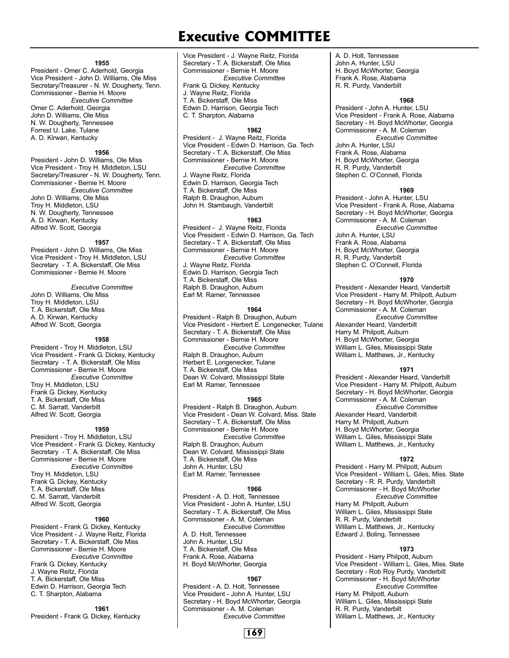#### **1955**

President - Omer C. Aderhold, Georgia Vice President - John D. Williams, Ole Miss Secretary/Treasurer - N. W. Dougherty, Tenn. Commissioner - Bernie H. Moore *Executive Committee* Omer C. Aderhold, Georgia John D. Williams, Ole Miss N. W. Dougherty, Tennessee Forrest U. Lake, Tulane A. D. Kirwan, Kentucky

#### **1956**

President - John D. Williams, Ole Miss Vice President - Troy H. Middleton, LSU Secretary/Treasurer - N. W. Dougherty, Tenn. Commissioner - Bernie H. Moore *Executive Committee* John D. Williams, Ole Miss Troy H. Middleton, LSU N. W. Dougherty, Tennessee A. D. Kirwan, Kentucky Alfred W. Scott, Georgia

#### **1957**

President - John D. Williams, Ole Miss Vice President - Troy H. Middleton, LSU Secretary - T. A. Bickerstaff, Ole Miss Commissioner - Bernie H. Moore

*Executive Committee* John D. Williams, Ole Miss Troy H. Middleton, LSU T. A. Bickerstaff, Ole Miss A. D. Kirwan, Kentucky Alfred W. Scott, Georgia

#### **1958**

President - Troy H. Middleton, LSU Vice President - Frank G. Dickey, Kentucky Secretary - T. A. Bickerstaff, Ole Miss Commissioner - Bernie H. Moore *Executive Committee* Troy H. Middleton, LSU Frank G. Dickey, Kentucky T. A. Bickerstaff, Ole Miss C. M. Sarratt, Vanderbilt Alfred W. Scott, Georgia

#### **1959**

President - Troy H. Middleton, LSU Vice President - Frank G. Dickey, Kentucky Secretary - T. A. Bickerstaff, Ole Miss Commissioner - Bernie H. Moore *Executive Committee* Troy H. Middleton, LSU Frank G. Dickey, Kentucky T. A. Bickerstaff, Ole Miss C. M. Sarratt, Vanderbilt Alfred W. Scott, Georgia

#### **1960**

President - Frank G. Dickey, Kentucky Vice President - J. Wayne Reitz, Florida Secretary - T. A. Bickerstaff, Ole Miss Commissioner - Bernie H. Moore *Executive Committee* Frank G. Dickey, Kentucky J. Wayne Reitz, Florida T. A. Bickerstaff, Ole Miss Edwin D. Harrison, Georgia Tech C. T. Sharpton, Alabama

**1961** President - Frank G. Dickey, Kentucky

Vice President - J. Wayne Reitz, Florida Secretary - T. A. Bickerstaff, Ole Miss Commissioner - Bernie H. Moore *Executive Committee* Frank G. Dickey, Kentucky J. Wayne Reitz, Florida T. A. Bickerstaff, Ole Miss Edwin D. Harrison, Georgia Tech C. T. Sharpton, Alabama

#### **1962**

President - J. Wayne Reitz, Florida Vice President - Edwin D. Harrison, Ga. Tech Secretary - T. A. Bickerstaff, Ole Miss Commissioner - Bernie H. Moore *Executive Committee* J. Wayne Reitz, Florida Edwin D. Harrison, Georgia Tech T. A. Bickerstaff, Ole Miss Ralph B. Draughon, Auburn John H. Stambaugh, Vanderbilt

#### **1963**

President - J. Wayne Reitz, Florida Vice President - Edwin D. Harrison, Ga. Tech Secretary - T. A. Bickerstaff, Ole Miss Commissioner - Bernie H. Moore *Executive Committee* J. Wayne Reitz, Florida Edwin D. Harrison, Georgia Tech T. A. Bickerstaff, Ole Miss Ralph B. Draughon, Auburn Earl M. Ramer, Tennessee

#### **1964**

President - Ralph B. Draughon, Auburn Vice President - Herbert E. Longenecker, Tulane Secretary - T. A. Bickerstaff, Ole Miss Commissioner - Bernie H. Moore *Executive Committee* Ralph B. Draughon, Auburn Herbert E. Longenecker, Tulane T. A. Bickerstaff, Ole Miss Dean W. Colvard, Mississippi State Earl M. Ramer, Tennessee

#### **1965**

President - Ralph B. Draughon, Auburn Vice President - Dean W. Colvard, Miss. State Secretary - T. A. Bickerstaff, Ole Miss Commissioner - Bernie H. Moore *Executive Committee* Ralph B. Draughon, Auburn Dean W. Colvard, Mississippi State T. A. Bickerstaff, Ole Miss John A. Hunter, LSU Earl M. Ramer, Tennessee

#### **1966**

President - A. D. Holt, Tennessee Vice President - John A. Hunter, LSU Secretary - T. A. Bickerstaff, Ole Miss Commissioner - A. M. Coleman *Executive Committee* A. D. Holt, Tennessee John A. Hunter, LSU T. A. Bickerstaff, Ole Miss Frank A. Rose, Alabama H. Boyd McWhorter, Georgia

#### **1967**

President - A. D. Holt, Tennessee Vice President - John A. Hunter, LSU Secretary - H. Boyd McWhorter, Georgia Commissioner - A. M. Coleman *Executive Committee*



A. D. Holt, Tennessee John A. Hunter, LSU H. Boyd McWhorter, Georgia Frank A. Rose, Alabama R. R. Purdy, Vanderbilt

#### **1968**

President - John A. Hunter, LSU Vice President - Frank A. Rose, Alabama Secretary - H. Boyd McWhorter, Georgia Commissioner - A. M. Coleman *Executive Committee* John A. Hunter, LSU Frank A. Rose, Alabama H. Boyd McWhorter, Georgia R. R. Purdy, Vanderbilt Stephen C. O'Connell, Florida

#### **1969**

President - John A. Hunter, LSU Vice President - Frank A. Rose, Alabama Secretary - H. Boyd McWhorter, Georgia Commissioner - A. M. Coleman *Executive Committee* John A. Hunter, LSU Frank A. Rose, Alabama H. Boyd McWhorter, Georgia R. R. Purdy, Vanderbilt Stephen C. O'Connell, Florida

#### **1970**

President - Alexander Heard, Vanderbilt Vice President - Harry M. Philpott, Auburn Secretary - H. Boyd McWhorter, Georgia Commissioner - A. M. Coleman *Executive Committee* Alexander Heard, Vanderbilt Harry M. Philpott, Auburn H. Boyd McWhorter, Georgia William L. Giles, Mississippi State William L. Matthews, Jr., Kentucky

#### **1971**

President - Alexander Heard, Vanderbilt Vice President - Harry M. Philpott, Auburn Secretary - H. Boyd McWhorter, Georgia Commissioner - A. M. Coleman *Executive Committee* Alexander Heard, Vanderbilt Harry M. Philpott, Auburn H. Boyd McWhorter, Georgia William L. Giles, Mississippi State William L. Matthews, Jr., Kentucky

#### **1972**

President - Harry M. Philpott, Auburn Vice President - William L. Giles, Miss. State Secretary - R. R. Purdy, Vanderbilt Commissioner - H. Boyd McWhorter *Executive Committee* Harry M. Philpott, Auburn William L. Giles, Mississippi State R. R. Purdy, Vanderbilt William L. Matthews, Jr., Kentucky Edward J. Boling, Tennessee

#### **1973**

President - Harry Philpott, Auburn Vice President - William L. Giles, Miss. State Secretary - Rob Roy Purdy, Vanderbilt Commissioner - H. Boyd McWhorter *Executive Committee* Harry M. Philpott, Auburn William L. Giles, Mississippi State R. R. Purdy, Vanderbilt William L. Matthews, Jr., Kentucky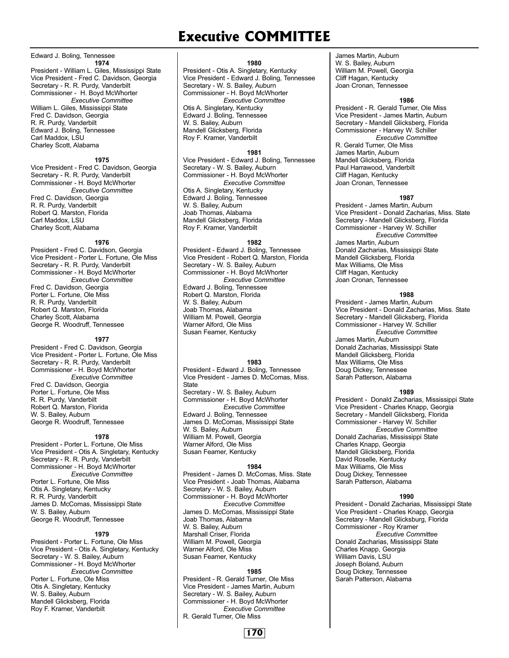#### Edward J. Boling, Tennessee

**1974** President - William L. Giles, Mississippi State Vice President - Fred C. Davidson, Georgia Secretary - R. R. Purdy, Vanderbilt Commissioner - H. Boyd McWhorter *Executive Committee* William L. Giles, Mississippi State Fred C. Davidson, Georgia R. R. Purdy, Vanderbilt Edward J. Boling, Tennessee Carl Maddox, LSU Charley Scott, Alabama

#### **1975**

Vice President - Fred C. Davidson, Georgia Secretary - R. R. Purdy, Vanderbilt Commissioner - H. Boyd McWhorter *Executive Committee* Fred C. Davidson, Georgia R. R. Purdy, Vanderbilt Robert Q. Marston, Florida Carl Maddox, LSU Charley Scott, Alabama

#### **1976**

President - Fred C. Davidson, Georgia Vice President - Porter L. Fortune, Ole Miss Secretary - R. R. Purdy, Vanderbilt Commissioner - H. Boyd McWhorter *Executive Committee* Fred C. Davidson, Georgia Porter L. Fortune, Ole Miss R. R. Purdy, Vanderbilt Robert Q. Marston, Florida Charley Scott, Alabama George R. Woodruff, Tennessee

#### **1977**

President - Fred C. Davidson, Georgia Vice President - Porter L. Fortune, Ole Miss Secretary - R. R. Purdy, Vanderbilt Commissioner - H. Boyd McWhorter *Executive Committee* Fred C. Davidson, Georgia Porter L. Fortune, Ole Miss R. R. Purdy, Vanderbilt Robert Q. Marston, Florida W. S. Bailey, Auburn George R. Woodruff, Tennessee

#### **1978**

President - Porter L. Fortune, Ole Miss Vice President - Otis A. Singletary, Kentucky Secretary - R. R. Purdy, Vanderbilt Commissioner - H. Boyd McWhorter *Executive Committee* Porter L. Fortune, Ole Miss Otis A. Singletary, Kentucky R. R. Purdy, Vanderbilt James D. McComas, Mississippi State W. S. Bailey, Auburn George R. Woodruff, Tennessee

#### **1979**

President - Porter L. Fortune, Ole Miss Vice President - Otis A. Singletary, Kentucky Secretary - W. S. Bailey, Auburn Commissioner - H. Boyd McWhorter *Executive Committee* Porter L. Fortune, Ole Miss Otis A. Singletary, Kentucky W. S. Bailey, Auburn Mandell Glicksberg, Florida Roy F. Kramer, Vanderbilt

#### **1980**

President - Otis A. Singletary, Kentucky Vice President - Edward J. Boling, Tennessee Secretary - W. S. Bailey, Auburn Commissioner - H. Boyd McWhorter *Executive Committee* Otis A. Singletary, Kentucky Edward J. Boling, Tennessee W. S. Bailey, Auburn Mandell Glicksberg, Florida Roy F. Kramer, Vanderbilt

#### **1981**

Vice President - Edward J. Boling, Tennessee Secretary - W. S. Bailey, Auburn Commissioner - H. Boyd McWhorter *Executive Committee* Otis A. Singletary, Kentucky Edward J. Boling, Tennessee W. S. Bailey, Auburn Joab Thomas, Alabama Mandell Glicksberg, Florida Roy F. Kramer, Vanderbilt

#### **1982**

President - Edward J. Boling, Tennessee Vice President - Robert Q. Marston, Florida Secretary - W. S. Bailey, Auburn Commissioner - H. Boyd McWhorter *Executive Committee* Edward J. Boling, Tennessee Robert Q. Marston, Florida W. S. Bailey, Auburn Joab Thomas, Alabama William M. Powell, Georgia Warner Alford, Ole Miss Susan Feamer, Kentucky

#### **1983**

President - Edward J. Boling, Tennessee Vice President - James D. McComas, Miss. **State** Secretary - W. S. Bailey, Auburn Commissioner - H. Boyd McWhorter *Executive Committee* Edward J. Boling, Tennessee James D. McComas, Mississippi State W. S. Bailey, Auburn William M. Powell, Georgia Warner Alford, Ole Miss Susan Feamer, Kentucky

#### **1984**

President - James D. McComas, Miss. State Vice President - Joab Thomas, Alabama Secretary - W. S. Bailey, Auburn Commissioner - H. Boyd McWhorter *Executive Committee* James D. McComas, Mississippi State Joab Thomas, Alabama W. S. Bailey, Auburn Marshall Criser, Florida William M. Powell, Georgia Warner Alford, Ole Miss Susan Feamer, Kentucky

#### **1985**

President - R. Gerald Turner, Ole Miss Vice President - James Martin, Auburn Secretary - W. S. Bailey, Auburn Commissioner - H. Boyd McWhorter *Executive Committee* R. Gerald Turner, Ole Miss

**170**

James Martin, Auburn W. S. Bailey, Auburn William M. Powell, Georgia Cliff Hagan, Kentucky Joan Cronan, Tennessee

#### **1986**

President - R. Gerald Turner, Ole Miss Vice President - James Martin, Auburn Secretary - Mandell Glicksberg, Florida Commissioner - Harvey W. Schiller *Executive Committee* R. Gerald Turner, Ole Miss James Martin, Auburn Mandell Glicksberg, Florida Paul Harrawood, Vanderbilt Cliff Hagan, Kentucky Joan Cronan, Tennessee

#### **1987**

President - James Martin, Auburn Vice President - Donald Zacharias, Miss. State Secretary - Mandell Glicksberg, Florida Commissioner - Harvey W. Schiller *Executive Committee* James Martin, Auburn Donald Zacharias, Mississippi State Mandell Glicksberg, Florida Max Williams, Ole Miss Cliff Hagan, Kentucky Joan Cronan, Tennessee

#### **1988**

President - James Martin, Auburn Vice President - Donald Zacharias, Miss. State Secretary - Mandell Glicksberg, Florida Commissioner - Harvey W. Schiller *Executive Committee* James Martin, Auburn Donald Zacharias, Mississippi State Mandell Glicksberg, Florida Max Williams, Ole Miss Doug Dickey, Tennessee Sarah Patterson, Alabama

#### **1989**

President - Donald Zacharias, Mississippi State Vice President - Charles Knapp, Georgia Secretary - Mandell Glicksberg, Florida Commissioner - Harvey W. Schiller *Executive Committee* Donald Zacharias, Mississippi State Charles Knapp, Georgia Mandell Glicksberg, Florida David Roselle, Kentucky Max Williams, Ole Miss Doug Dickey, Tennessee Sarah Patterson, Alabama

#### **1990**

President - Donald Zacharias, Mississippi State Vice President - Charles Knapp, Georgia Secretary - Mandell Glicksburg, Florida Commissioner - Roy Kramer *Executive Committee* Donald Zacharias, Mississippi State Charles Knapp, Georgia William Davis, LSU Joseph Boland, Auburn Doug Dickey, Tennessee

Sarah Patterson, Alabama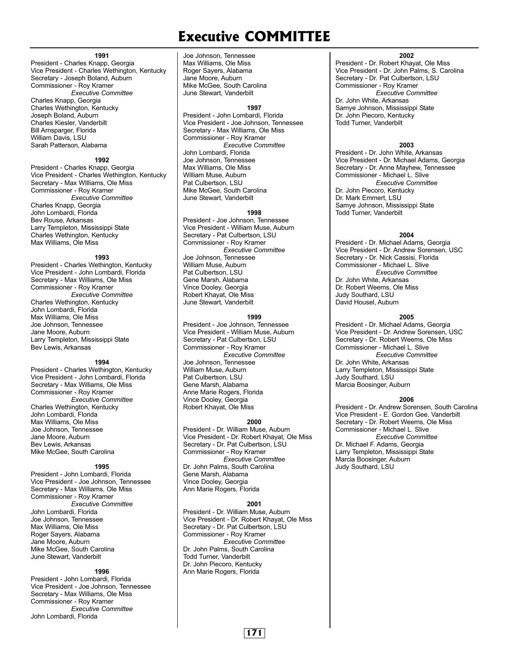#### **1991**

President - Charles Knapp, Georgia Vice President - Charles Wethington, Kentucky Secretary - Joseph Boland, Auburn Commissioner - Roy Kramer *Executive Committee* Charles Knapp, Georgia Charles Wethington, Kentucky Joseph Boland, Auburn Charles Kiesler, Vanderbilt Bill Arnsparger, Florida William Davis, LSU Sarah Patterson, Alabama

#### **1992**

President - Charles Knapp, Georgia Vice President - Charles Wethington, Kentucky Secretary - Max WIlliams, Ole Miss Commissioner - Roy Kramer *Executive Committee* Charles Knapp, Georgia John Lombardi, Florida Bev Rouse, Arkansas Larry Templeton, Mississippi State Charles Wethington, Kentucky Max Williams, Ole Miss

#### **1993**

President - Charles Wethington, Kentucky Vice President - John Lombardi, Florida Secretary - Max Williams, Ole Miss Commissioner - Roy Kramer *Executive Committee* Charles Wethington, Kentucky John Lombardi, Florida Max Williams, Ole Miss Joe Johnson, Tennessee Jane Moore, Auburn Larry Templeton, Mississippi State Bev Lewis, Arkansas

#### **1994**

President - Charles Wethington, Kentucky Vice President - John Lombardi, Florida Secretary - Max Williams, Ole Miss Commissioner - Roy Kramer *Executive Committee* Charles Wethington, Kentucky John Lombardi, Florida Max Williams, Ole Miss Joe Johnson, Tennessee Jane Moore, Auburn Bev Lewis, Arkansas Mike McGee, South Carolina

#### **1995**

President - John Lombardi, Florida Vice President - Joe Johnson, Tennessee Secretary - Max Williams, Ole Miss Commissioner - Roy Kramer *Executive Committee* John Lombardi, Florida Joe Johnson, Tennessee Max Williams, Ole Miss Roger Sayers, Alabama Jane Moore, Auburn Mike McGee, South Carolina June Stewart, Vanderbilt

#### **1996**

President - John Lombardi, Florida Vice President - Joe Johnson, Tennessee Secretary - Max Williams, Ole Miss Commissioner - Roy Kramer *Executive Committee* John Lombardi, Florida

Joe Johnson, Tennessee Max Williams, Ole Miss Roger Sayers, Alabama Jane Moore, Auburn Mike McGee, South Carolina June Stewart, Vanderbilt

#### **1997**

President - John Lombardi, Florida Vice President - Joe Johnson, Tennessee Secretary - Max Williams, Ole Miss Commissioner - Roy Kramer *Executive Committee* John Lombardi, Florida Joe Johnson, Tennessee Max Williams, Ole Miss William Muse, Auburn Pat Culbertson, LSU Mike McGee, South Carolina June Stewart, Vanderbilt

#### **1998**

President - Joe Johnson, Tennessee Vice President - William Muse, Auburn Secretary - Pat Culbertson, LSU Commissioner - Roy Kramer *Executive Committee* Joe Johnson, Tennessee William Muse, Auburn Pat Culbertson, LSU Gene Marsh, Alabama Vince Dooley, Georgia Robert Khayat, Ole Miss June Stewart, Vanderbilt

#### **1999**

President - Joe Johnson, Tennessee Vice President - William Muse, Auburn Secretary - Pat Culbertson, LSU Commissioner - Roy Kramer *Executive Committee* Joe Johnson, Tennessee William Muse, Auburn Pat Culbertson, LSU Gene Marsh, Alabama Anne Marie Rogers, Florida Vince Dooley, Georgia Robert Khayat, Ole Miss

#### **2000**

President - Dr. William Muse, Auburn Vice President - Dr. Robert Khayat, Ole Miss Secretary - Dr. Pat Culbertson, LSU Commissioner - Roy Kramer *Executive Committee* Dr. John Palms, South Carolina Gene Marsh, Alabama Vince Dooley, Georgia Ann Marie Rogers, Florida

#### **2001**

President - Dr. William Muse, Auburn Vice President - Dr. Robert Khayat, Ole Miss Secretary - Dr. Pat Culbertson, LSU Commissioner - Roy Kramer *Executive Committee* Dr. John Palms, South Carolina Todd Turner, Vanderbilt Dr. John Piecoro, Kentucky Ann Marie Rogers, Florida

#### **2002**

President - Dr. Robert Khayat, Ole Miss Vice President - Dr. John Palms, S. Carolina Secretary - Dr. Pat Culbertson, LSU Commissioner - Roy Kramer *Executive Committee* Dr. John White, Arkansas Samye Johnson, Mississippi State

Dr. John Piecoro, Kentucky Todd Turner, Vanderbilt

#### **2003**

President - Dr. John White, Arkansas Vice President - Dr. Michael Adams, Georgia Secretary - Dr. Anne Mayhew, Tennessee Commissioner - Michael L. Slive *Executive Committee* Dr. John Piecoro, Kentucky Dr. Mark Emmert, LSU Samye Johnson, Mississippi State Todd Turner, Vanderbilt

#### **2004**

President - Dr. Michael Adams, Georgia Vice President - Dr. Andrew Sorensen, USC Secretary - Dr. Nick Cassisi, Florida Commissioner - Michael L. Slive *Executive Committee* Dr. John White, Arkansas Dr. Robert Weems, Ole Miss Judy Southard, LSU David Housel, Auburn

#### **2005**

President - Dr. Michael Adams, Georgia Vice President - Dr. Andrew Sorensen, USC Secretary - Dr. Robert Weems, Ole Miss Commissioner - Michael L. Slive *Executive Committee* Dr. John White, Arkansas Larry Templeton, Mississippi State Judy Southard, LSU Marcia Boosinger, Auburn

#### **2006**

President - Dr. Andrew Sorensen, South Carolina Vice President - E. Gordon Gee, Vanderbilt Secretary - Dr. Robert Weems, Ole Miss Commissioner - Michael L. Slive *Executive Committee* Dr. Michael F. Adams, Georgia Larry Templeton, Mississippi State Marcia Boosinger, Auburn Judy Southard, LSU